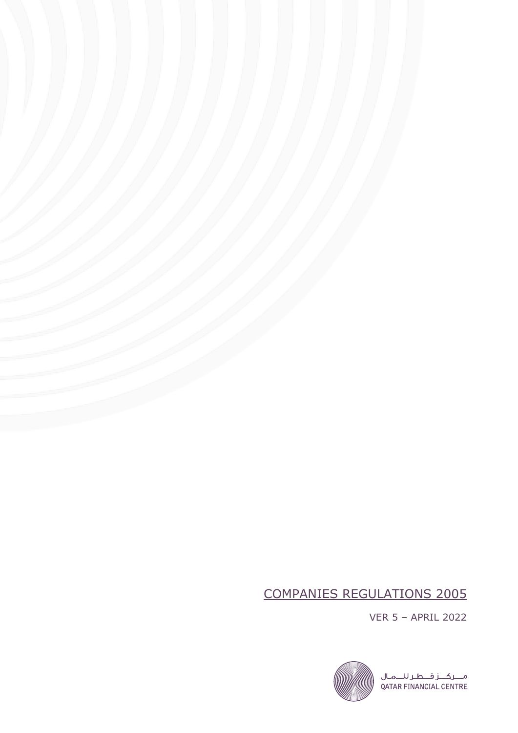# COMPANIES REGULATIONS 2005

VER 5 – APRIL 2022

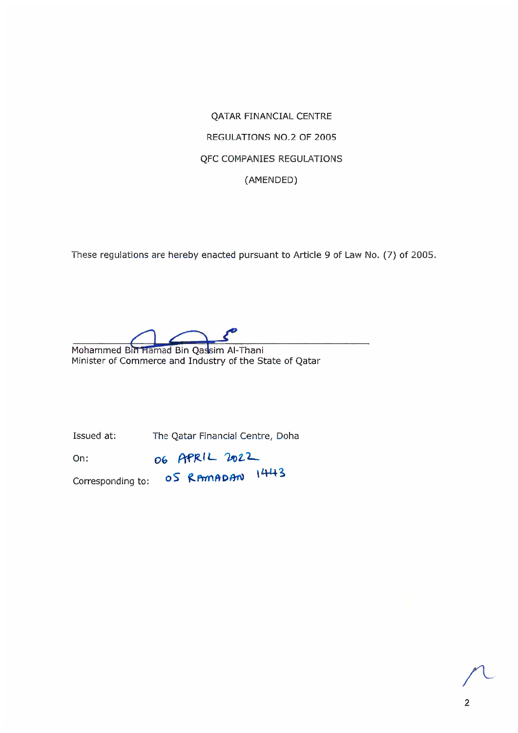**QATAR FINANCIAL CENTRE** REGULATIONS NO.2 OF 2005 **QFC COMPANIES REGULATIONS** (AMENDED)

These regulations are hereby enacted pursuant to Article 9 of Law No. (7) of 2005.

Mohammed Bin Hamad Bin Qassim Al-Thani

Minister of Commerce and Industry of the State of Qatar

Issued at: The Qatar Financial Centre, Doha

06 APRIL 2022 On:

Corresponding to: 0S RAMADAN 1443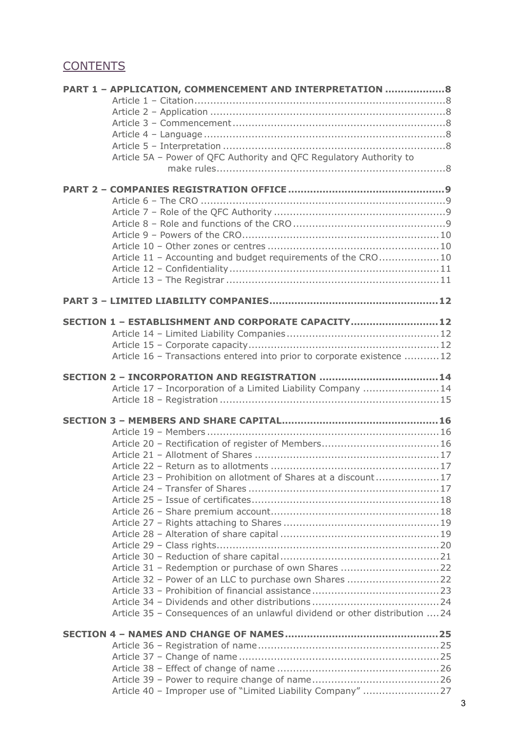## **CONTENTS**

| PART 1 - APPLICATION, COMMENCEMENT AND INTERPRETATION  8                    |  |
|-----------------------------------------------------------------------------|--|
|                                                                             |  |
|                                                                             |  |
|                                                                             |  |
|                                                                             |  |
| Article 5A - Power of QFC Authority and QFC Regulatory Authority to         |  |
|                                                                             |  |
|                                                                             |  |
|                                                                             |  |
|                                                                             |  |
|                                                                             |  |
|                                                                             |  |
| Article 11 - Accounting and budget requirements of the CRO10                |  |
|                                                                             |  |
|                                                                             |  |
|                                                                             |  |
| SECTION 1 - ESTABLISHMENT AND CORPORATE CAPACITY12                          |  |
|                                                                             |  |
|                                                                             |  |
| Article 16 - Transactions entered into prior to corporate existence 12      |  |
|                                                                             |  |
|                                                                             |  |
| Article 17 - Incorporation of a Limited Liability Company  14               |  |
|                                                                             |  |
|                                                                             |  |
|                                                                             |  |
|                                                                             |  |
|                                                                             |  |
|                                                                             |  |
| Article 23 - Prohibition on allotment of Shares at a discount17             |  |
|                                                                             |  |
|                                                                             |  |
|                                                                             |  |
|                                                                             |  |
|                                                                             |  |
|                                                                             |  |
|                                                                             |  |
| Article 32 - Power of an LLC to purchase own Shares 22                      |  |
|                                                                             |  |
|                                                                             |  |
| Article 35 - Consequences of an unlawful dividend or other distribution  24 |  |
|                                                                             |  |
|                                                                             |  |
|                                                                             |  |
|                                                                             |  |
|                                                                             |  |
| Article 40 - Improper use of "Limited Liability Company" 27                 |  |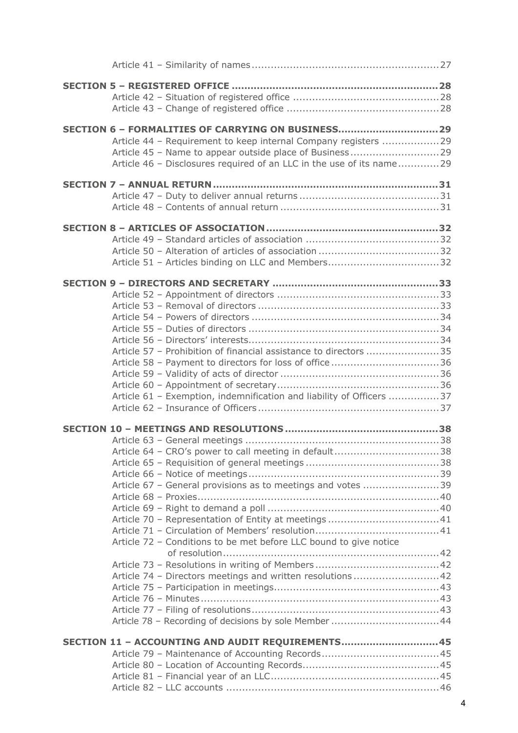| SECTION 6 - FORMALITIES OF CARRYING ON BUSINESS29<br>Article 44 - Requirement to keep internal Company registers 29<br>Article 46 - Disclosures required of an LLC in the use of its name29                                                            |
|--------------------------------------------------------------------------------------------------------------------------------------------------------------------------------------------------------------------------------------------------------|
|                                                                                                                                                                                                                                                        |
|                                                                                                                                                                                                                                                        |
| Article 57 - Prohibition of financial assistance to directors 35<br>Article 58 - Payment to directors for loss of office 36<br>Article 61 - Exemption, indemnification and liability of Officers 37                                                    |
| Article 64 - CRO's power to call meeting in default38<br>Article 67 - General provisions as to meetings and votes 39<br>Article 72 - Conditions to be met before LLC bound to give notice<br>Article 74 - Directors meetings and written resolutions42 |
| SECTION 11 - ACCOUNTING AND AUDIT REQUIREMENTS45                                                                                                                                                                                                       |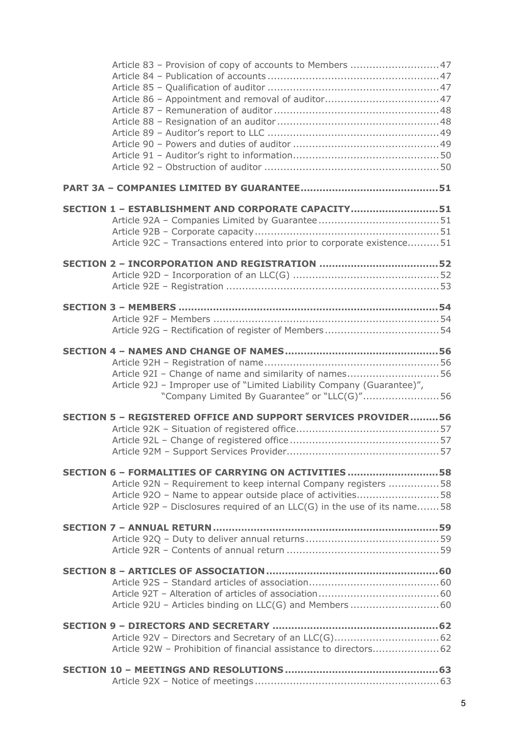| SECTION 1 - ESTABLISHMENT AND CORPORATE CAPACITY51                         |  |
|----------------------------------------------------------------------------|--|
|                                                                            |  |
|                                                                            |  |
| Article 92C - Transactions entered into prior to corporate existence51     |  |
|                                                                            |  |
|                                                                            |  |
|                                                                            |  |
|                                                                            |  |
|                                                                            |  |
|                                                                            |  |
|                                                                            |  |
|                                                                            |  |
| Article 92I - Change of name and similarity of names56                     |  |
| Article 92J - Improper use of "Limited Liability Company (Guarantee)",     |  |
| "Company Limited By Guarantee" or "LLC(G)"56                               |  |
| SECTION 5 - REGISTERED OFFICE AND SUPPORT SERVICES PROVIDER56              |  |
|                                                                            |  |
|                                                                            |  |
|                                                                            |  |
| SECTION 6 - FORMALITIES OF CARRYING ON ACTIVITIES58                        |  |
| Article 92N - Requirement to keep internal Company registers 58            |  |
| Article 920 - Name to appear outside place of activities58                 |  |
| Article 92P - Disclosures required of an $LLC(G)$ in the use of its name58 |  |
|                                                                            |  |
|                                                                            |  |
|                                                                            |  |
|                                                                            |  |
|                                                                            |  |
|                                                                            |  |
|                                                                            |  |
|                                                                            |  |
|                                                                            |  |
| Article 92W - Prohibition of financial assistance to directors62           |  |
|                                                                            |  |
|                                                                            |  |
|                                                                            |  |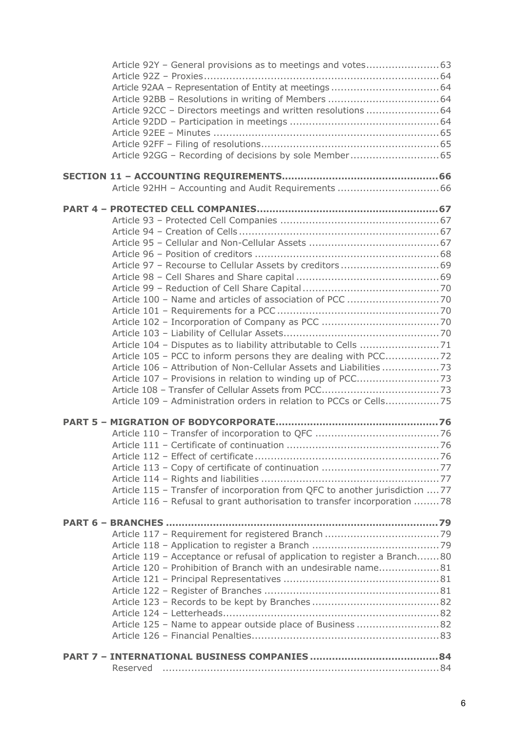| Article 92CC - Directors meetings and written resolutions  64                |  |
|------------------------------------------------------------------------------|--|
|                                                                              |  |
|                                                                              |  |
|                                                                              |  |
| Article 92GG - Recording of decisions by sole Member 65                      |  |
|                                                                              |  |
|                                                                              |  |
|                                                                              |  |
|                                                                              |  |
|                                                                              |  |
|                                                                              |  |
|                                                                              |  |
|                                                                              |  |
|                                                                              |  |
|                                                                              |  |
|                                                                              |  |
|                                                                              |  |
|                                                                              |  |
|                                                                              |  |
|                                                                              |  |
|                                                                              |  |
|                                                                              |  |
|                                                                              |  |
| Article 106 - Attribution of Non-Cellular Assets and Liabilities             |  |
|                                                                              |  |
|                                                                              |  |
| Article 109 - Administration orders in relation to PCCs or Cells75           |  |
|                                                                              |  |
|                                                                              |  |
|                                                                              |  |
|                                                                              |  |
|                                                                              |  |
|                                                                              |  |
|                                                                              |  |
| Article 115 - Transfer of incorporation from QFC to another jurisdiction  77 |  |
| Article 116 - Refusal to grant authorisation to transfer incorporation 78    |  |
|                                                                              |  |
|                                                                              |  |
|                                                                              |  |
|                                                                              |  |
| Article 119 - Acceptance or refusal of application to register a Branch80    |  |
| Article 120 - Prohibition of Branch with an undesirable name81               |  |
|                                                                              |  |
|                                                                              |  |
|                                                                              |  |
|                                                                              |  |
| Article 125 - Name to appear outside place of Business 82                    |  |
|                                                                              |  |
|                                                                              |  |
|                                                                              |  |
| Reserved                                                                     |  |
|                                                                              |  |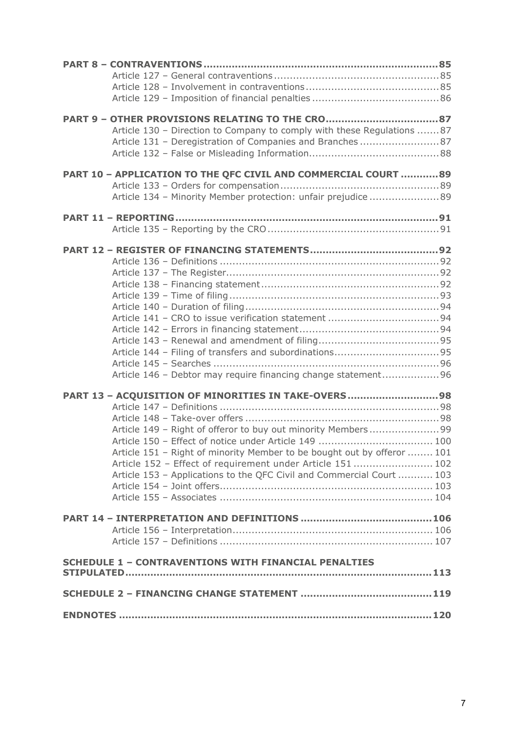| Article 130 - Direction to Company to comply with these Regulations 87  |
|-------------------------------------------------------------------------|
| Article 131 - Deregistration of Companies and Branches87                |
|                                                                         |
|                                                                         |
| PART 10 - APPLICATION TO THE QFC CIVIL AND COMMERCIAL COURT  89         |
| Article 134 - Minority Member protection: unfair prejudice 89           |
|                                                                         |
|                                                                         |
|                                                                         |
|                                                                         |
|                                                                         |
|                                                                         |
|                                                                         |
|                                                                         |
|                                                                         |
|                                                                         |
|                                                                         |
|                                                                         |
|                                                                         |
|                                                                         |
|                                                                         |
| Article 146 - Debtor may require financing change statement96           |
|                                                                         |
| PART 13 - ACQUISITION OF MINORITIES IN TAKE-OVERS98                     |
|                                                                         |
| Article 149 - Right of offeror to buy out minority Members99            |
|                                                                         |
| Article 151 - Right of minority Member to be bought out by offeror  101 |
| Article 152 - Effect of requirement under Article 151  102              |
| Article 153 - Applications to the QFC Civil and Commercial Court  103   |
|                                                                         |
|                                                                         |
|                                                                         |
|                                                                         |
|                                                                         |
|                                                                         |
| <b>SCHEDULE 1 - CONTRAVENTIONS WITH FINANCIAL PENALTIES</b>             |
|                                                                         |
|                                                                         |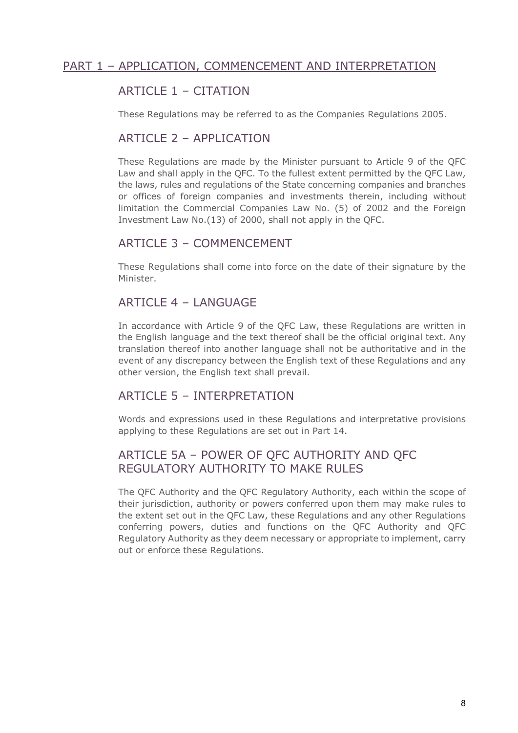## PART 1 – APPLICATION, COMMENCEMENT AND INTERPRETATION

## ARTICLE 1 – CITATION

These Regulations may be referred to as the Companies Regulations 2005.

#### ARTICLE 2 – APPLICATION

These Regulations are made by the Minister pursuant to Article 9 of the QFC Law and shall apply in the QFC. To the fullest extent permitted by the QFC Law, the laws, rules and regulations of the State concerning companies and branches or offices of foreign companies and investments therein, including without limitation the Commercial Companies Law No. (5) of 2002 and the Foreign Investment Law No.(13) of 2000, shall not apply in the QFC.

#### ARTICLE 3 – COMMENCEMENT

These Regulations shall come into force on the date of their signature by the Minister.

#### ARTICLE 4 – LANGUAGE

In accordance with Article 9 of the QFC Law, these Regulations are written in the English language and the text thereof shall be the official original text. Any translation thereof into another language shall not be authoritative and in the event of any discrepancy between the English text of these Regulations and any other version, the English text shall prevail.

#### ARTICLE 5 - INTERPRETATION

Words and expressions used in these Regulations and interpretative provisions applying to these Regulations are set out in Part 14.

## ARTICLE 5A – POWER OF QFC AUTHORITY AND QFC REGULATORY AUTHORITY TO MAKE RULES

The QFC Authority and the QFC Regulatory Authority, each within the scope of their jurisdiction, authority or powers conferred upon them may make rules to the extent set out in the QFC Law, these Regulations and any other Regulations conferring powers, duties and functions on the QFC Authority and QFC Regulatory Authority as they deem necessary or appropriate to implement, carry out or enforce these Regulations.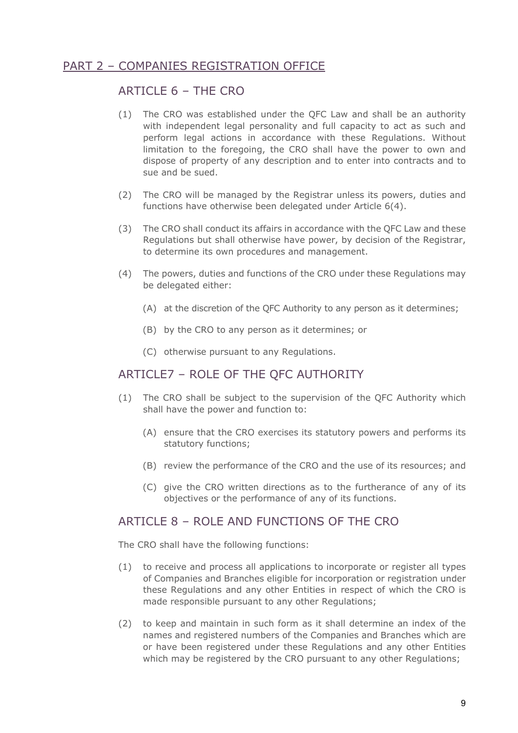## PART 2 – COMPANIES REGISTRATION OFFICE

#### ARTICLE 6 – THE CRO

- (1) The CRO was established under the QFC Law and shall be an authority with independent legal personality and full capacity to act as such and perform legal actions in accordance with these Regulations. Without limitation to the foregoing, the CRO shall have the power to own and dispose of property of any description and to enter into contracts and to sue and be sued.
- (2) The CRO will be managed by the Registrar unless its powers, duties and functions have otherwise been delegated under Article 6(4).
- (3) The CRO shall conduct its affairs in accordance with the QFC Law and these Regulations but shall otherwise have power, by decision of the Registrar, to determine its own procedures and management.
- (4) The powers, duties and functions of the CRO under these Regulations may be delegated either:
	- (A) at the discretion of the QFC Authority to any person as it determines;
	- (B) by the CRO to any person as it determines; or
	- (C) otherwise pursuant to any Regulations.

#### ARTICLE7 – ROLE OF THE QFC AUTHORITY

- (1) The CRO shall be subject to the supervision of the QFC Authority which shall have the power and function to:
	- (A) ensure that the CRO exercises its statutory powers and performs its statutory functions;
	- (B) review the performance of the CRO and the use of its resources; and
	- (C) give the CRO written directions as to the furtherance of any of its objectives or the performance of any of its functions.

#### ARTICLE  $8 - RO$  F AND FUNCTIONS OF THE CRO

The CRO shall have the following functions:

- (1) to receive and process all applications to incorporate or register all types of Companies and Branches eligible for incorporation or registration under these Regulations and any other Entities in respect of which the CRO is made responsible pursuant to any other Regulations;
- (2) to keep and maintain in such form as it shall determine an index of the names and registered numbers of the Companies and Branches which are or have been registered under these Regulations and any other Entities which may be registered by the CRO pursuant to any other Regulations;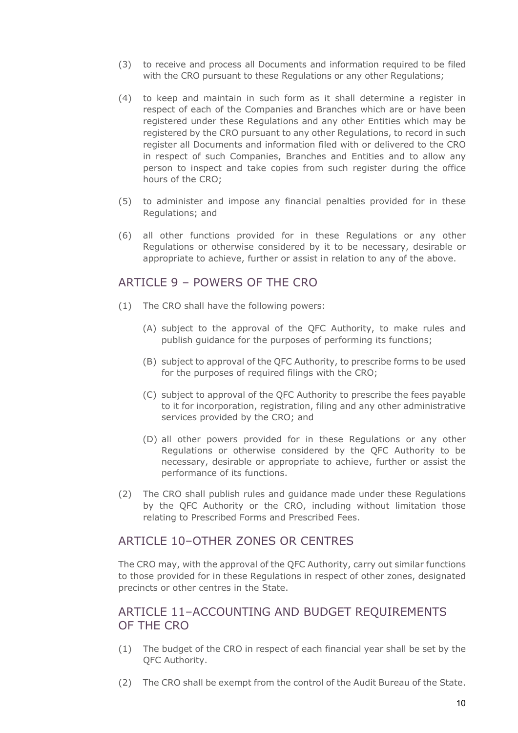- (3) to receive and process all Documents and information required to be filed with the CRO pursuant to these Regulations or any other Regulations;
- (4) to keep and maintain in such form as it shall determine a register in respect of each of the Companies and Branches which are or have been registered under these Regulations and any other Entities which may be registered by the CRO pursuant to any other Regulations, to record in such register all Documents and information filed with or delivered to the CRO in respect of such Companies, Branches and Entities and to allow any person to inspect and take copies from such register during the office hours of the CRO;
- (5) to administer and impose any financial penalties provided for in these Regulations; and
- (6) all other functions provided for in these Regulations or any other Regulations or otherwise considered by it to be necessary, desirable or appropriate to achieve, further or assist in relation to any of the above.

#### ARTICLE 9 – POWERS OF THE CRO

- (1) The CRO shall have the following powers:
	- (A) subject to the approval of the QFC Authority, to make rules and publish guidance for the purposes of performing its functions;
	- (B) subject to approval of the QFC Authority, to prescribe forms to be used for the purposes of required filings with the CRO;
	- (C) subject to approval of the QFC Authority to prescribe the fees payable to it for incorporation, registration, filing and any other administrative services provided by the CRO; and
	- (D) all other powers provided for in these Regulations or any other Regulations or otherwise considered by the QFC Authority to be necessary, desirable or appropriate to achieve, further or assist the performance of its functions.
- (2) The CRO shall publish rules and guidance made under these Regulations by the QFC Authority or the CRO, including without limitation those relating to Prescribed Forms and Prescribed Fees.

#### ARTICLE 10-OTHER ZONES OR CENTRES

The CRO may, with the approval of the QFC Authority, carry out similar functions to those provided for in these Regulations in respect of other zones, designated precincts or other centres in the State.

#### ARTICLE 11–ACCOUNTING AND BUDGET REQUIREMENTS OF THE CRO

- (1) The budget of the CRO in respect of each financial year shall be set by the QFC Authority.
- (2) The CRO shall be exempt from the control of the Audit Bureau of the State.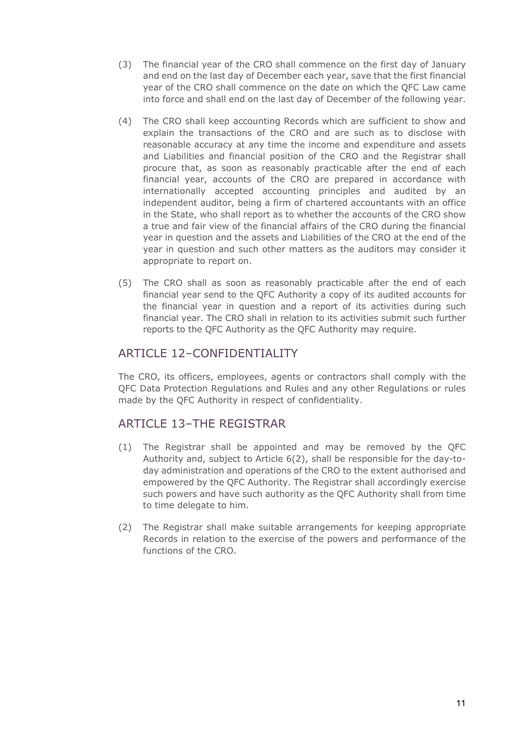- (3) The financial year of the CRO shall commence on the first day of January and end on the last day of December each year, save that the first financial year of the CRO shall commence on the date on which the QFC Law came into force and shall end on the last day of December of the following year.
- (4) The CRO shall keep accounting Records which are sufficient to show and explain the transactions of the CRO and are such as to disclose with reasonable accuracy at any time the income and expenditure and assets and Liabilities and financial position of the CRO and the Registrar shall procure that, as soon as reasonably practicable after the end of each financial year, accounts of the CRO are prepared in accordance with internationally accepted accounting principles and audited by an independent auditor, being a firm of chartered accountants with an office in the State, who shall report as to whether the accounts of the CRO show a true and fair view of the financial affairs of the CRO during the financial year in question and the assets and Liabilities of the CRO at the end of the year in question and such other matters as the auditors may consider it appropriate to report on.
- (5) The CRO shall as soon as reasonably practicable after the end of each financial year send to the QFC Authority a copy of its audited accounts for the financial year in question and a report of its activities during such financial year. The CRO shall in relation to its activities submit such further reports to the QFC Authority as the QFC Authority may require.

## ARTICLE 12–CONFIDENTIALITY

The CRO, its officers, employees, agents or contractors shall comply with the QFC Data Protection Regulations and Rules and any other Regulations or rules made by the QFC Authority in respect of confidentiality.

## ARTICLE 13–THE REGISTRAR

- (1) The Registrar shall be appointed and may be removed by the QFC Authority and, subject to Article 6(2), shall be responsible for the day-today administration and operations of the CRO to the extent authorised and empowered by the QFC Authority. The Registrar shall accordingly exercise such powers and have such authority as the QFC Authority shall from time to time delegate to him.
- (2) The Registrar shall make suitable arrangements for keeping appropriate Records in relation to the exercise of the powers and performance of the functions of the CRO.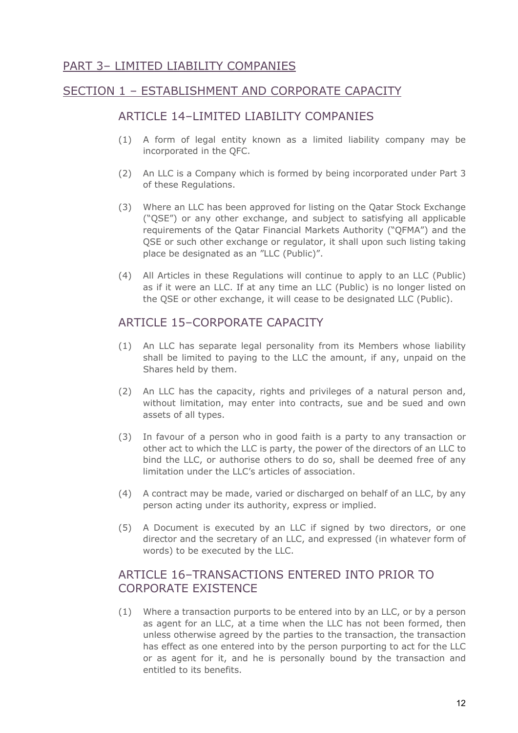## PART 3– LIMITED LIABILITY COMPANIES

## SECTION 1 – ESTABLISHMENT AND CORPORATE CAPACITY

#### ARTICLE 14–LIMITED LIABILITY COMPANIES

- (1) A form of legal entity known as a limited liability company may be incorporated in the QFC.
- (2) An LLC is a Company which is formed by being incorporated under Part 3 of these Regulations.
- (3) Where an LLC has been approved for listing on the Qatar Stock Exchange ("QSE") or any other exchange, and subject to satisfying all applicable requirements of the Qatar Financial Markets Authority ("QFMA") and the QSE or such other exchange or regulator, it shall upon such listing taking place be designated as an "LLC (Public)".
- (4) All Articles in these Regulations will continue to apply to an LLC (Public) as if it were an LLC. If at any time an LLC (Public) is no longer listed on the QSE or other exchange, it will cease to be designated LLC (Public).

## ARTICLE 15–CORPORATE CAPACITY

- (1) An LLC has separate legal personality from its Members whose liability shall be limited to paying to the LLC the amount, if any, unpaid on the Shares held by them.
- (2) An LLC has the capacity, rights and privileges of a natural person and, without limitation, may enter into contracts, sue and be sued and own assets of all types.
- (3) In favour of a person who in good faith is a party to any transaction or other act to which the LLC is party, the power of the directors of an LLC to bind the LLC, or authorise others to do so, shall be deemed free of any limitation under the LLC's articles of association.
- (4) A contract may be made, varied or discharged on behalf of an LLC, by any person acting under its authority, express or implied.
- (5) A Document is executed by an LLC if signed by two directors, or one director and the secretary of an LLC, and expressed (in whatever form of words) to be executed by the LLC.

## ARTICLE 16–TRANSACTIONS ENTERED INTO PRIOR TO CORPORATE EXISTENCE

(1) Where a transaction purports to be entered into by an LLC, or by a person as agent for an LLC, at a time when the LLC has not been formed, then unless otherwise agreed by the parties to the transaction, the transaction has effect as one entered into by the person purporting to act for the LLC or as agent for it, and he is personally bound by the transaction and entitled to its benefits.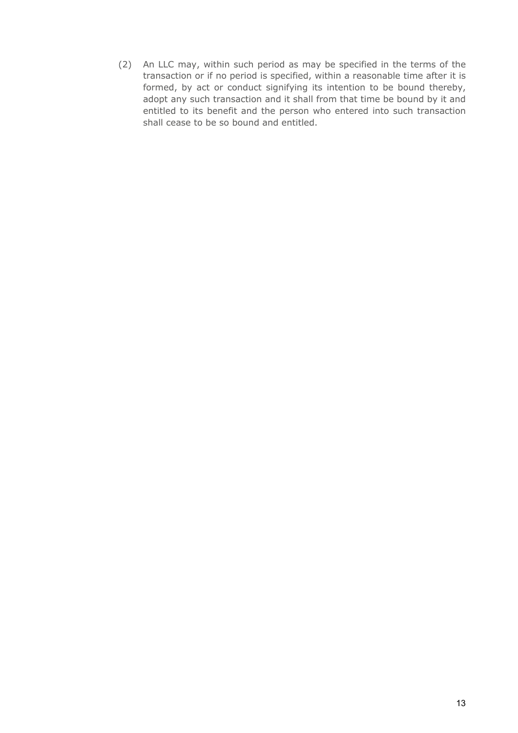(2) An LLC may, within such period as may be specified in the terms of the transaction or if no period is specified, within a reasonable time after it is formed, by act or conduct signifying its intention to be bound thereby, adopt any such transaction and it shall from that time be bound by it and entitled to its benefit and the person who entered into such transaction shall cease to be so bound and entitled.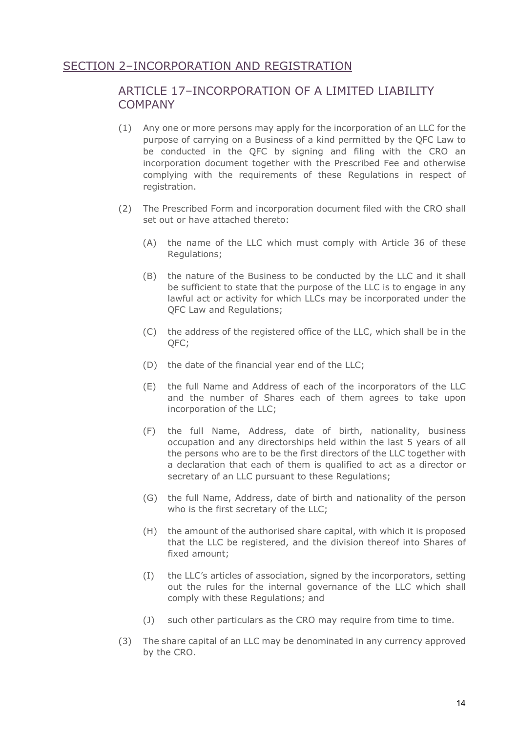## SECTION 2–INCORPORATION AND REGISTRATION

## ARTICLE 17–INCORPORATION OF A LIMITED LIABILITY **COMPANY**

- (1) Any one or more persons may apply for the incorporation of an LLC for the purpose of carrying on a Business of a kind permitted by the QFC Law to be conducted in the QFC by signing and filing with the CRO an incorporation document together with the Prescribed Fee and otherwise complying with the requirements of these Regulations in respect of registration.
- (2) The Prescribed Form and incorporation document filed with the CRO shall set out or have attached thereto:
	- (A) the name of the LLC which must comply with Article 36 of these Regulations;
	- (B) the nature of the Business to be conducted by the LLC and it shall be sufficient to state that the purpose of the LLC is to engage in any lawful act or activity for which LLCs may be incorporated under the QFC Law and Regulations;
	- (C) the address of the registered office of the LLC, which shall be in the QFC;
	- (D) the date of the financial year end of the LLC;
	- (E) the full Name and Address of each of the incorporators of the LLC and the number of Shares each of them agrees to take upon incorporation of the LLC;
	- (F) the full Name, Address, date of birth, nationality, business occupation and any directorships held within the last 5 years of all the persons who are to be the first directors of the LLC together with a declaration that each of them is qualified to act as a director or secretary of an LLC pursuant to these Regulations;
	- (G) the full Name, Address, date of birth and nationality of the person who is the first secretary of the LLC;
	- (H) the amount of the authorised share capital, with which it is proposed that the LLC be registered, and the division thereof into Shares of fixed amount;
	- (I) the LLC's articles of association, signed by the incorporators, setting out the rules for the internal governance of the LLC which shall comply with these Regulations; and
	- (J) such other particulars as the CRO may require from time to time.
- (3) The share capital of an LLC may be denominated in any currency approved by the CRO.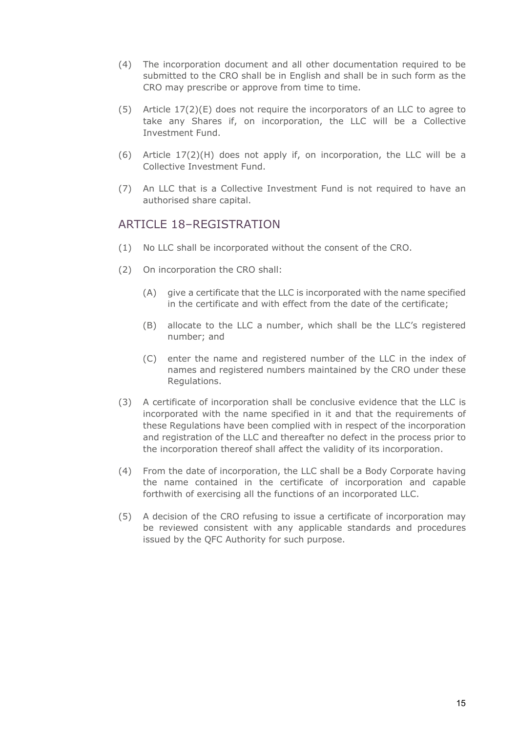- (4) The incorporation document and all other documentation required to be submitted to the CRO shall be in English and shall be in such form as the CRO may prescribe or approve from time to time.
- (5) Article 17(2)(E) does not require the incorporators of an LLC to agree to take any Shares if, on incorporation, the LLC will be a Collective Investment Fund.
- (6) Article 17(2)(H) does not apply if, on incorporation, the LLC will be a Collective Investment Fund.
- (7) An LLC that is a Collective Investment Fund is not required to have an authorised share capital.

## ARTICLE 18–REGISTRATION

- (1) No LLC shall be incorporated without the consent of the CRO.
- (2) On incorporation the CRO shall:
	- (A) give a certificate that the LLC is incorporated with the name specified in the certificate and with effect from the date of the certificate;
	- (B) allocate to the LLC a number, which shall be the LLC's registered number; and
	- (C) enter the name and registered number of the LLC in the index of names and registered numbers maintained by the CRO under these Regulations.
- (3) A certificate of incorporation shall be conclusive evidence that the LLC is incorporated with the name specified in it and that the requirements of these Regulations have been complied with in respect of the incorporation and registration of the LLC and thereafter no defect in the process prior to the incorporation thereof shall affect the validity of its incorporation.
- (4) From the date of incorporation, the LLC shall be a Body Corporate having the name contained in the certificate of incorporation and capable forthwith of exercising all the functions of an incorporated LLC.
- (5) A decision of the CRO refusing to issue a certificate of incorporation may be reviewed consistent with any applicable standards and procedures issued by the QFC Authority for such purpose.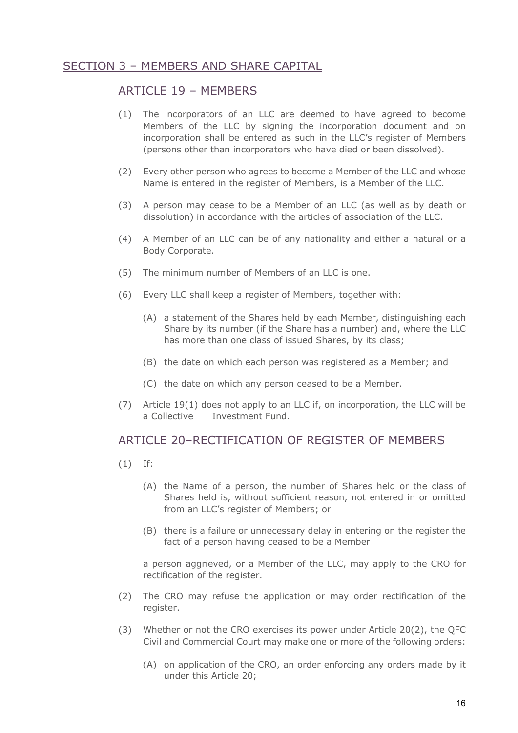## SECTION 3 – MEMBERS AND SHARE CAPITAL

#### ARTICLE 19 – MEMBERS

- (1) The incorporators of an LLC are deemed to have agreed to become Members of the LLC by signing the incorporation document and on incorporation shall be entered as such in the LLC's register of Members (persons other than incorporators who have died or been dissolved).
- (2) Every other person who agrees to become a Member of the LLC and whose Name is entered in the register of Members, is a Member of the LLC.
- (3) A person may cease to be a Member of an LLC (as well as by death or dissolution) in accordance with the articles of association of the LLC.
- (4) A Member of an LLC can be of any nationality and either a natural or a Body Corporate.
- (5) The minimum number of Members of an LLC is one.
- (6) Every LLC shall keep a register of Members, together with:
	- (A) a statement of the Shares held by each Member, distinguishing each Share by its number (if the Share has a number) and, where the LLC has more than one class of issued Shares, by its class;
	- (B) the date on which each person was registered as a Member; and
	- (C) the date on which any person ceased to be a Member.
- (7) Article 19(1) does not apply to an LLC if, on incorporation, the LLC will be a Collective Investment Fund.

#### ARTICLE 20–RECTIFICATION OF REGISTER OF MEMBERS

- (1) If:
	- (A) the Name of a person, the number of Shares held or the class of Shares held is, without sufficient reason, not entered in or omitted from an LLC's register of Members; or
	- (B) there is a failure or unnecessary delay in entering on the register the fact of a person having ceased to be a Member

a person aggrieved, or a Member of the LLC, may apply to the CRO for rectification of the register.

- (2) The CRO may refuse the application or may order rectification of the register.
- (3) Whether or not the CRO exercises its power under Article 20(2), the QFC Civil and Commercial Court may make one or more of the following orders:
	- (A) on application of the CRO, an order enforcing any orders made by it under this Article 20;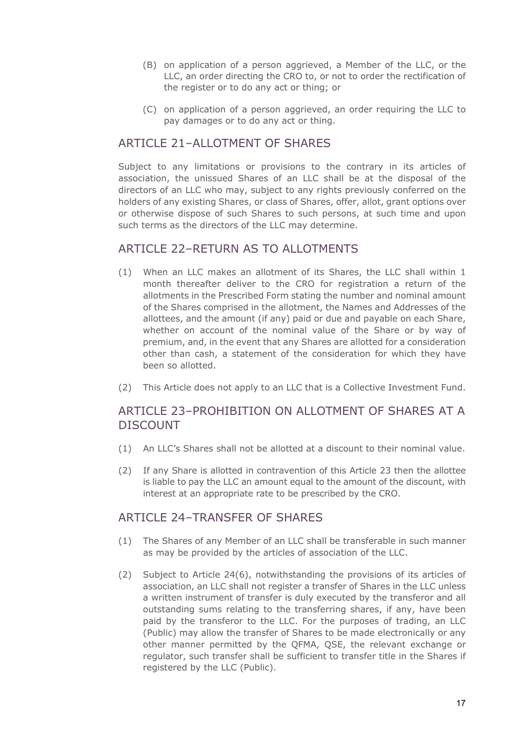- (B) on application of a person aggrieved, a Member of the LLC, or the LLC, an order directing the CRO to, or not to order the rectification of the register or to do any act or thing; or
- (C) on application of a person aggrieved, an order requiring the LLC to pay damages or to do any act or thing.

## ARTICLE 21–ALLOTMENT OF SHARES

Subject to any limitations or provisions to the contrary in its articles of association, the unissued Shares of an LLC shall be at the disposal of the directors of an LLC who may, subject to any rights previously conferred on the holders of any existing Shares, or class of Shares, offer, allot, grant options over or otherwise dispose of such Shares to such persons, at such time and upon such terms as the directors of the LLC may determine.

#### ARTICLE 22–RETURN AS TO ALLOTMENTS

- (1) When an LLC makes an allotment of its Shares, the LLC shall within 1 month thereafter deliver to the CRO for registration a return of the allotments in the Prescribed Form stating the number and nominal amount of the Shares comprised in the allotment, the Names and Addresses of the allottees, and the amount (if any) paid or due and payable on each Share, whether on account of the nominal value of the Share or by way of premium, and, in the event that any Shares are allotted for a consideration other than cash, a statement of the consideration for which they have been so allotted.
- (2) This Article does not apply to an LLC that is a Collective Investment Fund.

## ARTICLE 23–PROHIBITION ON ALLOTMENT OF SHARES AT A DISCOUNT

- (1) An LLC's Shares shall not be allotted at a discount to their nominal value.
- (2) If any Share is allotted in contravention of this Article 23 then the allottee is liable to pay the LLC an amount equal to the amount of the discount, with interest at an appropriate rate to be prescribed by the CRO.

#### ARTICLE 24-TRANSFER OF SHARES

- (1) The Shares of any Member of an LLC shall be transferable in such manner as may be provided by the articles of association of the LLC.
- (2) Subject to Article 24(6), notwithstanding the provisions of its articles of association, an LLC shall not register a transfer of Shares in the LLC unless a written instrument of transfer is duly executed by the transferor and all outstanding sums relating to the transferring shares, if any, have been paid by the transferor to the LLC. For the purposes of trading, an LLC (Public) may allow the transfer of Shares to be made electronically or any other manner permitted by the QFMA, QSE, the relevant exchange or regulator, such transfer shall be sufficient to transfer title in the Shares if registered by the LLC (Public).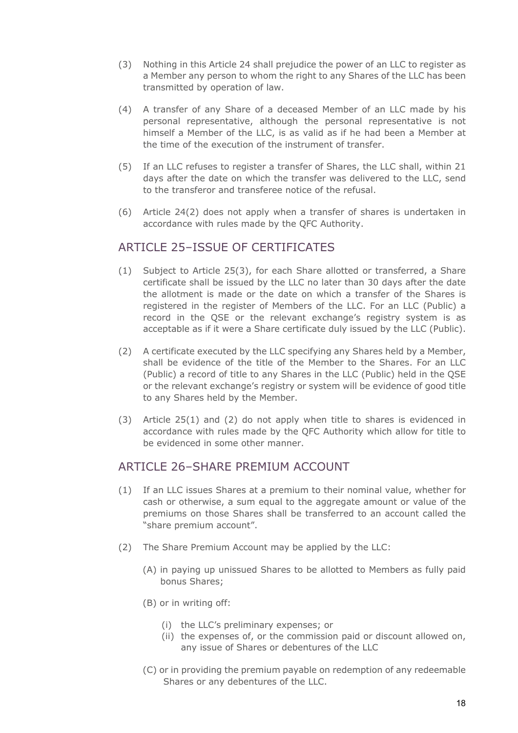- (3) Nothing in this Article 24 shall prejudice the power of an LLC to register as a Member any person to whom the right to any Shares of the LLC has been transmitted by operation of law.
- (4) A transfer of any Share of a deceased Member of an LLC made by his personal representative, although the personal representative is not himself a Member of the LLC, is as valid as if he had been a Member at the time of the execution of the instrument of transfer.
- (5) If an LLC refuses to register a transfer of Shares, the LLC shall, within 21 days after the date on which the transfer was delivered to the LLC, send to the transferor and transferee notice of the refusal.
- (6) Article 24(2) does not apply when a transfer of shares is undertaken in accordance with rules made by the QFC Authority.

## ARTICLE 25–ISSUE OF CERTIFICATES

- (1) Subject to Article 25(3), for each Share allotted or transferred, a Share certificate shall be issued by the LLC no later than 30 days after the date the allotment is made or the date on which a transfer of the Shares is registered in the register of Members of the LLC. For an LLC (Public) a record in the QSE or the relevant exchange's registry system is as acceptable as if it were a Share certificate duly issued by the LLC (Public).
- (2) A certificate executed by the LLC specifying any Shares held by a Member, shall be evidence of the title of the Member to the Shares. For an LLC (Public) a record of title to any Shares in the LLC (Public) held in the QSE or the relevant exchange's registry or system will be evidence of good title to any Shares held by the Member.
- (3) Article 25(1) and (2) do not apply when title to shares is evidenced in accordance with rules made by the QFC Authority which allow for title to be evidenced in some other manner.

#### ARTICLE 26-SHARE PREMIUM ACCOUNT

- (1) If an LLC issues Shares at a premium to their nominal value, whether for cash or otherwise, a sum equal to the aggregate amount or value of the premiums on those Shares shall be transferred to an account called the "share premium account".
- (2) The Share Premium Account may be applied by the LLC:
	- (A) in paying up unissued Shares to be allotted to Members as fully paid bonus Shares;
	- (B) or in writing off:
		- (i) the LLC's preliminary expenses; or
		- (ii) the expenses of, or the commission paid or discount allowed on, any issue of Shares or debentures of the LLC
	- (C) or in providing the premium payable on redemption of any redeemable Shares or any debentures of the LLC.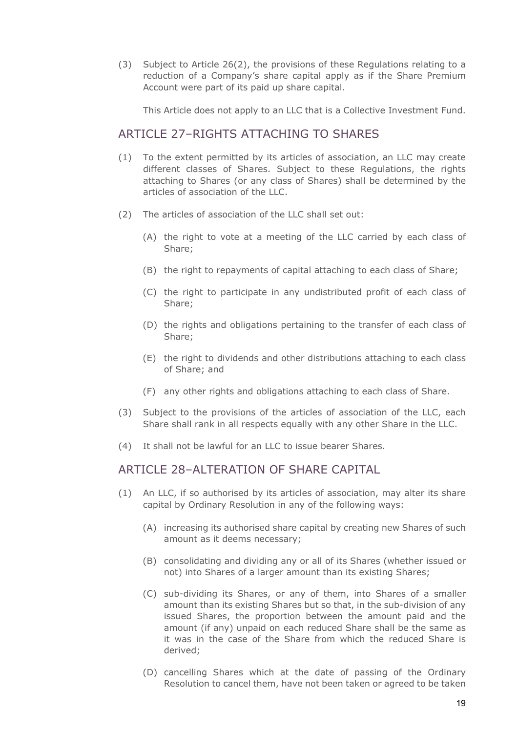(3) Subject to Article 26(2), the provisions of these Regulations relating to a reduction of a Company's share capital apply as if the Share Premium Account were part of its paid up share capital.

This Article does not apply to an LLC that is a Collective Investment Fund.

#### ARTICLE 27–RIGHTS ATTACHING TO SHARES

- (1) To the extent permitted by its articles of association, an LLC may create different classes of Shares. Subject to these Regulations, the rights attaching to Shares (or any class of Shares) shall be determined by the articles of association of the LLC.
- (2) The articles of association of the LLC shall set out:
	- (A) the right to vote at a meeting of the LLC carried by each class of Share;
	- (B) the right to repayments of capital attaching to each class of Share;
	- (C) the right to participate in any undistributed profit of each class of Share;
	- (D) the rights and obligations pertaining to the transfer of each class of Share;
	- (E) the right to dividends and other distributions attaching to each class of Share; and
	- (F) any other rights and obligations attaching to each class of Share.
- (3) Subject to the provisions of the articles of association of the LLC, each Share shall rank in all respects equally with any other Share in the LLC.
- (4) It shall not be lawful for an LLC to issue bearer Shares.

#### ARTICLE 28–ALTERATION OF SHARE CAPITAL

- (1) An LLC, if so authorised by its articles of association, may alter its share capital by Ordinary Resolution in any of the following ways:
	- (A) increasing its authorised share capital by creating new Shares of such amount as it deems necessary;
	- (B) consolidating and dividing any or all of its Shares (whether issued or not) into Shares of a larger amount than its existing Shares;
	- (C) sub-dividing its Shares, or any of them, into Shares of a smaller amount than its existing Shares but so that, in the sub-division of any issued Shares, the proportion between the amount paid and the amount (if any) unpaid on each reduced Share shall be the same as it was in the case of the Share from which the reduced Share is derived;
	- (D) cancelling Shares which at the date of passing of the Ordinary Resolution to cancel them, have not been taken or agreed to be taken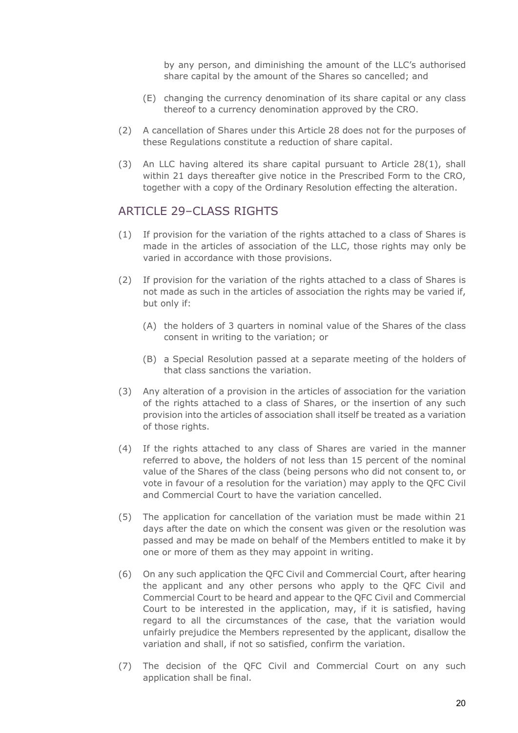by any person, and diminishing the amount of the LLC's authorised share capital by the amount of the Shares so cancelled; and

- (E) changing the currency denomination of its share capital or any class thereof to a currency denomination approved by the CRO.
- (2) A cancellation of Shares under this Article 28 does not for the purposes of these Regulations constitute a reduction of share capital.
- (3) An LLC having altered its share capital pursuant to Article 28(1), shall within 21 days thereafter give notice in the Prescribed Form to the CRO, together with a copy of the Ordinary Resolution effecting the alteration.

#### ARTICLE 29–CLASS RIGHTS

- (1) If provision for the variation of the rights attached to a class of Shares is made in the articles of association of the LLC, those rights may only be varied in accordance with those provisions.
- (2) If provision for the variation of the rights attached to a class of Shares is not made as such in the articles of association the rights may be varied if, but only if:
	- (A) the holders of 3 quarters in nominal value of the Shares of the class consent in writing to the variation; or
	- (B) a Special Resolution passed at a separate meeting of the holders of that class sanctions the variation.
- (3) Any alteration of a provision in the articles of association for the variation of the rights attached to a class of Shares, or the insertion of any such provision into the articles of association shall itself be treated as a variation of those rights.
- (4) If the rights attached to any class of Shares are varied in the manner referred to above, the holders of not less than 15 percent of the nominal value of the Shares of the class (being persons who did not consent to, or vote in favour of a resolution for the variation) may apply to the QFC Civil and Commercial Court to have the variation cancelled.
- (5) The application for cancellation of the variation must be made within 21 days after the date on which the consent was given or the resolution was passed and may be made on behalf of the Members entitled to make it by one or more of them as they may appoint in writing.
- (6) On any such application the QFC Civil and Commercial Court, after hearing the applicant and any other persons who apply to the QFC Civil and Commercial Court to be heard and appear to the QFC Civil and Commercial Court to be interested in the application, may, if it is satisfied, having regard to all the circumstances of the case, that the variation would unfairly prejudice the Members represented by the applicant, disallow the variation and shall, if not so satisfied, confirm the variation.
- (7) The decision of the QFC Civil and Commercial Court on any such application shall be final.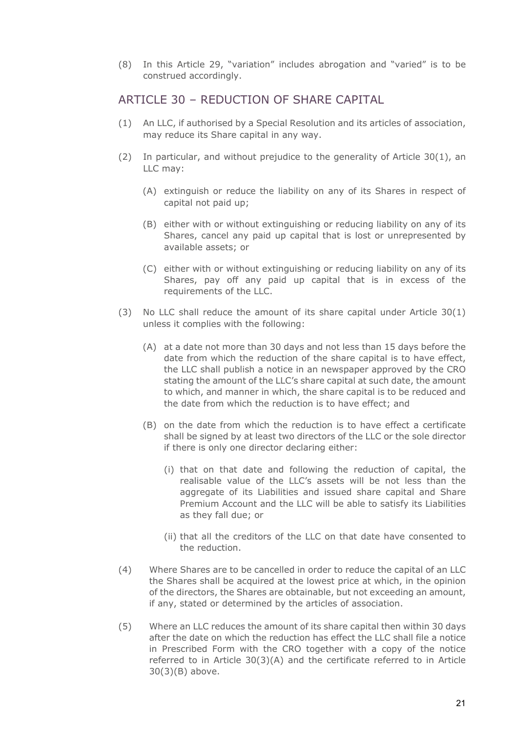(8) In this Article 29, "variation" includes abrogation and "varied" is to be construed accordingly.

#### ARTICLE 30 – REDUCTION OF SHARE CAPITAL

- (1) An LLC, if authorised by a Special Resolution and its articles of association, may reduce its Share capital in any way.
- (2) In particular, and without prejudice to the generality of Article 30(1), an LLC may:
	- (A) extinguish or reduce the liability on any of its Shares in respect of capital not paid up;
	- (B) either with or without extinguishing or reducing liability on any of its Shares, cancel any paid up capital that is lost or unrepresented by available assets; or
	- (C) either with or without extinguishing or reducing liability on any of its Shares, pay off any paid up capital that is in excess of the requirements of the LLC.
- (3) No LLC shall reduce the amount of its share capital under Article 30(1) unless it complies with the following:
	- (A) at a date not more than 30 days and not less than 15 days before the date from which the reduction of the share capital is to have effect, the LLC shall publish a notice in an newspaper approved by the CRO stating the amount of the LLC's share capital at such date, the amount to which, and manner in which, the share capital is to be reduced and the date from which the reduction is to have effect; and
	- (B) on the date from which the reduction is to have effect a certificate shall be signed by at least two directors of the LLC or the sole director if there is only one director declaring either:
		- (i) that on that date and following the reduction of capital, the realisable value of the LLC's assets will be not less than the aggregate of its Liabilities and issued share capital and Share Premium Account and the LLC will be able to satisfy its Liabilities as they fall due; or
		- (ii) that all the creditors of the LLC on that date have consented to the reduction.
- (4) Where Shares are to be cancelled in order to reduce the capital of an LLC the Shares shall be acquired at the lowest price at which, in the opinion of the directors, the Shares are obtainable, but not exceeding an amount, if any, stated or determined by the articles of association.
- (5) Where an LLC reduces the amount of its share capital then within 30 days after the date on which the reduction has effect the LLC shall file a notice in Prescribed Form with the CRO together with a copy of the notice referred to in Article 30(3)(A) and the certificate referred to in Article 30(3)(B) above.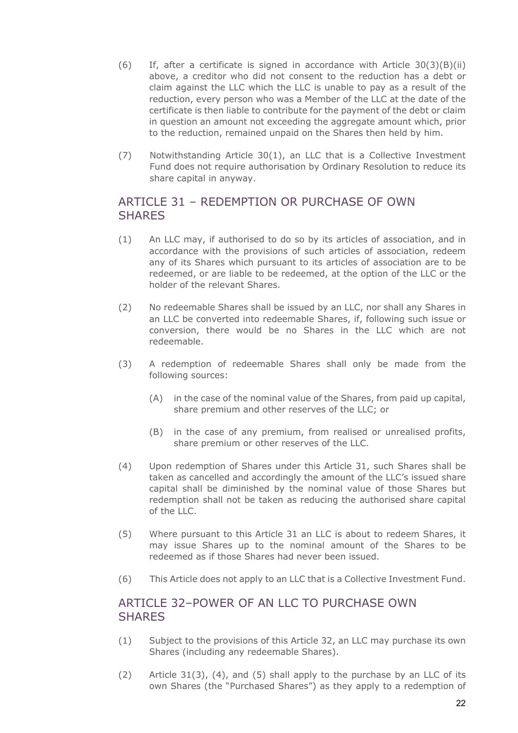- $(6)$  If, after a certificate is signed in accordance with Article 30(3)(B)(ii) above, a creditor who did not consent to the reduction has a debt or claim against the LLC which the LLC is unable to pay as a result of the reduction, every person who was a Member of the LLC at the date of the certificate is then liable to contribute for the payment of the debt or claim in question an amount not exceeding the aggregate amount which, prior to the reduction, remained unpaid on the Shares then held by him.
- (7) Notwithstanding Article 30(1), an LLC that is a Collective Investment Fund does not require authorisation by Ordinary Resolution to reduce its share capital in anyway.

## ARTICLE 31 – REDEMPTION OR PURCHASE OF OWN **SHARES**

- (1) An LLC may, if authorised to do so by its articles of association, and in accordance with the provisions of such articles of association, redeem any of its Shares which pursuant to its articles of association are to be redeemed, or are liable to be redeemed, at the option of the LLC or the holder of the relevant Shares.
- (2) No redeemable Shares shall be issued by an LLC, nor shall any Shares in an LLC be converted into redeemable Shares, if, following such issue or conversion, there would be no Shares in the LLC which are not redeemable.
- (3) A redemption of redeemable Shares shall only be made from the following sources:
	- (A) in the case of the nominal value of the Shares, from paid up capital, share premium and other reserves of the LLC; or
	- (B) in the case of any premium, from realised or unrealised profits, share premium or other reserves of the LLC.
- (4) Upon redemption of Shares under this Article 31, such Shares shall be taken as cancelled and accordingly the amount of the LLC's issued share capital shall be diminished by the nominal value of those Shares but redemption shall not be taken as reducing the authorised share capital of the  $H.C.$
- (5) Where pursuant to this Article 31 an LLC is about to redeem Shares, it may issue Shares up to the nominal amount of the Shares to be redeemed as if those Shares had never been issued.
- (6) This Article does not apply to an LLC that is a Collective Investment Fund.

## ARTICLE 32–POWER OF AN LLC TO PURCHASE OWN **SHARES**

- (1) Subject to the provisions of this Article 32, an LLC may purchase its own Shares (including any redeemable Shares).
- (2) Article 31(3), (4), and (5) shall apply to the purchase by an LLC of its own Shares (the "Purchased Shares") as they apply to a redemption of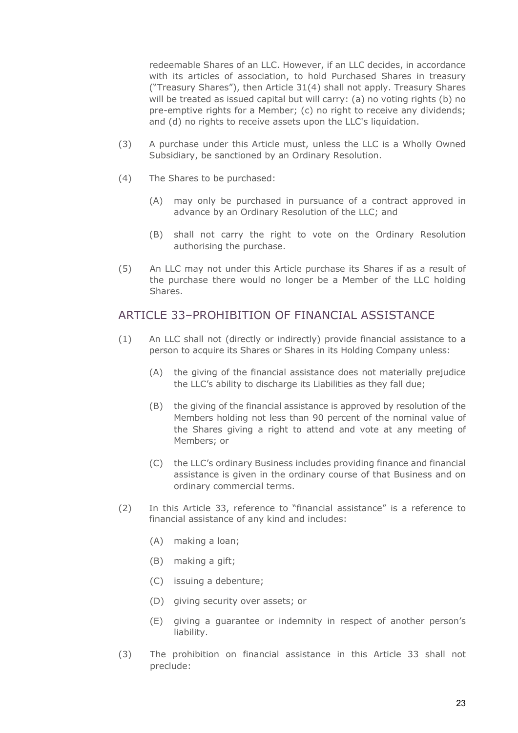redeemable Shares of an LLC. However, if an LLC decides, in accordance with its articles of association, to hold Purchased Shares in treasury ("Treasury Shares"), then Article 31(4) shall not apply. Treasury Shares will be treated as issued capital but will carry: (a) no voting rights (b) no pre-emptive rights for a Member; (c) no right to receive any dividends; and (d) no rights to receive assets upon the LLC's liquidation.

- (3) A purchase under this Article must, unless the LLC is a Wholly Owned Subsidiary, be sanctioned by an Ordinary Resolution.
- (4) The Shares to be purchased:
	- (A) may only be purchased in pursuance of a contract approved in advance by an Ordinary Resolution of the LLC; and
	- (B) shall not carry the right to vote on the Ordinary Resolution authorising the purchase.
- (5) An LLC may not under this Article purchase its Shares if as a result of the purchase there would no longer be a Member of the LLC holding Shares.

## ARTICLE 33–PROHIBITION OF FINANCIAL ASSISTANCE

- (1) An LLC shall not (directly or indirectly) provide financial assistance to a person to acquire its Shares or Shares in its Holding Company unless:
	- (A) the giving of the financial assistance does not materially prejudice the LLC's ability to discharge its Liabilities as they fall due;
	- (B) the giving of the financial assistance is approved by resolution of the Members holding not less than 90 percent of the nominal value of the Shares giving a right to attend and vote at any meeting of Members; or
	- (C) the LLC's ordinary Business includes providing finance and financial assistance is given in the ordinary course of that Business and on ordinary commercial terms.
- (2) In this Article 33, reference to "financial assistance" is a reference to financial assistance of any kind and includes:
	- (A) making a loan;
	- (B) making a gift;
	- (C) issuing a debenture;
	- (D) giving security over assets; or
	- (E) giving a guarantee or indemnity in respect of another person's liability.
- (3) The prohibition on financial assistance in this Article 33 shall not preclude: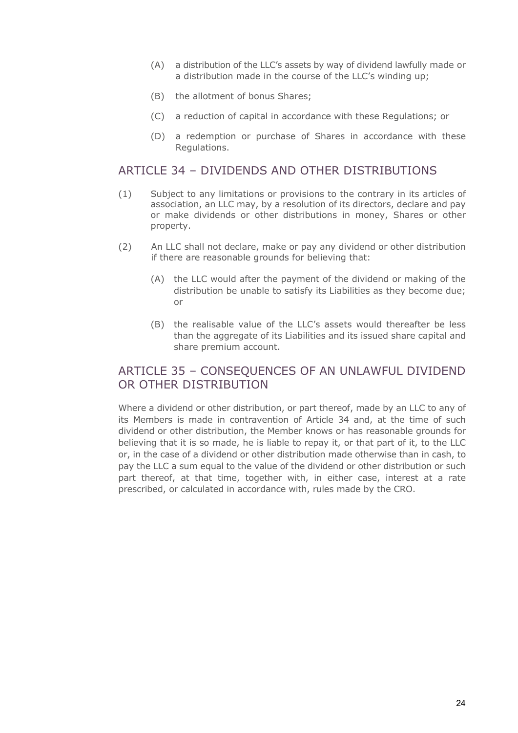- (A) a distribution of the LLC's assets by way of dividend lawfully made or a distribution made in the course of the LLC's winding up;
- (B) the allotment of bonus Shares;
- (C) a reduction of capital in accordance with these Regulations; or
- (D) a redemption or purchase of Shares in accordance with these Regulations.

#### ARTICLE 34 – DIVIDENDS AND OTHER DISTRIBUTIONS

- (1) Subject to any limitations or provisions to the contrary in its articles of association, an LLC may, by a resolution of its directors, declare and pay or make dividends or other distributions in money, Shares or other property.
- (2) An LLC shall not declare, make or pay any dividend or other distribution if there are reasonable grounds for believing that:
	- (A) the LLC would after the payment of the dividend or making of the distribution be unable to satisfy its Liabilities as they become due; or
	- (B) the realisable value of the LLC's assets would thereafter be less than the aggregate of its Liabilities and its issued share capital and share premium account.

## ARTICLE 35 – CONSEQUENCES OF AN UNLAWFUL DIVIDEND OR OTHER DISTRIBUTION

Where a dividend or other distribution, or part thereof, made by an LLC to any of its Members is made in contravention of Article 34 and, at the time of such dividend or other distribution, the Member knows or has reasonable grounds for believing that it is so made, he is liable to repay it, or that part of it, to the LLC or, in the case of a dividend or other distribution made otherwise than in cash, to pay the LLC a sum equal to the value of the dividend or other distribution or such part thereof, at that time, together with, in either case, interest at a rate prescribed, or calculated in accordance with, rules made by the CRO.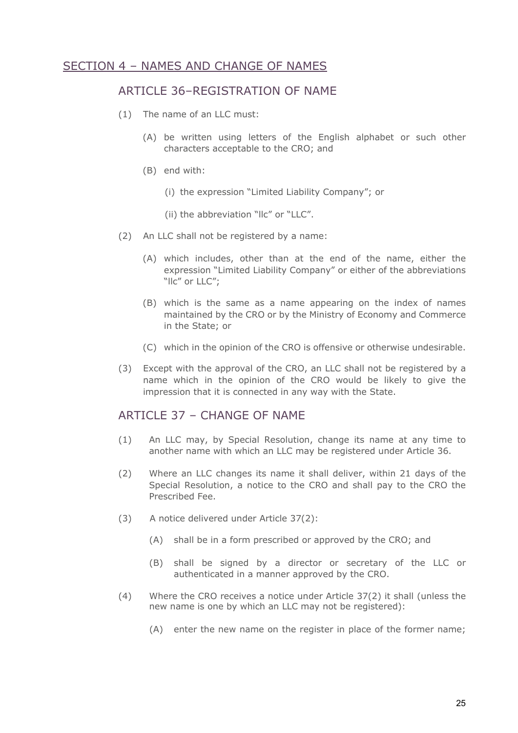## SECTION 4 – NAMES AND CHANGE OF NAMES

#### ARTICLE 36–REGISTRATION OF NAME

- (1) The name of an LLC must:
	- (A) be written using letters of the English alphabet or such other characters acceptable to the CRO; and
	- (B) end with:
		- (i) the expression "Limited Liability Company"; or
		- (ii) the abbreviation "llc" or "LLC".
- (2) An LLC shall not be registered by a name:
	- (A) which includes, other than at the end of the name, either the expression "Limited Liability Company" or either of the abbreviations "llc" or LLC";
	- (B) which is the same as a name appearing on the index of names maintained by the CRO or by the Ministry of Economy and Commerce in the State; or
	- (C) which in the opinion of the CRO is offensive or otherwise undesirable.
- (3) Except with the approval of the CRO, an LLC shall not be registered by a name which in the opinion of the CRO would be likely to give the impression that it is connected in any way with the State.

#### ARTICLE 37 - CHANGE OF NAME

- (1) An LLC may, by Special Resolution, change its name at any time to another name with which an LLC may be registered under Article 36.
- (2) Where an LLC changes its name it shall deliver, within 21 days of the Special Resolution, a notice to the CRO and shall pay to the CRO the Prescribed Fee.
- (3) A notice delivered under Article 37(2):
	- (A) shall be in a form prescribed or approved by the CRO; and
	- (B) shall be signed by a director or secretary of the LLC or authenticated in a manner approved by the CRO.
- (4) Where the CRO receives a notice under Article 37(2) it shall (unless the new name is one by which an LLC may not be registered):
	- (A) enter the new name on the register in place of the former name;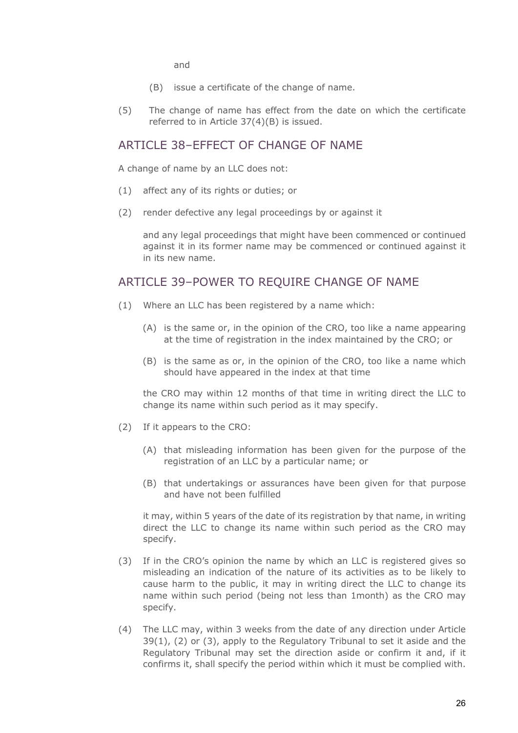and

- (B) issue a certificate of the change of name.
- (5) The change of name has effect from the date on which the certificate referred to in Article 37(4)(B) is issued.

#### ARTICLE 38-FFFFCT OF CHANGE OF NAME

A change of name by an LLC does not:

- (1) affect any of its rights or duties; or
- (2) render defective any legal proceedings by or against it

and any legal proceedings that might have been commenced or continued against it in its former name may be commenced or continued against it in its new name.

#### ARTICLE 39–POWER TO REQUIRE CHANGE OF NAME

- (1) Where an LLC has been registered by a name which:
	- (A) is the same or, in the opinion of the CRO, too like a name appearing at the time of registration in the index maintained by the CRO; or
	- (B) is the same as or, in the opinion of the CRO, too like a name which should have appeared in the index at that time

the CRO may within 12 months of that time in writing direct the LLC to change its name within such period as it may specify.

- (2) If it appears to the CRO:
	- (A) that misleading information has been given for the purpose of the registration of an LLC by a particular name; or
	- (B) that undertakings or assurances have been given for that purpose and have not been fulfilled

it may, within 5 years of the date of its registration by that name, in writing direct the LLC to change its name within such period as the CRO may specify.

- (3) If in the CRO's opinion the name by which an LLC is registered gives so misleading an indication of the nature of its activities as to be likely to cause harm to the public, it may in writing direct the LLC to change its name within such period (being not less than 1month) as the CRO may specify.
- (4) The LLC may, within 3 weeks from the date of any direction under Article 39(1), (2) or (3), apply to the Regulatory Tribunal to set it aside and the Regulatory Tribunal may set the direction aside or confirm it and, if it confirms it, shall specify the period within which it must be complied with.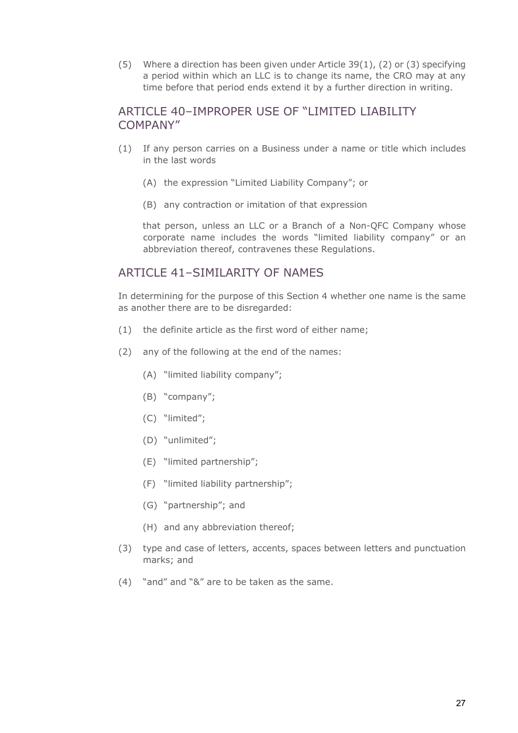(5) Where a direction has been given under Article 39(1), (2) or (3) specifying a period within which an LLC is to change its name, the CRO may at any time before that period ends extend it by a further direction in writing.

#### ARTICLE 40–IMPROPER USE OF "LIMITED LIABILITY COMPANY"

- (1) If any person carries on a Business under a name or title which includes in the last words
	- (A) the expression "Limited Liability Company"; or
	- (B) any contraction or imitation of that expression

that person, unless an LLC or a Branch of a Non-QFC Company whose corporate name includes the words "limited liability company" or an abbreviation thereof, contravenes these Regulations.

#### ARTICLE 41-SIMILARITY OF NAMES

In determining for the purpose of this Section 4 whether one name is the same as another there are to be disregarded:

- (1) the definite article as the first word of either name;
- (2) any of the following at the end of the names:
	- (A) "limited liability company";
	- (B) "company";
	- (C) "limited";
	- (D) "unlimited";
	- (E) "limited partnership";
	- (F) "limited liability partnership";
	- (G) "partnership"; and
	- (H) and any abbreviation thereof;
- (3) type and case of letters, accents, spaces between letters and punctuation marks; and
- (4) "and" and "&" are to be taken as the same.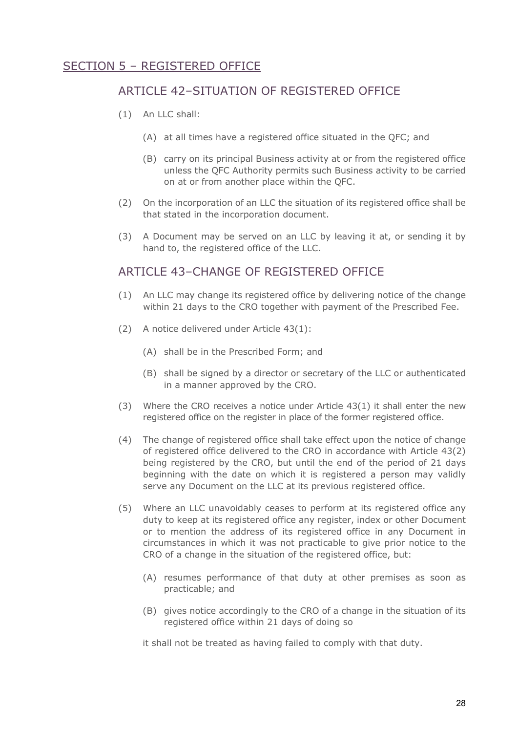## SECTION 5 – REGISTERED OFFICE

## ARTICLE 42–SITUATION OF REGISTERED OFFICE

- (1) An LLC shall:
	- (A) at all times have a registered office situated in the QFC; and
	- (B) carry on its principal Business activity at or from the registered office unless the QFC Authority permits such Business activity to be carried on at or from another place within the QFC.
- (2) On the incorporation of an LLC the situation of its registered office shall be that stated in the incorporation document.
- (3) A Document may be served on an LLC by leaving it at, or sending it by hand to, the registered office of the LLC.

#### ARTICLE 43-CHANGE OF REGISTERED OFFICE

- (1) An LLC may change its registered office by delivering notice of the change within 21 days to the CRO together with payment of the Prescribed Fee.
- (2) A notice delivered under Article 43(1):
	- (A) shall be in the Prescribed Form; and
	- (B) shall be signed by a director or secretary of the LLC or authenticated in a manner approved by the CRO.
- (3) Where the CRO receives a notice under Article 43(1) it shall enter the new registered office on the register in place of the former registered office.
- (4) The change of registered office shall take effect upon the notice of change of registered office delivered to the CRO in accordance with Article 43(2) being registered by the CRO, but until the end of the period of 21 days beginning with the date on which it is registered a person may validly serve any Document on the LLC at its previous registered office.
- (5) Where an LLC unavoidably ceases to perform at its registered office any duty to keep at its registered office any register, index or other Document or to mention the address of its registered office in any Document in circumstances in which it was not practicable to give prior notice to the CRO of a change in the situation of the registered office, but:
	- (A) resumes performance of that duty at other premises as soon as practicable; and
	- (B) gives notice accordingly to the CRO of a change in the situation of its registered office within 21 days of doing so

it shall not be treated as having failed to comply with that duty.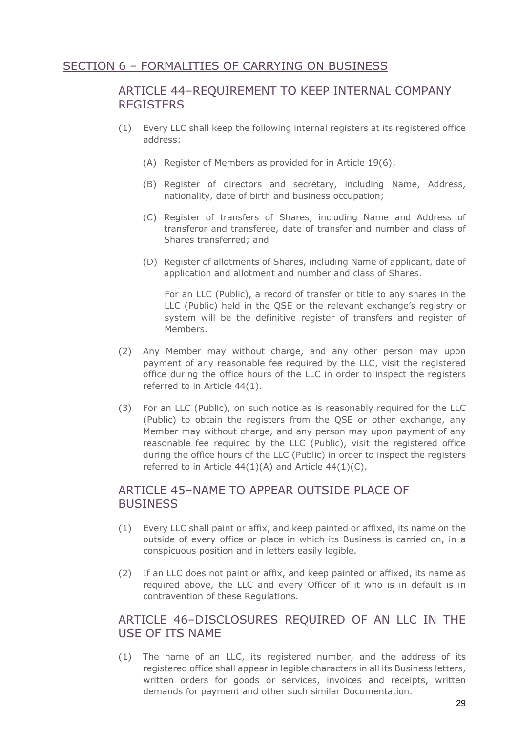## SECTION 6 – FORMALITIES OF CARRYING ON BUSINESS

## ARTICLE 44–REQUIREMENT TO KEEP INTERNAL COMPANY **REGISTERS**

- (1) Every LLC shall keep the following internal registers at its registered office address:
	- (A) Register of Members as provided for in Article 19(6);
	- (B) Register of directors and secretary, including Name, Address, nationality, date of birth and business occupation;
	- (C) Register of transfers of Shares, including Name and Address of transferor and transferee, date of transfer and number and class of Shares transferred; and
	- (D) Register of allotments of Shares, including Name of applicant, date of application and allotment and number and class of Shares.

For an LLC (Public), a record of transfer or title to any shares in the LLC (Public) held in the QSE or the relevant exchange's registry or system will be the definitive register of transfers and register of Members.

- (2) Any Member may without charge, and any other person may upon payment of any reasonable fee required by the LLC, visit the registered office during the office hours of the LLC in order to inspect the registers referred to in Article 44(1).
- (3) For an LLC (Public), on such notice as is reasonably required for the LLC (Public) to obtain the registers from the QSE or other exchange, any Member may without charge, and any person may upon payment of any reasonable fee required by the LLC (Public), visit the registered office during the office hours of the LLC (Public) in order to inspect the registers referred to in Article 44(1)(A) and Article 44(1)(C).

#### ARTICLE 45–NAME TO APPEAR OUTSIDE PLACE OF **BUSINESS**

- (1) Every LLC shall paint or affix, and keep painted or affixed, its name on the outside of every office or place in which its Business is carried on, in a conspicuous position and in letters easily legible.
- (2) If an LLC does not paint or affix, and keep painted or affixed, its name as required above, the LLC and every Officer of it who is in default is in contravention of these Regulations.

## ARTICLE 46–DISCLOSURES REQUIRED OF AN LLC IN THE USE OF ITS NAME

(1) The name of an LLC, its registered number, and the address of its registered office shall appear in legible characters in all its Business letters, written orders for goods or services, invoices and receipts, written demands for payment and other such similar Documentation.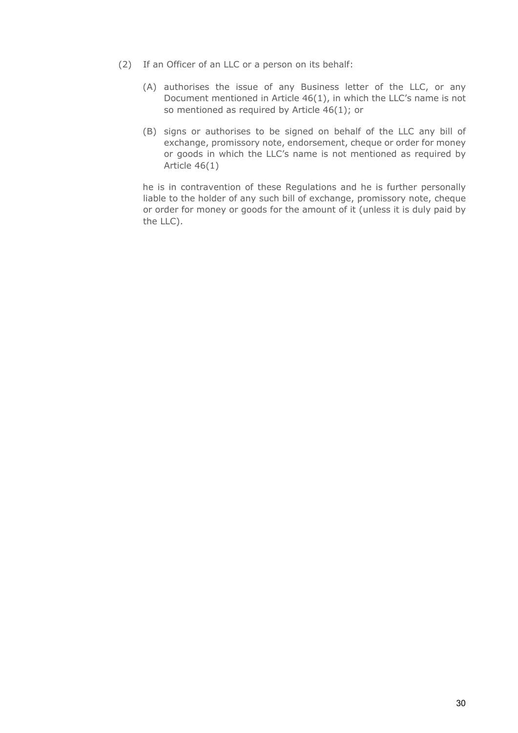- (2) If an Officer of an LLC or a person on its behalf:
	- (A) authorises the issue of any Business letter of the LLC, or any Document mentioned in Article 46(1), in which the LLC's name is not so mentioned as required by Article 46(1); or
	- (B) signs or authorises to be signed on behalf of the LLC any bill of exchange, promissory note, endorsement, cheque or order for money or goods in which the LLC's name is not mentioned as required by Article 46(1)

he is in contravention of these Regulations and he is further personally liable to the holder of any such bill of exchange, promissory note, cheque or order for money or goods for the amount of it (unless it is duly paid by the LLC).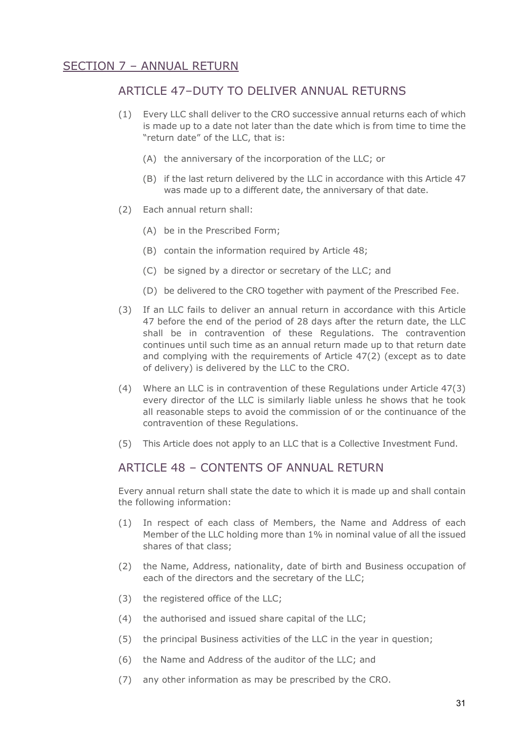## SECTION 7 – ANNUAL RETURN

#### ARTICLE 47–DUTY TO DELIVER ANNUAL RETURNS

- (1) Every LLC shall deliver to the CRO successive annual returns each of which is made up to a date not later than the date which is from time to time the "return date" of the LLC, that is:
	- (A) the anniversary of the incorporation of the LLC; or
	- (B) if the last return delivered by the LLC in accordance with this Article 47 was made up to a different date, the anniversary of that date.
- (2) Each annual return shall:
	- (A) be in the Prescribed Form;
	- (B) contain the information required by Article 48;
	- (C) be signed by a director or secretary of the LLC; and
	- (D) be delivered to the CRO together with payment of the Prescribed Fee.
- (3) If an LLC fails to deliver an annual return in accordance with this Article 47 before the end of the period of 28 days after the return date, the LLC shall be in contravention of these Regulations. The contravention continues until such time as an annual return made up to that return date and complying with the requirements of Article 47(2) (except as to date of delivery) is delivered by the LLC to the CRO.
- (4) Where an LLC is in contravention of these Regulations under Article 47(3) every director of the LLC is similarly liable unless he shows that he took all reasonable steps to avoid the commission of or the continuance of the contravention of these Regulations.
- (5) This Article does not apply to an LLC that is a Collective Investment Fund.

#### ARTICLE 48 – CONTENTS OF ANNUAL RETURN

Every annual return shall state the date to which it is made up and shall contain the following information:

- (1) In respect of each class of Members, the Name and Address of each Member of the LLC holding more than 1% in nominal value of all the issued shares of that class;
- (2) the Name, Address, nationality, date of birth and Business occupation of each of the directors and the secretary of the LLC;
- (3) the registered office of the LLC;
- (4) the authorised and issued share capital of the LLC;
- (5) the principal Business activities of the LLC in the year in question;
- (6) the Name and Address of the auditor of the LLC; and
- (7) any other information as may be prescribed by the CRO.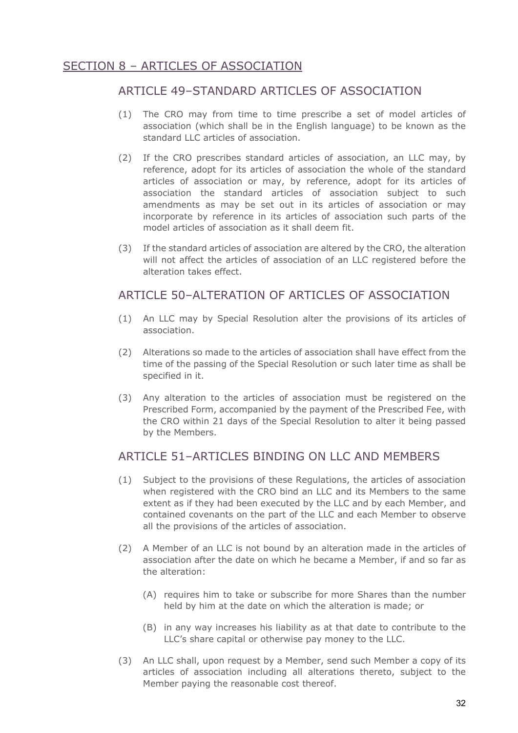## SECTION 8 – ARTICLES OF ASSOCIATION

## ARTICLE 49–STANDARD ARTICLES OF ASSOCIATION

- (1) The CRO may from time to time prescribe a set of model articles of association (which shall be in the English language) to be known as the standard LLC articles of association.
- (2) If the CRO prescribes standard articles of association, an LLC may, by reference, adopt for its articles of association the whole of the standard articles of association or may, by reference, adopt for its articles of association the standard articles of association subject to such amendments as may be set out in its articles of association or may incorporate by reference in its articles of association such parts of the model articles of association as it shall deem fit.
- (3) If the standard articles of association are altered by the CRO, the alteration will not affect the articles of association of an LLC registered before the alteration takes effect.

## ARTICLE 50–ALTERATION OF ARTICLES OF ASSOCIATION

- (1) An LLC may by Special Resolution alter the provisions of its articles of association.
- (2) Alterations so made to the articles of association shall have effect from the time of the passing of the Special Resolution or such later time as shall be specified in it.
- (3) Any alteration to the articles of association must be registered on the Prescribed Form, accompanied by the payment of the Prescribed Fee, with the CRO within 21 days of the Special Resolution to alter it being passed by the Members.

## ARTICLE 51–ARTICLES BINDING ON LLC AND MEMBERS

- (1) Subject to the provisions of these Regulations, the articles of association when registered with the CRO bind an LLC and its Members to the same extent as if they had been executed by the LLC and by each Member, and contained covenants on the part of the LLC and each Member to observe all the provisions of the articles of association.
- (2) A Member of an LLC is not bound by an alteration made in the articles of association after the date on which he became a Member, if and so far as the alteration:
	- (A) requires him to take or subscribe for more Shares than the number held by him at the date on which the alteration is made; or
	- (B) in any way increases his liability as at that date to contribute to the LLC's share capital or otherwise pay money to the LLC.
- (3) An LLC shall, upon request by a Member, send such Member a copy of its articles of association including all alterations thereto, subject to the Member paying the reasonable cost thereof.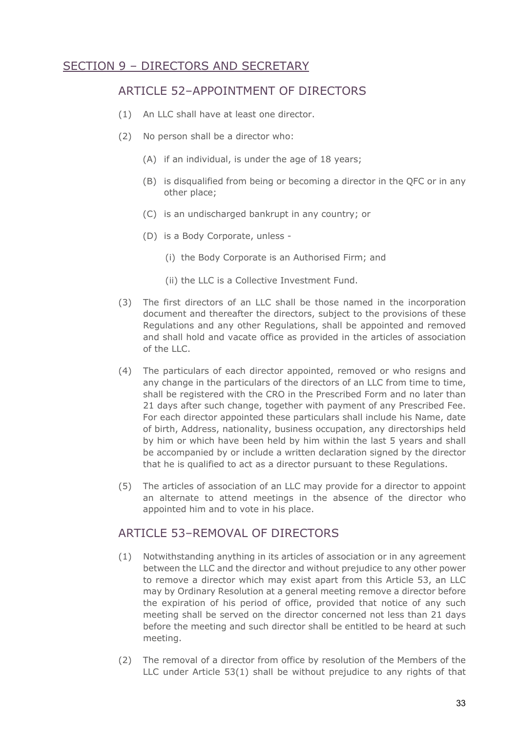## SECTION 9 – DIRECTORS AND SECRETARY

## ARTICLE 52–APPOINTMENT OF DIRECTORS

- (1) An LLC shall have at least one director.
- (2) No person shall be a director who:
	- (A) if an individual, is under the age of 18 years;
	- (B) is disqualified from being or becoming a director in the QFC or in any other place;
	- (C) is an undischarged bankrupt in any country; or
	- (D) is a Body Corporate, unless
		- (i) the Body Corporate is an Authorised Firm; and
		- (ii) the LLC is a Collective Investment Fund.
- (3) The first directors of an LLC shall be those named in the incorporation document and thereafter the directors, subject to the provisions of these Regulations and any other Regulations, shall be appointed and removed and shall hold and vacate office as provided in the articles of association of the LLC.
- (4) The particulars of each director appointed, removed or who resigns and any change in the particulars of the directors of an LLC from time to time, shall be registered with the CRO in the Prescribed Form and no later than 21 days after such change, together with payment of any Prescribed Fee. For each director appointed these particulars shall include his Name, date of birth, Address, nationality, business occupation, any directorships held by him or which have been held by him within the last 5 years and shall be accompanied by or include a written declaration signed by the director that he is qualified to act as a director pursuant to these Regulations.
- (5) The articles of association of an LLC may provide for a director to appoint an alternate to attend meetings in the absence of the director who appointed him and to vote in his place.

## ARTICLE 53–REMOVAL OF DIRECTORS

- (1) Notwithstanding anything in its articles of association or in any agreement between the LLC and the director and without prejudice to any other power to remove a director which may exist apart from this Article 53, an LLC may by Ordinary Resolution at a general meeting remove a director before the expiration of his period of office, provided that notice of any such meeting shall be served on the director concerned not less than 21 days before the meeting and such director shall be entitled to be heard at such meeting.
- (2) The removal of a director from office by resolution of the Members of the LLC under Article 53(1) shall be without prejudice to any rights of that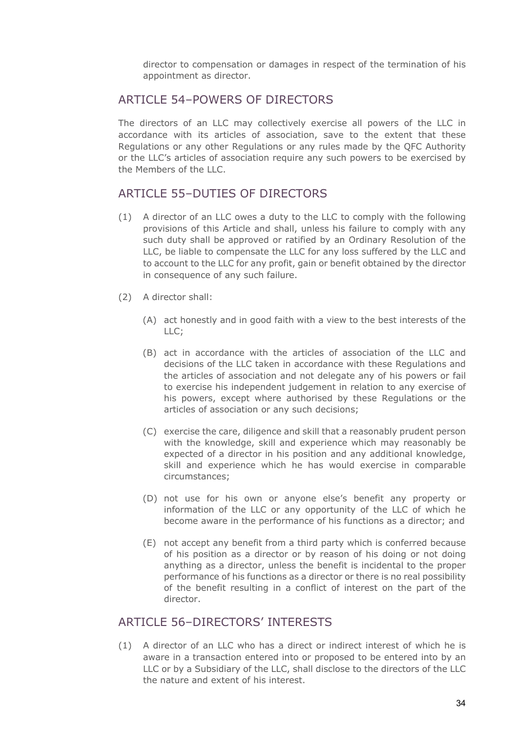director to compensation or damages in respect of the termination of his appointment as director.

#### ARTICLE 54–POWERS OF DIRECTORS

The directors of an LLC may collectively exercise all powers of the LLC in accordance with its articles of association, save to the extent that these Regulations or any other Regulations or any rules made by the QFC Authority or the LLC's articles of association require any such powers to be exercised by the Members of the LLC.

## ARTICLE 55–DUTIES OF DIRECTORS

- (1) A director of an LLC owes a duty to the LLC to comply with the following provisions of this Article and shall, unless his failure to comply with any such duty shall be approved or ratified by an Ordinary Resolution of the LLC, be liable to compensate the LLC for any loss suffered by the LLC and to account to the LLC for any profit, gain or benefit obtained by the director in consequence of any such failure.
- (2) A director shall:
	- (A) act honestly and in good faith with a view to the best interests of the LLC;
	- (B) act in accordance with the articles of association of the LLC and decisions of the LLC taken in accordance with these Regulations and the articles of association and not delegate any of his powers or fail to exercise his independent judgement in relation to any exercise of his powers, except where authorised by these Regulations or the articles of association or any such decisions;
	- (C) exercise the care, diligence and skill that a reasonably prudent person with the knowledge, skill and experience which may reasonably be expected of a director in his position and any additional knowledge, skill and experience which he has would exercise in comparable circumstances;
	- (D) not use for his own or anyone else's benefit any property or information of the LLC or any opportunity of the LLC of which he become aware in the performance of his functions as a director; and
	- (E) not accept any benefit from a third party which is conferred because of his position as a director or by reason of his doing or not doing anything as a director, unless the benefit is incidental to the proper performance of his functions as a director or there is no real possibility of the benefit resulting in a conflict of interest on the part of the director.

#### ARTICLE 56–DIRECTORS' INTERESTS

(1) A director of an LLC who has a direct or indirect interest of which he is aware in a transaction entered into or proposed to be entered into by an LLC or by a Subsidiary of the LLC, shall disclose to the directors of the LLC the nature and extent of his interest.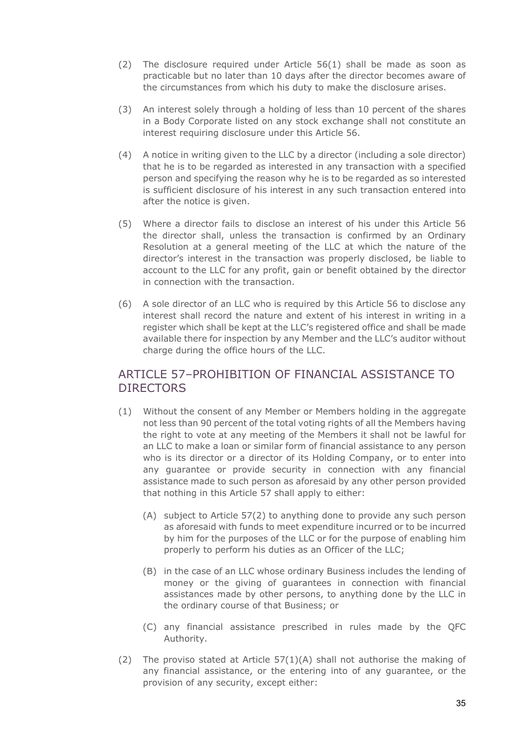- (2) The disclosure required under Article 56(1) shall be made as soon as practicable but no later than 10 days after the director becomes aware of the circumstances from which his duty to make the disclosure arises.
- (3) An interest solely through a holding of less than 10 percent of the shares in a Body Corporate listed on any stock exchange shall not constitute an interest requiring disclosure under this Article 56.
- (4) A notice in writing given to the LLC by a director (including a sole director) that he is to be regarded as interested in any transaction with a specified person and specifying the reason why he is to be regarded as so interested is sufficient disclosure of his interest in any such transaction entered into after the notice is given.
- (5) Where a director fails to disclose an interest of his under this Article 56 the director shall, unless the transaction is confirmed by an Ordinary Resolution at a general meeting of the LLC at which the nature of the director's interest in the transaction was properly disclosed, be liable to account to the LLC for any profit, gain or benefit obtained by the director in connection with the transaction.
- (6) A sole director of an LLC who is required by this Article 56 to disclose any interest shall record the nature and extent of his interest in writing in a register which shall be kept at the LLC's registered office and shall be made available there for inspection by any Member and the LLC's auditor without charge during the office hours of the LLC.

## ARTICLE 57–PROHIBITION OF FINANCIAL ASSISTANCE TO **DIRECTORS**

- (1) Without the consent of any Member or Members holding in the aggregate not less than 90 percent of the total voting rights of all the Members having the right to vote at any meeting of the Members it shall not be lawful for an LLC to make a loan or similar form of financial assistance to any person who is its director or a director of its Holding Company, or to enter into any guarantee or provide security in connection with any financial assistance made to such person as aforesaid by any other person provided that nothing in this Article 57 shall apply to either:
	- (A) subject to Article 57(2) to anything done to provide any such person as aforesaid with funds to meet expenditure incurred or to be incurred by him for the purposes of the LLC or for the purpose of enabling him properly to perform his duties as an Officer of the LLC;
	- (B) in the case of an LLC whose ordinary Business includes the lending of money or the giving of guarantees in connection with financial assistances made by other persons, to anything done by the LLC in the ordinary course of that Business; or
	- (C) any financial assistance prescribed in rules made by the QFC Authority.
- (2) The proviso stated at Article  $57(1)(A)$  shall not authorise the making of any financial assistance, or the entering into of any guarantee, or the provision of any security, except either: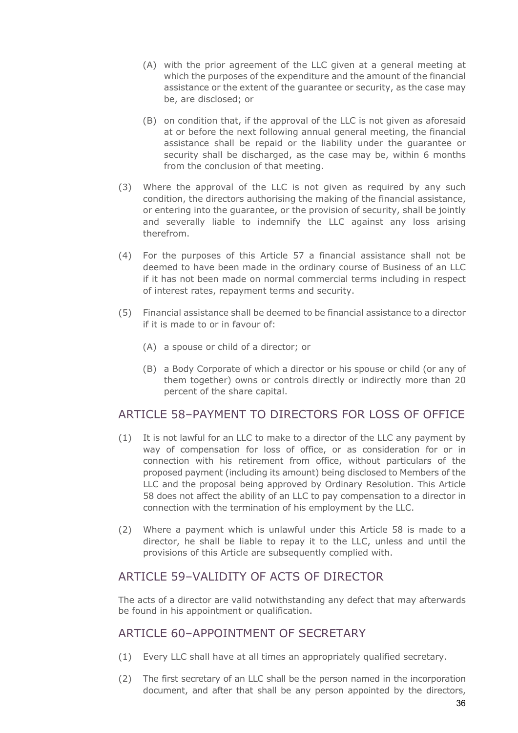- (A) with the prior agreement of the LLC given at a general meeting at which the purposes of the expenditure and the amount of the financial assistance or the extent of the guarantee or security, as the case may be, are disclosed; or
- (B) on condition that, if the approval of the LLC is not given as aforesaid at or before the next following annual general meeting, the financial assistance shall be repaid or the liability under the guarantee or security shall be discharged, as the case may be, within 6 months from the conclusion of that meeting.
- (3) Where the approval of the LLC is not given as required by any such condition, the directors authorising the making of the financial assistance, or entering into the guarantee, or the provision of security, shall be jointly and severally liable to indemnify the LLC against any loss arising therefrom.
- (4) For the purposes of this Article 57 a financial assistance shall not be deemed to have been made in the ordinary course of Business of an LLC if it has not been made on normal commercial terms including in respect of interest rates, repayment terms and security.
- (5) Financial assistance shall be deemed to be financial assistance to a director if it is made to or in favour of:
	- (A) a spouse or child of a director; or
	- (B) a Body Corporate of which a director or his spouse or child (or any of them together) owns or controls directly or indirectly more than 20 percent of the share capital.

#### ARTICLE 58–PAYMENT TO DIRECTORS FOR LOSS OF OFFICE

- (1) It is not lawful for an LLC to make to a director of the LLC any payment by way of compensation for loss of office, or as consideration for or in connection with his retirement from office, without particulars of the proposed payment (including its amount) being disclosed to Members of the LLC and the proposal being approved by Ordinary Resolution. This Article 58 does not affect the ability of an LLC to pay compensation to a director in connection with the termination of his employment by the LLC.
- (2) Where a payment which is unlawful under this Article 58 is made to a director, he shall be liable to repay it to the LLC, unless and until the provisions of this Article are subsequently complied with.

## ARTICLE 59-VALIDITY OF ACTS OF DIRECTOR

The acts of a director are valid notwithstanding any defect that may afterwards be found in his appointment or qualification.

#### ARTICLE 60–APPOINTMENT OF SECRETARY

- (1) Every LLC shall have at all times an appropriately qualified secretary.
- (2) The first secretary of an LLC shall be the person named in the incorporation document, and after that shall be any person appointed by the directors,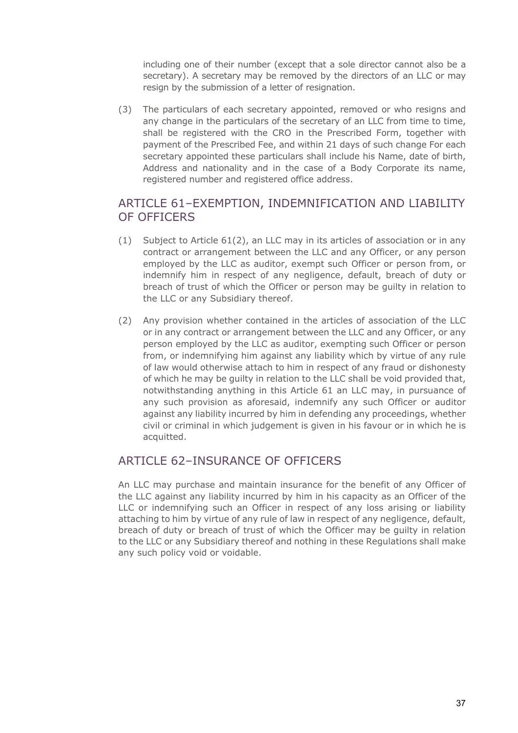including one of their number (except that a sole director cannot also be a secretary). A secretary may be removed by the directors of an LLC or may resign by the submission of a letter of resignation.

(3) The particulars of each secretary appointed, removed or who resigns and any change in the particulars of the secretary of an LLC from time to time, shall be registered with the CRO in the Prescribed Form, together with payment of the Prescribed Fee, and within 21 days of such change For each secretary appointed these particulars shall include his Name, date of birth, Address and nationality and in the case of a Body Corporate its name, registered number and registered office address.

# ARTICLE 61–EXEMPTION, INDEMNIFICATION AND LIABILITY OF OFFICERS

- (1) Subject to Article 61(2), an LLC may in its articles of association or in any contract or arrangement between the LLC and any Officer, or any person employed by the LLC as auditor, exempt such Officer or person from, or indemnify him in respect of any negligence, default, breach of duty or breach of trust of which the Officer or person may be guilty in relation to the LLC or any Subsidiary thereof.
- (2) Any provision whether contained in the articles of association of the LLC or in any contract or arrangement between the LLC and any Officer, or any person employed by the LLC as auditor, exempting such Officer or person from, or indemnifying him against any liability which by virtue of any rule of law would otherwise attach to him in respect of any fraud or dishonesty of which he may be guilty in relation to the LLC shall be void provided that, notwithstanding anything in this Article 61 an LLC may, in pursuance of any such provision as aforesaid, indemnify any such Officer or auditor against any liability incurred by him in defending any proceedings, whether civil or criminal in which judgement is given in his favour or in which he is acquitted.

#### ARTICLE 62–INSURANCE OF OFFICERS

An LLC may purchase and maintain insurance for the benefit of any Officer of the LLC against any liability incurred by him in his capacity as an Officer of the LLC or indemnifying such an Officer in respect of any loss arising or liability attaching to him by virtue of any rule of law in respect of any negligence, default, breach of duty or breach of trust of which the Officer may be guilty in relation to the LLC or any Subsidiary thereof and nothing in these Regulations shall make any such policy void or voidable.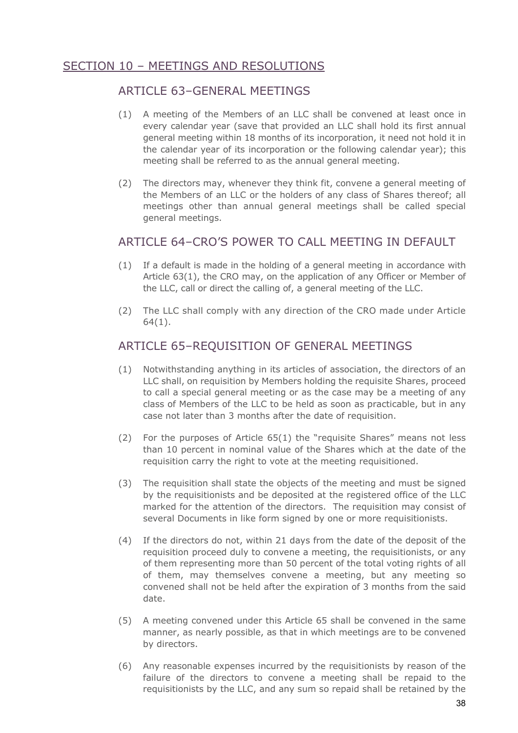# SECTION 10 – MEETINGS AND RESOLUTIONS

## ARTICLE 63–GENERAL MEETINGS

- (1) A meeting of the Members of an LLC shall be convened at least once in every calendar year (save that provided an LLC shall hold its first annual general meeting within 18 months of its incorporation, it need not hold it in the calendar year of its incorporation or the following calendar year); this meeting shall be referred to as the annual general meeting.
- (2) The directors may, whenever they think fit, convene a general meeting of the Members of an LLC or the holders of any class of Shares thereof; all meetings other than annual general meetings shall be called special general meetings.

#### ARTICLE 64–CRO'S POWER TO CALL MEETING IN DEFAULT

- (1) If a default is made in the holding of a general meeting in accordance with Article 63(1), the CRO may, on the application of any Officer or Member of the LLC, call or direct the calling of, a general meeting of the LLC.
- (2) The LLC shall comply with any direction of the CRO made under Article 64(1).

# ARTICLE 65–REQUISITION OF GENERAL MEETINGS

- (1) Notwithstanding anything in its articles of association, the directors of an LLC shall, on requisition by Members holding the requisite Shares, proceed to call a special general meeting or as the case may be a meeting of any class of Members of the LLC to be held as soon as practicable, but in any case not later than 3 months after the date of requisition.
- (2) For the purposes of Article 65(1) the "requisite Shares" means not less than 10 percent in nominal value of the Shares which at the date of the requisition carry the right to vote at the meeting requisitioned.
- (3) The requisition shall state the objects of the meeting and must be signed by the requisitionists and be deposited at the registered office of the LLC marked for the attention of the directors. The requisition may consist of several Documents in like form signed by one or more requisitionists.
- (4) If the directors do not, within 21 days from the date of the deposit of the requisition proceed duly to convene a meeting, the requisitionists, or any of them representing more than 50 percent of the total voting rights of all of them, may themselves convene a meeting, but any meeting so convened shall not be held after the expiration of 3 months from the said date.
- (5) A meeting convened under this Article 65 shall be convened in the same manner, as nearly possible, as that in which meetings are to be convened by directors.
- (6) Any reasonable expenses incurred by the requisitionists by reason of the failure of the directors to convene a meeting shall be repaid to the requisitionists by the LLC, and any sum so repaid shall be retained by the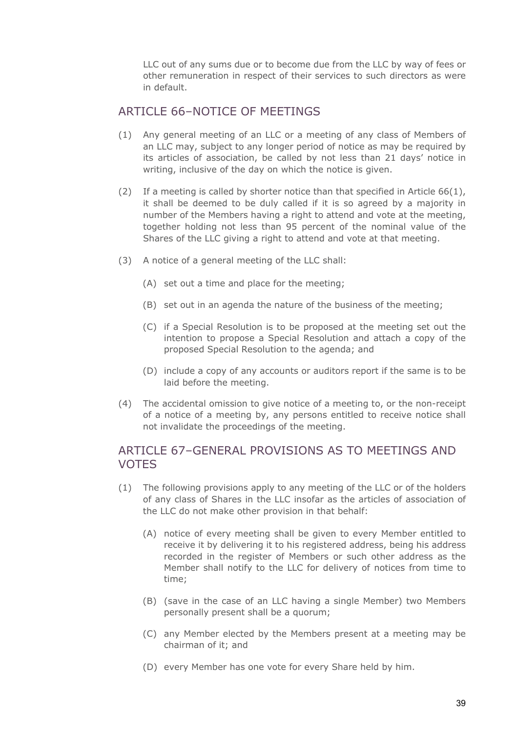LLC out of any sums due or to become due from the LLC by way of fees or other remuneration in respect of their services to such directors as were in default.

### ARTICLE 66-NOTICE OF MEETINGS

- (1) Any general meeting of an LLC or a meeting of any class of Members of an LLC may, subject to any longer period of notice as may be required by its articles of association, be called by not less than 21 days' notice in writing, inclusive of the day on which the notice is given.
- (2) If a meeting is called by shorter notice than that specified in Article  $66(1)$ , it shall be deemed to be duly called if it is so agreed by a majority in number of the Members having a right to attend and vote at the meeting, together holding not less than 95 percent of the nominal value of the Shares of the LLC giving a right to attend and vote at that meeting.
- (3) A notice of a general meeting of the LLC shall:
	- (A) set out a time and place for the meeting;
	- (B) set out in an agenda the nature of the business of the meeting;
	- (C) if a Special Resolution is to be proposed at the meeting set out the intention to propose a Special Resolution and attach a copy of the proposed Special Resolution to the agenda; and
	- (D) include a copy of any accounts or auditors report if the same is to be laid before the meeting.
- (4) The accidental omission to give notice of a meeting to, or the non-receipt of a notice of a meeting by, any persons entitled to receive notice shall not invalidate the proceedings of the meeting.

### ARTICLE 67–GENERAL PROVISIONS AS TO MEETINGS AND VOTES

- (1) The following provisions apply to any meeting of the LLC or of the holders of any class of Shares in the LLC insofar as the articles of association of the LLC do not make other provision in that behalf:
	- (A) notice of every meeting shall be given to every Member entitled to receive it by delivering it to his registered address, being his address recorded in the register of Members or such other address as the Member shall notify to the LLC for delivery of notices from time to time;
	- (B) (save in the case of an LLC having a single Member) two Members personally present shall be a quorum;
	- (C) any Member elected by the Members present at a meeting may be chairman of it; and
	- (D) every Member has one vote for every Share held by him.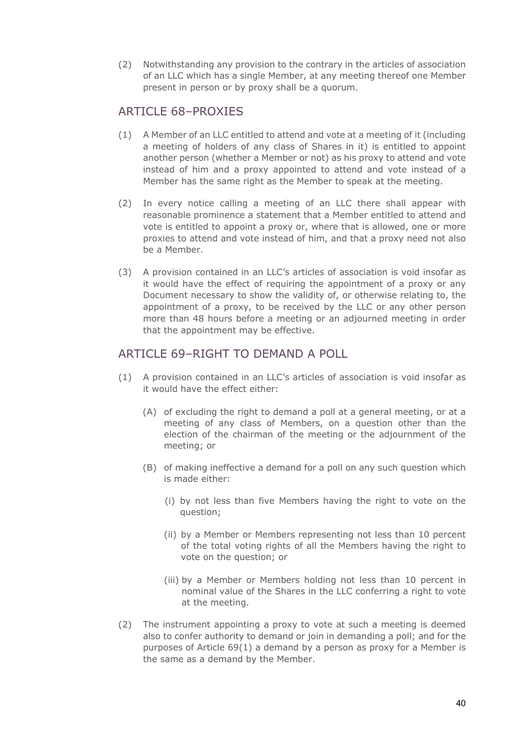(2) Notwithstanding any provision to the contrary in the articles of association of an LLC which has a single Member, at any meeting thereof one Member present in person or by proxy shall be a quorum.

### ARTICLE 68-PROXIES

- (1) A Member of an LLC entitled to attend and vote at a meeting of it (including a meeting of holders of any class of Shares in it) is entitled to appoint another person (whether a Member or not) as his proxy to attend and vote instead of him and a proxy appointed to attend and vote instead of a Member has the same right as the Member to speak at the meeting.
- (2) In every notice calling a meeting of an LLC there shall appear with reasonable prominence a statement that a Member entitled to attend and vote is entitled to appoint a proxy or, where that is allowed, one or more proxies to attend and vote instead of him, and that a proxy need not also be a Member.
- (3) A provision contained in an LLC's articles of association is void insofar as it would have the effect of requiring the appointment of a proxy or any Document necessary to show the validity of, or otherwise relating to, the appointment of a proxy, to be received by the LLC or any other person more than 48 hours before a meeting or an adjourned meeting in order that the appointment may be effective.

### ARTICLE 69–RIGHT TO DEMAND A POLL

- (1) A provision contained in an LLC's articles of association is void insofar as it would have the effect either:
	- (A) of excluding the right to demand a poll at a general meeting, or at a meeting of any class of Members, on a question other than the election of the chairman of the meeting or the adjournment of the meeting; or
	- (B) of making ineffective a demand for a poll on any such question which is made either:
		- (i) by not less than five Members having the right to vote on the question;
		- (ii) by a Member or Members representing not less than 10 percent of the total voting rights of all the Members having the right to vote on the question; or
		- (iii) by a Member or Members holding not less than 10 percent in nominal value of the Shares in the LLC conferring a right to vote at the meeting.
- (2) The instrument appointing a proxy to vote at such a meeting is deemed also to confer authority to demand or join in demanding a poll; and for the purposes of Article 69(1) a demand by a person as proxy for a Member is the same as a demand by the Member.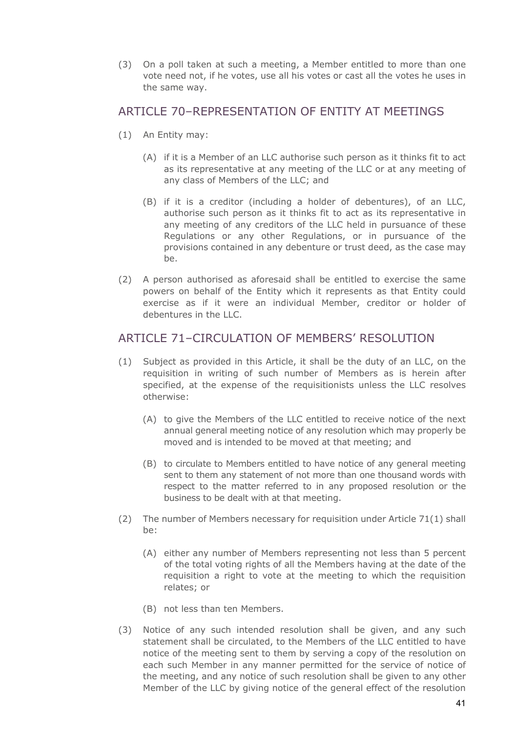(3) On a poll taken at such a meeting, a Member entitled to more than one vote need not, if he votes, use all his votes or cast all the votes he uses in the same way.

#### ARTICLE 70-REPRESENTATION OF ENTITY AT MEETINGS

- (1) An Entity may:
	- (A) if it is a Member of an LLC authorise such person as it thinks fit to act as its representative at any meeting of the LLC or at any meeting of any class of Members of the LLC; and
	- (B) if it is a creditor (including a holder of debentures), of an LLC, authorise such person as it thinks fit to act as its representative in any meeting of any creditors of the LLC held in pursuance of these Regulations or any other Regulations, or in pursuance of the provisions contained in any debenture or trust deed, as the case may be.
- (2) A person authorised as aforesaid shall be entitled to exercise the same powers on behalf of the Entity which it represents as that Entity could exercise as if it were an individual Member, creditor or holder of debentures in the LLC.

#### ARTICLE 71–CIRCULATION OF MEMBERS' RESOLUTION

- (1) Subject as provided in this Article, it shall be the duty of an LLC, on the requisition in writing of such number of Members as is herein after specified, at the expense of the requisitionists unless the LLC resolves otherwise:
	- (A) to give the Members of the LLC entitled to receive notice of the next annual general meeting notice of any resolution which may properly be moved and is intended to be moved at that meeting; and
	- (B) to circulate to Members entitled to have notice of any general meeting sent to them any statement of not more than one thousand words with respect to the matter referred to in any proposed resolution or the business to be dealt with at that meeting.
- (2) The number of Members necessary for requisition under Article 71(1) shall be:
	- (A) either any number of Members representing not less than 5 percent of the total voting rights of all the Members having at the date of the requisition a right to vote at the meeting to which the requisition relates; or
	- (B) not less than ten Members.
- (3) Notice of any such intended resolution shall be given, and any such statement shall be circulated, to the Members of the LLC entitled to have notice of the meeting sent to them by serving a copy of the resolution on each such Member in any manner permitted for the service of notice of the meeting, and any notice of such resolution shall be given to any other Member of the LLC by giving notice of the general effect of the resolution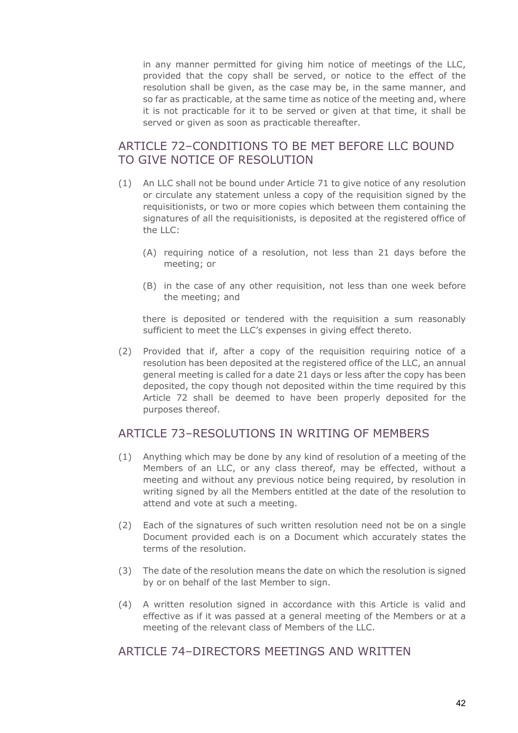in any manner permitted for giving him notice of meetings of the LLC, provided that the copy shall be served, or notice to the effect of the resolution shall be given, as the case may be, in the same manner, and so far as practicable, at the same time as notice of the meeting and, where it is not practicable for it to be served or given at that time, it shall be served or given as soon as practicable thereafter.

# ARTICLE 72–CONDITIONS TO BE MET BEFORE LLC BOUND TO GIVE NOTICE OF RESOLUTION

- (1) An LLC shall not be bound under Article 71 to give notice of any resolution or circulate any statement unless a copy of the requisition signed by the requisitionists, or two or more copies which between them containing the signatures of all the requisitionists, is deposited at the registered office of the LLC:
	- (A) requiring notice of a resolution, not less than 21 days before the meeting; or
	- (B) in the case of any other requisition, not less than one week before the meeting; and

there is deposited or tendered with the requisition a sum reasonably sufficient to meet the LLC's expenses in giving effect thereto.

(2) Provided that if, after a copy of the requisition requiring notice of a resolution has been deposited at the registered office of the LLC, an annual general meeting is called for a date 21 days or less after the copy has been deposited, the copy though not deposited within the time required by this Article 72 shall be deemed to have been properly deposited for the purposes thereof.

#### ARTICLE 73-RESOLUTIONS IN WRITING OF MEMBERS

- (1) Anything which may be done by any kind of resolution of a meeting of the Members of an LLC, or any class thereof, may be effected, without a meeting and without any previous notice being required, by resolution in writing signed by all the Members entitled at the date of the resolution to attend and vote at such a meeting.
- (2) Each of the signatures of such written resolution need not be on a single Document provided each is on a Document which accurately states the terms of the resolution.
- (3) The date of the resolution means the date on which the resolution is signed by or on behalf of the last Member to sign.
- (4) A written resolution signed in accordance with this Article is valid and effective as if it was passed at a general meeting of the Members or at a meeting of the relevant class of Members of the LLC.

#### ARTICLE 74–DIRECTORS MEETINGS AND WRITTEN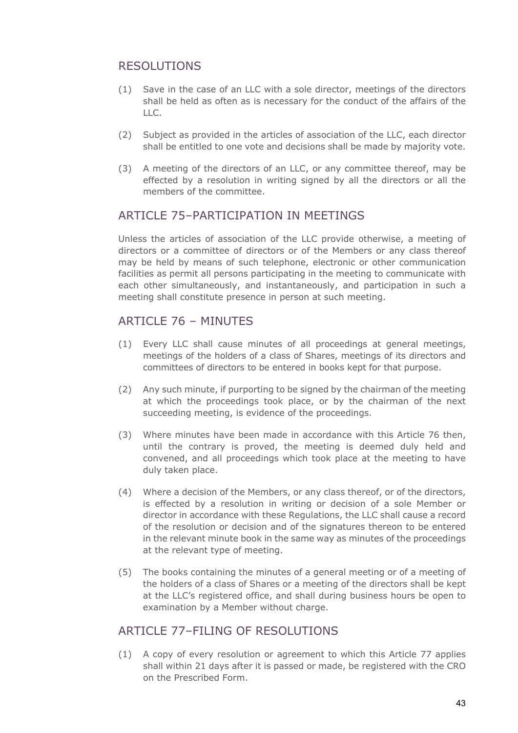# RESOLUTIONS

- (1) Save in the case of an LLC with a sole director, meetings of the directors shall be held as often as is necessary for the conduct of the affairs of the LLC.
- (2) Subject as provided in the articles of association of the LLC, each director shall be entitled to one vote and decisions shall be made by majority vote.
- (3) A meeting of the directors of an LLC, or any committee thereof, may be effected by a resolution in writing signed by all the directors or all the members of the committee.

### ARTICLE 75-PARTICIPATION IN MEETINGS

Unless the articles of association of the LLC provide otherwise, a meeting of directors or a committee of directors or of the Members or any class thereof may be held by means of such telephone, electronic or other communication facilities as permit all persons participating in the meeting to communicate with each other simultaneously, and instantaneously, and participation in such a meeting shall constitute presence in person at such meeting.

### ARTICLE 76 - MINUTES

- (1) Every LLC shall cause minutes of all proceedings at general meetings, meetings of the holders of a class of Shares, meetings of its directors and committees of directors to be entered in books kept for that purpose.
- (2) Any such minute, if purporting to be signed by the chairman of the meeting at which the proceedings took place, or by the chairman of the next succeeding meeting, is evidence of the proceedings.
- (3) Where minutes have been made in accordance with this Article 76 then, until the contrary is proved, the meeting is deemed duly held and convened, and all proceedings which took place at the meeting to have duly taken place.
- (4) Where a decision of the Members, or any class thereof, or of the directors, is effected by a resolution in writing or decision of a sole Member or director in accordance with these Regulations, the LLC shall cause a record of the resolution or decision and of the signatures thereon to be entered in the relevant minute book in the same way as minutes of the proceedings at the relevant type of meeting.
- (5) The books containing the minutes of a general meeting or of a meeting of the holders of a class of Shares or a meeting of the directors shall be kept at the LLC's registered office, and shall during business hours be open to examination by a Member without charge.

### ARTICLE 77–FILING OF RESOLUTIONS

(1) A copy of every resolution or agreement to which this Article 77 applies shall within 21 days after it is passed or made, be registered with the CRO on the Prescribed Form.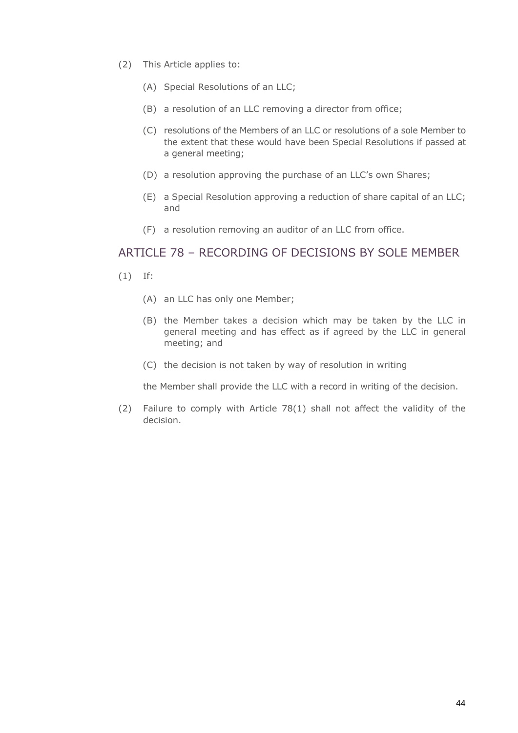- (2) This Article applies to:
	- (A) Special Resolutions of an LLC;
	- (B) a resolution of an LLC removing a director from office;
	- (C) resolutions of the Members of an LLC or resolutions of a sole Member to the extent that these would have been Special Resolutions if passed at a general meeting;
	- (D) a resolution approving the purchase of an LLC's own Shares;
	- (E) a Special Resolution approving a reduction of share capital of an LLC; and
	- (F) a resolution removing an auditor of an LLC from office.

#### ARTICLE 78 – RECORDING OF DECISIONS BY SOLE MEMBER

- (1) If:
	- (A) an LLC has only one Member;
	- (B) the Member takes a decision which may be taken by the LLC in general meeting and has effect as if agreed by the LLC in general meeting; and
	- (C) the decision is not taken by way of resolution in writing

the Member shall provide the LLC with a record in writing of the decision.

(2) Failure to comply with Article 78(1) shall not affect the validity of the decision.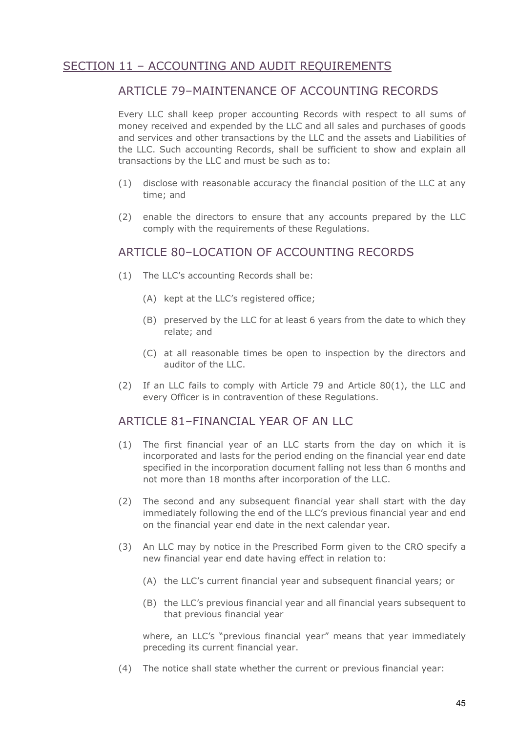# SECTION 11 – ACCOUNTING AND AUDIT REQUIREMENTS

#### ARTICLE 79-MAINTENANCE OF ACCOUNTING RECORDS

Every LLC shall keep proper accounting Records with respect to all sums of money received and expended by the LLC and all sales and purchases of goods and services and other transactions by the LLC and the assets and Liabilities of the LLC. Such accounting Records, shall be sufficient to show and explain all transactions by the LLC and must be such as to:

- (1) disclose with reasonable accuracy the financial position of the LLC at any time; and
- (2) enable the directors to ensure that any accounts prepared by the LLC comply with the requirements of these Regulations.

#### ARTICLE 80–LOCATION OF ACCOUNTING RECORDS

- (1) The LLC's accounting Records shall be:
	- (A) kept at the LLC's registered office;
	- (B) preserved by the LLC for at least 6 years from the date to which they relate; and
	- (C) at all reasonable times be open to inspection by the directors and auditor of the LLC.
- (2) If an LLC fails to comply with Article 79 and Article 80(1), the LLC and every Officer is in contravention of these Regulations.

#### ARTICLE 81-FINANCIAL YEAR OF AN LLC

- (1) The first financial year of an LLC starts from the day on which it is incorporated and lasts for the period ending on the financial year end date specified in the incorporation document falling not less than 6 months and not more than 18 months after incorporation of the LLC.
- (2) The second and any subsequent financial year shall start with the day immediately following the end of the LLC's previous financial year and end on the financial year end date in the next calendar year.
- (3) An LLC may by notice in the Prescribed Form given to the CRO specify a new financial year end date having effect in relation to:
	- (A) the LLC's current financial year and subsequent financial years; or
	- (B) the LLC's previous financial year and all financial years subsequent to that previous financial year

where, an LLC's "previous financial year" means that year immediately preceding its current financial year.

(4) The notice shall state whether the current or previous financial year: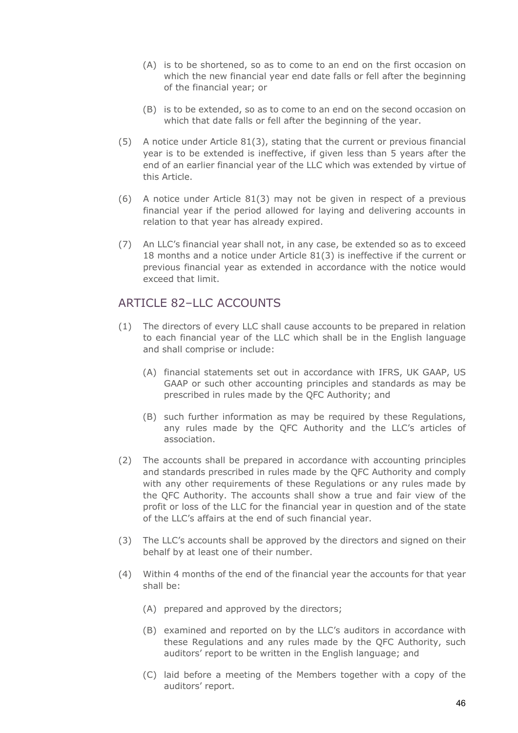- (A) is to be shortened, so as to come to an end on the first occasion on which the new financial year end date falls or fell after the beginning of the financial year; or
- (B) is to be extended, so as to come to an end on the second occasion on which that date falls or fell after the beginning of the year.
- (5) A notice under Article 81(3), stating that the current or previous financial year is to be extended is ineffective, if given less than 5 years after the end of an earlier financial year of the LLC which was extended by virtue of this Article.
- (6) A notice under Article 81(3) may not be given in respect of a previous financial year if the period allowed for laying and delivering accounts in relation to that year has already expired.
- (7) An LLC's financial year shall not, in any case, be extended so as to exceed 18 months and a notice under Article 81(3) is ineffective if the current or previous financial year as extended in accordance with the notice would exceed that limit.

# ARTICLE 82–LLC ACCOUNTS

- (1) The directors of every LLC shall cause accounts to be prepared in relation to each financial year of the LLC which shall be in the English language and shall comprise or include:
	- (A) financial statements set out in accordance with IFRS, UK GAAP, US GAAP or such other accounting principles and standards as may be prescribed in rules made by the QFC Authority; and
	- (B) such further information as may be required by these Regulations, any rules made by the QFC Authority and the LLC's articles of association.
- (2) The accounts shall be prepared in accordance with accounting principles and standards prescribed in rules made by the QFC Authority and comply with any other requirements of these Regulations or any rules made by the QFC Authority. The accounts shall show a true and fair view of the profit or loss of the LLC for the financial year in question and of the state of the LLC's affairs at the end of such financial year.
- (3) The LLC's accounts shall be approved by the directors and signed on their behalf by at least one of their number.
- (4) Within 4 months of the end of the financial year the accounts for that year shall be:
	- (A) prepared and approved by the directors;
	- (B) examined and reported on by the LLC's auditors in accordance with these Regulations and any rules made by the QFC Authority, such auditors' report to be written in the English language; and
	- (C) laid before a meeting of the Members together with a copy of the auditors' report.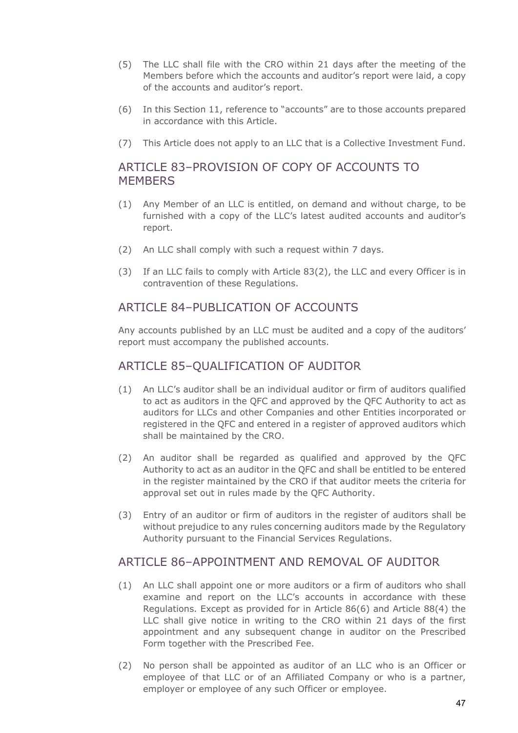- (5) The LLC shall file with the CRO within 21 days after the meeting of the Members before which the accounts and auditor's report were laid, a copy of the accounts and auditor's report.
- (6) In this Section 11, reference to "accounts" are to those accounts prepared in accordance with this Article.
- (7) This Article does not apply to an LLC that is a Collective Investment Fund.

## ARTICLE 83–PROVISION OF COPY OF ACCOUNTS TO **MEMBERS**

- (1) Any Member of an LLC is entitled, on demand and without charge, to be furnished with a copy of the LLC's latest audited accounts and auditor's report.
- (2) An LLC shall comply with such a request within 7 days.
- (3) If an LLC fails to comply with Article 83(2), the LLC and every Officer is in contravention of these Regulations.

### ARTICLE 84–PUBLICATION OF ACCOUNTS

Any accounts published by an LLC must be audited and a copy of the auditors' report must accompany the published accounts.

### ARTICLE 85–QUALIFICATION OF AUDITOR

- (1) An LLC's auditor shall be an individual auditor or firm of auditors qualified to act as auditors in the QFC and approved by the QFC Authority to act as auditors for LLCs and other Companies and other Entities incorporated or registered in the QFC and entered in a register of approved auditors which shall be maintained by the CRO.
- (2) An auditor shall be regarded as qualified and approved by the QFC Authority to act as an auditor in the QFC and shall be entitled to be entered in the register maintained by the CRO if that auditor meets the criteria for approval set out in rules made by the QFC Authority.
- (3) Entry of an auditor or firm of auditors in the register of auditors shall be without prejudice to any rules concerning auditors made by the Regulatory Authority pursuant to the Financial Services Regulations.

#### ARTICLE 86-APPOINTMENT AND REMOVAL OF AUDITOR

- (1) An LLC shall appoint one or more auditors or a firm of auditors who shall examine and report on the LLC's accounts in accordance with these Regulations. Except as provided for in Article 86(6) and Article 88(4) the LLC shall give notice in writing to the CRO within 21 days of the first appointment and any subsequent change in auditor on the Prescribed Form together with the Prescribed Fee.
- (2) No person shall be appointed as auditor of an LLC who is an Officer or employee of that LLC or of an Affiliated Company or who is a partner, employer or employee of any such Officer or employee.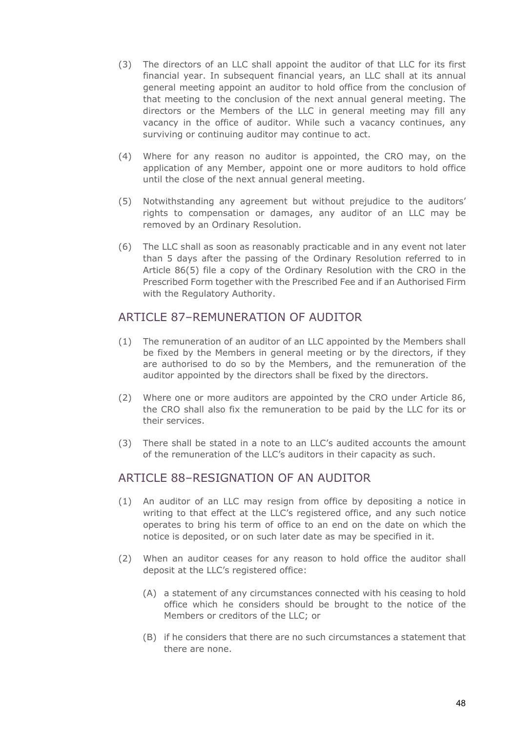- (3) The directors of an LLC shall appoint the auditor of that LLC for its first financial year. In subsequent financial years, an LLC shall at its annual general meeting appoint an auditor to hold office from the conclusion of that meeting to the conclusion of the next annual general meeting. The directors or the Members of the LLC in general meeting may fill any vacancy in the office of auditor. While such a vacancy continues, any surviving or continuing auditor may continue to act.
- (4) Where for any reason no auditor is appointed, the CRO may, on the application of any Member, appoint one or more auditors to hold office until the close of the next annual general meeting.
- (5) Notwithstanding any agreement but without prejudice to the auditors' rights to compensation or damages, any auditor of an LLC may be removed by an Ordinary Resolution.
- (6) The LLC shall as soon as reasonably practicable and in any event not later than 5 days after the passing of the Ordinary Resolution referred to in Article 86(5) file a copy of the Ordinary Resolution with the CRO in the Prescribed Form together with the Prescribed Fee and if an Authorised Firm with the Regulatory Authority.

#### ARTICLE 87–REMUNERATION OF AUDITOR

- (1) The remuneration of an auditor of an LLC appointed by the Members shall be fixed by the Members in general meeting or by the directors, if they are authorised to do so by the Members, and the remuneration of the auditor appointed by the directors shall be fixed by the directors.
- (2) Where one or more auditors are appointed by the CRO under Article 86, the CRO shall also fix the remuneration to be paid by the LLC for its or their services.
- (3) There shall be stated in a note to an LLC's audited accounts the amount of the remuneration of the LLC's auditors in their capacity as such.

#### ARTICLE 88–RESIGNATION OF AN AUDITOR

- (1) An auditor of an LLC may resign from office by depositing a notice in writing to that effect at the LLC's registered office, and any such notice operates to bring his term of office to an end on the date on which the notice is deposited, or on such later date as may be specified in it.
- (2) When an auditor ceases for any reason to hold office the auditor shall deposit at the LLC's registered office:
	- (A) a statement of any circumstances connected with his ceasing to hold office which he considers should be brought to the notice of the Members or creditors of the LLC; or
	- (B) if he considers that there are no such circumstances a statement that there are none.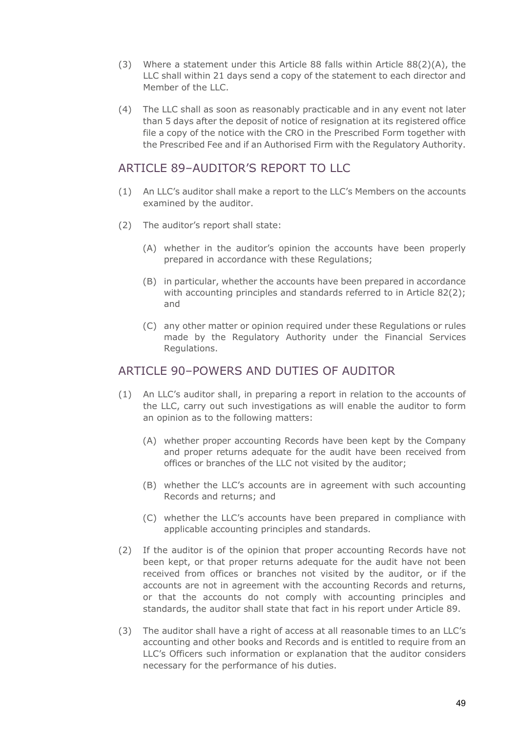- (3) Where a statement under this Article 88 falls within Article 88(2)(A), the LLC shall within 21 days send a copy of the statement to each director and Member of the LLC.
- (4) The LLC shall as soon as reasonably practicable and in any event not later than 5 days after the deposit of notice of resignation at its registered office file a copy of the notice with the CRO in the Prescribed Form together with the Prescribed Fee and if an Authorised Firm with the Regulatory Authority.

### ARTICLE 89-AUDITOR'S REPORT TO LLC

- (1) An LLC's auditor shall make a report to the LLC's Members on the accounts examined by the auditor.
- (2) The auditor's report shall state:
	- (A) whether in the auditor's opinion the accounts have been properly prepared in accordance with these Regulations;
	- (B) in particular, whether the accounts have been prepared in accordance with accounting principles and standards referred to in Article 82(2); and
	- (C) any other matter or opinion required under these Regulations or rules made by the Regulatory Authority under the Financial Services Regulations.

#### ARTICLE 90–POWERS AND DUTIES OF AUDITOR

- (1) An LLC's auditor shall, in preparing a report in relation to the accounts of the LLC, carry out such investigations as will enable the auditor to form an opinion as to the following matters:
	- (A) whether proper accounting Records have been kept by the Company and proper returns adequate for the audit have been received from offices or branches of the LLC not visited by the auditor;
	- (B) whether the LLC's accounts are in agreement with such accounting Records and returns; and
	- (C) whether the LLC's accounts have been prepared in compliance with applicable accounting principles and standards.
- (2) If the auditor is of the opinion that proper accounting Records have not been kept, or that proper returns adequate for the audit have not been received from offices or branches not visited by the auditor, or if the accounts are not in agreement with the accounting Records and returns, or that the accounts do not comply with accounting principles and standards, the auditor shall state that fact in his report under Article 89.
- (3) The auditor shall have a right of access at all reasonable times to an LLC's accounting and other books and Records and is entitled to require from an LLC's Officers such information or explanation that the auditor considers necessary for the performance of his duties.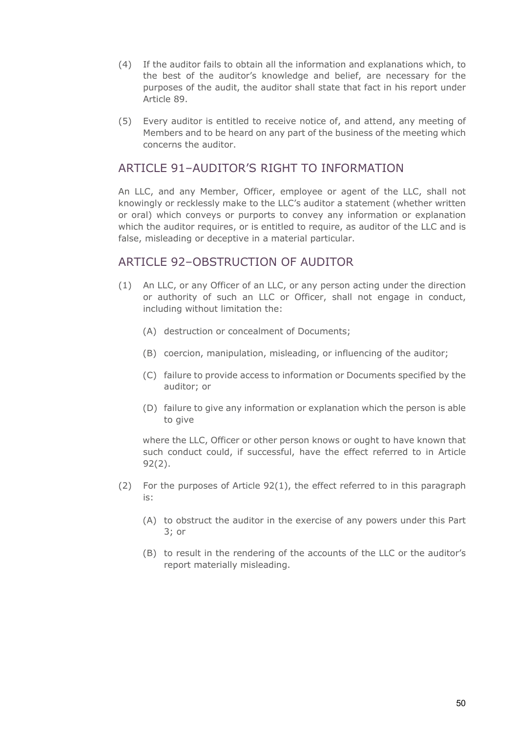- (4) If the auditor fails to obtain all the information and explanations which, to the best of the auditor's knowledge and belief, are necessary for the purposes of the audit, the auditor shall state that fact in his report under Article 89.
- (5) Every auditor is entitled to receive notice of, and attend, any meeting of Members and to be heard on any part of the business of the meeting which concerns the auditor.

### ARTICLE 91-AUDITOR'S RIGHT TO INFORMATION

An LLC, and any Member, Officer, employee or agent of the LLC, shall not knowingly or recklessly make to the LLC's auditor a statement (whether written or oral) which conveys or purports to convey any information or explanation which the auditor requires, or is entitled to require, as auditor of the LLC and is false, misleading or deceptive in a material particular.

#### ARTICLE 92-OBSTRUCTION OF AUDITOR

- (1) An LLC, or any Officer of an LLC, or any person acting under the direction or authority of such an LLC or Officer, shall not engage in conduct, including without limitation the:
	- (A) destruction or concealment of Documents;
	- (B) coercion, manipulation, misleading, or influencing of the auditor;
	- (C) failure to provide access to information or Documents specified by the auditor; or
	- (D) failure to give any information or explanation which the person is able to give

where the LLC, Officer or other person knows or ought to have known that such conduct could, if successful, have the effect referred to in Article 92(2).

- (2) For the purposes of Article 92(1), the effect referred to in this paragraph is:
	- (A) to obstruct the auditor in the exercise of any powers under this Part 3; or
	- (B) to result in the rendering of the accounts of the LLC or the auditor's report materially misleading.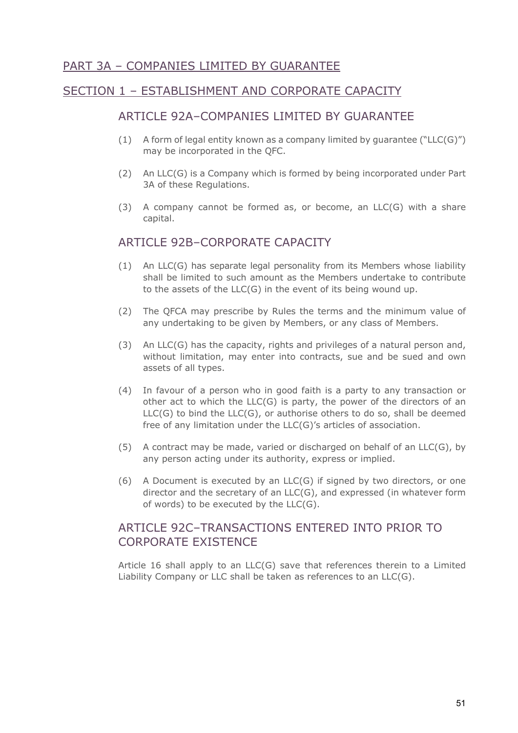# PART 3A – COMPANIES LIMITED BY GUARANTEE

### SECTION 1 – ESTABLISHMENT AND CORPORATE CAPACITY

#### ARTICLE 92A–COMPANIES LIMITED BY GUARANTEE

- (1) A form of legal entity known as a company limited by guarantee ("LLC(G)") may be incorporated in the QFC.
- (2) An LLC(G) is a Company which is formed by being incorporated under Part 3A of these Regulations.
- (3) A company cannot be formed as, or become, an  $LLC(G)$  with a share capital.

#### ARTICLE 92B–CORPORATE CAPACITY

- (1) An LLC(G) has separate legal personality from its Members whose liability shall be limited to such amount as the Members undertake to contribute to the assets of the LLC(G) in the event of its being wound up.
- (2) The QFCA may prescribe by Rules the terms and the minimum value of any undertaking to be given by Members, or any class of Members.
- (3) An LLC(G) has the capacity, rights and privileges of a natural person and, without limitation, may enter into contracts, sue and be sued and own assets of all types.
- (4) In favour of a person who in good faith is a party to any transaction or other act to which the LLC(G) is party, the power of the directors of an  $LLC(G)$  to bind the  $LLC(G)$ , or authorise others to do so, shall be deemed free of any limitation under the LLC(G)'s articles of association.
- (5) A contract may be made, varied or discharged on behalf of an LLC(G), by any person acting under its authority, express or implied.
- (6) A Document is executed by an  $LLC(G)$  if signed by two directors, or one director and the secretary of an LLC(G), and expressed (in whatever form of words) to be executed by the  $LLC(G)$ .

### ARTICLE 92C–TRANSACTIONS ENTERED INTO PRIOR TO CORPORATE EXISTENCE

Article 16 shall apply to an LLC(G) save that references therein to a Limited Liability Company or LLC shall be taken as references to an LLC(G).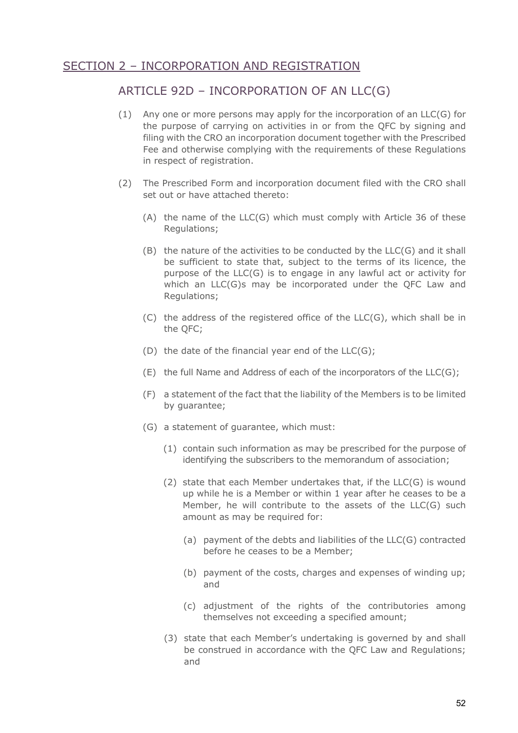# SECTION 2 – INCORPORATION AND REGISTRATION

## ARTICLE 92D – INCORPORATION OF AN LLC(G)

- (1) Any one or more persons may apply for the incorporation of an LLC(G) for the purpose of carrying on activities in or from the QFC by signing and filing with the CRO an incorporation document together with the Prescribed Fee and otherwise complying with the requirements of these Regulations in respect of registration.
- (2) The Prescribed Form and incorporation document filed with the CRO shall set out or have attached thereto:
	- (A) the name of the LLC(G) which must comply with Article 36 of these Regulations;
	- (B) the nature of the activities to be conducted by the LLC(G) and it shall be sufficient to state that, subject to the terms of its licence, the purpose of the LLC(G) is to engage in any lawful act or activity for which an LLC(G)s may be incorporated under the QFC Law and Regulations;
	- (C) the address of the registered office of the LLC(G), which shall be in the QFC;
	- (D) the date of the financial year end of the LLC(G);
	- $(E)$  the full Name and Address of each of the incorporators of the LLC(G);
	- (F) a statement of the fact that the liability of the Members is to be limited by guarantee;
	- (G) a statement of guarantee, which must:
		- (1) contain such information as may be prescribed for the purpose of identifying the subscribers to the memorandum of association;
		- (2) state that each Member undertakes that, if the LLC(G) is wound up while he is a Member or within 1 year after he ceases to be a Member, he will contribute to the assets of the LLC(G) such amount as may be required for:
			- (a) payment of the debts and liabilities of the LLC(G) contracted before he ceases to be a Member;
			- (b) payment of the costs, charges and expenses of winding up; and
			- (c) adjustment of the rights of the contributories among themselves not exceeding a specified amount;
		- (3) state that each Member's undertaking is governed by and shall be construed in accordance with the QFC Law and Regulations; and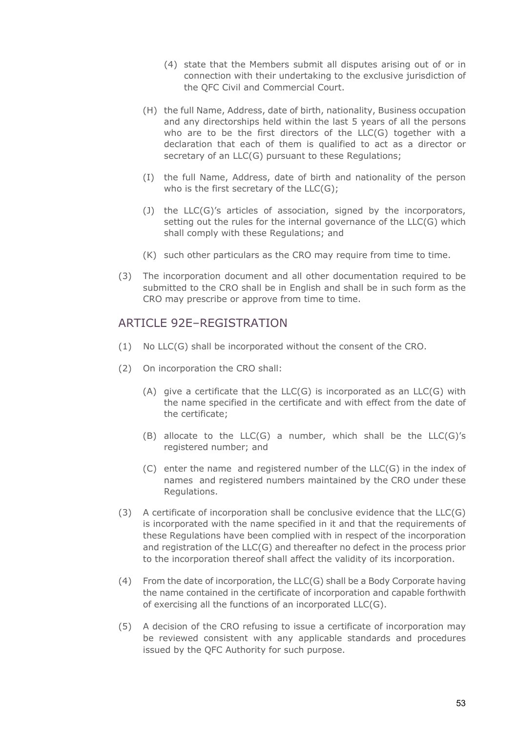- (4) state that the Members submit all disputes arising out of or in connection with their undertaking to the exclusive jurisdiction of the QFC Civil and Commercial Court.
- (H) the full Name, Address, date of birth, nationality, Business occupation and any directorships held within the last 5 years of all the persons who are to be the first directors of the LLC(G) together with a declaration that each of them is qualified to act as a director or secretary of an LLC(G) pursuant to these Regulations;
- (I) the full Name, Address, date of birth and nationality of the person who is the first secretary of the LLC(G);
- (J) the LLC(G)'s articles of association, signed by the incorporators, setting out the rules for the internal governance of the LLC(G) which shall comply with these Regulations; and
- (K) such other particulars as the CRO may require from time to time.
- (3) The incorporation document and all other documentation required to be submitted to the CRO shall be in English and shall be in such form as the CRO may prescribe or approve from time to time.

#### ARTICLE 92F-REGISTRATION

- (1) No LLC(G) shall be incorporated without the consent of the CRO.
- (2) On incorporation the CRO shall:
	- (A) give a certificate that the LLC(G) is incorporated as an LLC(G) with the name specified in the certificate and with effect from the date of the certificate;
	- (B) allocate to the LLC(G) a number, which shall be the LLC(G)'s registered number; and
	- (C) enter the name and registered number of the LLC(G) in the index of names and registered numbers maintained by the CRO under these Regulations.
- (3) A certificate of incorporation shall be conclusive evidence that the LLC(G) is incorporated with the name specified in it and that the requirements of these Regulations have been complied with in respect of the incorporation and registration of the LLC(G) and thereafter no defect in the process prior to the incorporation thereof shall affect the validity of its incorporation.
- (4) From the date of incorporation, the LLC(G) shall be a Body Corporate having the name contained in the certificate of incorporation and capable forthwith of exercising all the functions of an incorporated LLC(G).
- (5) A decision of the CRO refusing to issue a certificate of incorporation may be reviewed consistent with any applicable standards and procedures issued by the QFC Authority for such purpose.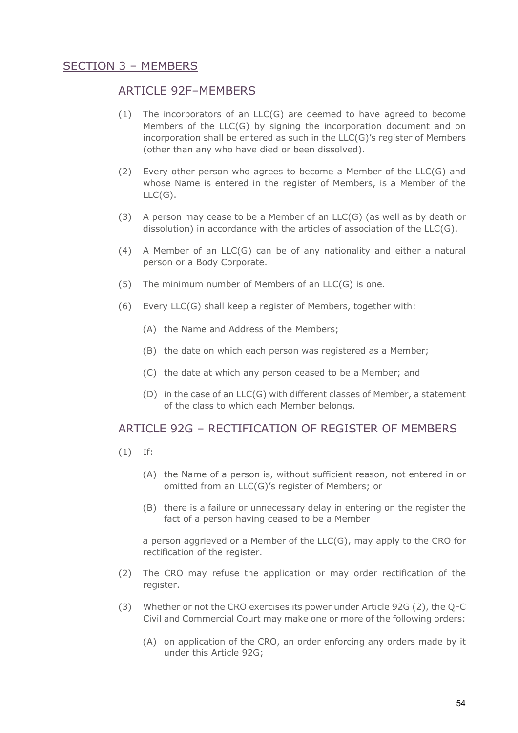## SECTION 3 – MEMBERS

#### ARTICLE 92F–MEMBERS

- (1) The incorporators of an LLC(G) are deemed to have agreed to become Members of the LLC(G) by signing the incorporation document and on incorporation shall be entered as such in the LLC(G)'s register of Members (other than any who have died or been dissolved).
- (2) Every other person who agrees to become a Member of the LLC(G) and whose Name is entered in the register of Members, is a Member of the  $LLC(G).$
- (3) A person may cease to be a Member of an  $LLC(G)$  (as well as by death or dissolution) in accordance with the articles of association of the LLC(G).
- (4) A Member of an LLC(G) can be of any nationality and either a natural person or a Body Corporate.
- (5) The minimum number of Members of an LLC(G) is one.
- (6) Every LLC(G) shall keep a register of Members, together with:
	- (A) the Name and Address of the Members;
	- (B) the date on which each person was registered as a Member;
	- (C) the date at which any person ceased to be a Member; and
	- (D) in the case of an LLC(G) with different classes of Member, a statement of the class to which each Member belongs.

#### ARTICLE 92G – RECTIFICATION OF REGISTER OF MEMBERS

- (1) If:
	- (A) the Name of a person is, without sufficient reason, not entered in or omitted from an LLC(G)'s register of Members; or
	- (B) there is a failure or unnecessary delay in entering on the register the fact of a person having ceased to be a Member

a person aggrieved or a Member of the LLC(G), may apply to the CRO for rectification of the register.

- (2) The CRO may refuse the application or may order rectification of the register.
- (3) Whether or not the CRO exercises its power under Article 92G (2), the QFC Civil and Commercial Court may make one or more of the following orders:
	- (A) on application of the CRO, an order enforcing any orders made by it under this Article 92G;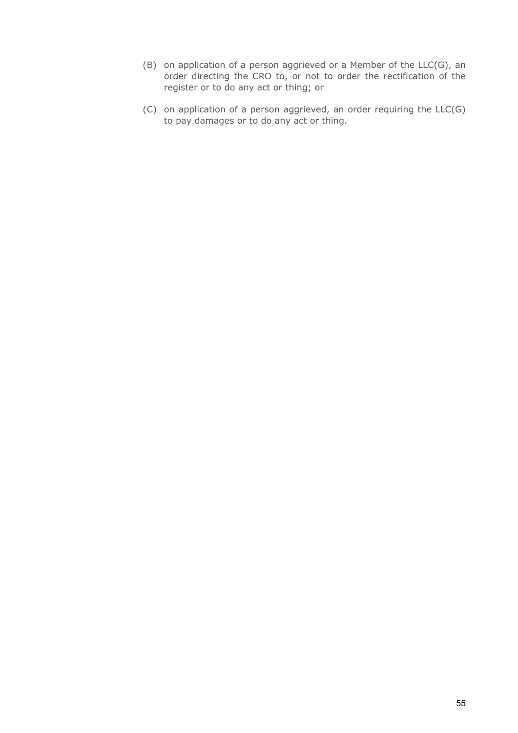- (B) on application of a person aggrieved or a Member of the LLC(G), an order directing the CRO to, or not to order the rectification of the register or to do any act or thing; or
- (C) on application of a person aggrieved, an order requiring the LLC(G) to pay damages or to do any act or thing.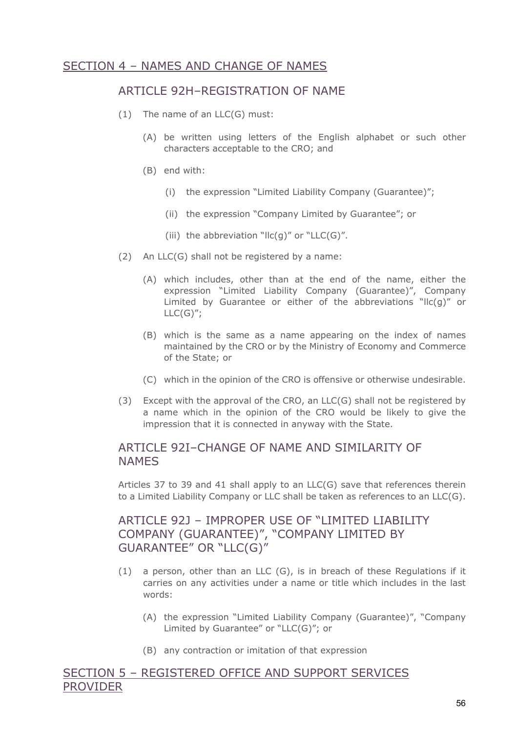# SECTION 4 – NAMES AND CHANGE OF NAMES

### ARTICLE 92H–REGISTRATION OF NAME

- (1) The name of an LLC(G) must:
	- (A) be written using letters of the English alphabet or such other characters acceptable to the CRO; and
	- (B) end with:
		- (i) the expression "Limited Liability Company (Guarantee)";
		- (ii) the expression "Company Limited by Guarantee"; or
		- (iii) the abbreviation "llc(q)" or "LLC(G)".
- (2) An LLC(G) shall not be registered by a name:
	- (A) which includes, other than at the end of the name, either the expression "Limited Liability Company (Guarantee)", Company Limited by Guarantee or either of the abbreviations "IIc(q)" or  $LLC(G)$ ";
	- (B) which is the same as a name appearing on the index of names maintained by the CRO or by the Ministry of Economy and Commerce of the State; or
	- (C) which in the opinion of the CRO is offensive or otherwise undesirable.
- (3) Except with the approval of the CRO, an LLC(G) shall not be registered by a name which in the opinion of the CRO would be likely to give the impression that it is connected in anyway with the State.

### ARTICLE 921–CHANGE OF NAME AND SIMILARITY OF NAMES

Articles 37 to 39 and 41 shall apply to an  $LLC(G)$  save that references therein to a Limited Liability Company or LLC shall be taken as references to an LLC(G).

# ARTICLE 921 - IMPROPER USE OF "LIMITED LIABILITY COMPANY (GUARANTEE)", "COMPANY LIMITED BY GUARANTEE" OR "LLC(G)"

- (1) a person, other than an LLC (G), is in breach of these Regulations if it carries on any activities under a name or title which includes in the last words:
	- (A) the expression "Limited Liability Company (Guarantee)", "Company Limited by Guarantee" or "LLC(G)"; or
	- (B) any contraction or imitation of that expression

#### SECTION 5 – REGISTERED OFFICE AND SUPPORT SERVICES PROVIDER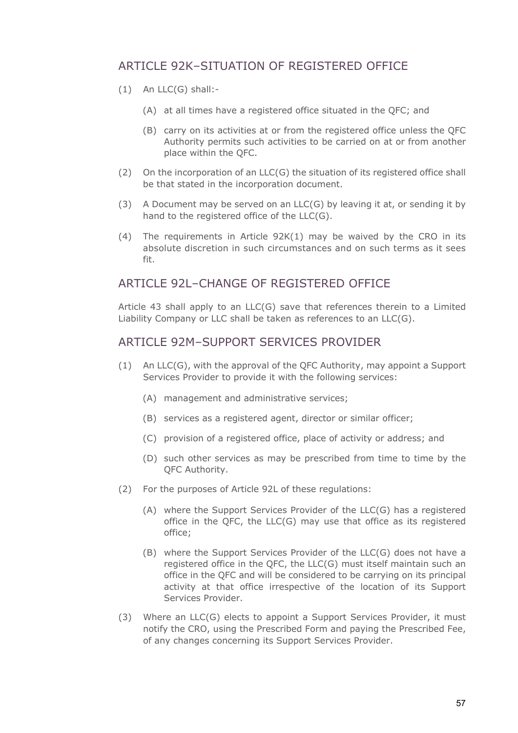# ARTICLE 92K–SITUATION OF REGISTERED OFFICE

- (1) An LLC(G) shall:-
	- (A) at all times have a registered office situated in the QFC; and
	- (B) carry on its activities at or from the registered office unless the QFC Authority permits such activities to be carried on at or from another place within the QFC.
- (2) On the incorporation of an LLC(G) the situation of its registered office shall be that stated in the incorporation document.
- (3) A Document may be served on an LLC(G) by leaving it at, or sending it by hand to the registered office of the LLC(G).
- (4) The requirements in Article 92K(1) may be waived by the CRO in its absolute discretion in such circumstances and on such terms as it sees fit.

### ARTICLE 921-CHANGE OF REGISTERED OFFICE

Article 43 shall apply to an LLC(G) save that references therein to a Limited Liability Company or LLC shall be taken as references to an LLC(G).

#### ARTICLE 92M–SUPPORT SERVICES PROVIDER

- (1) An LLC(G), with the approval of the QFC Authority, may appoint a Support Services Provider to provide it with the following services:
	- (A) management and administrative services;
	- (B) services as a registered agent, director or similar officer;
	- (C) provision of a registered office, place of activity or address; and
	- (D) such other services as may be prescribed from time to time by the QFC Authority.
- (2) For the purposes of Article 92L of these regulations:
	- (A) where the Support Services Provider of the LLC(G) has a registered office in the QFC, the LLC(G) may use that office as its registered office;
	- (B) where the Support Services Provider of the LLC(G) does not have a registered office in the QFC, the LLC(G) must itself maintain such an office in the QFC and will be considered to be carrying on its principal activity at that office irrespective of the location of its Support Services Provider.
- (3) Where an LLC(G) elects to appoint a Support Services Provider, it must notify the CRO, using the Prescribed Form and paying the Prescribed Fee, of any changes concerning its Support Services Provider.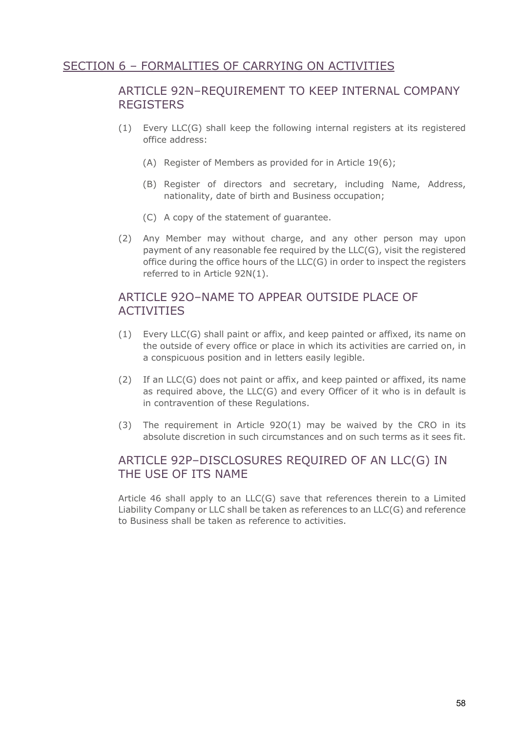# SECTION 6 – FORMALITIES OF CARRYING ON ACTIVITIES

## ARTICLE 92N–REQUIREMENT TO KEEP INTERNAL COMPANY **REGISTERS**

- (1) Every LLC(G) shall keep the following internal registers at its registered office address:
	- (A) Register of Members as provided for in Article 19(6);
	- (B) Register of directors and secretary, including Name, Address, nationality, date of birth and Business occupation;
	- (C) A copy of the statement of guarantee.
- (2) Any Member may without charge, and any other person may upon payment of any reasonable fee required by the LLC(G), visit the registered office during the office hours of the LLC(G) in order to inspect the registers referred to in Article 92N(1).

## ARTICLE 92O–NAME TO APPEAR OUTSIDE PLACE OF ACTIVITIES

- (1) Every LLC(G) shall paint or affix, and keep painted or affixed, its name on the outside of every office or place in which its activities are carried on, in a conspicuous position and in letters easily legible.
- (2) If an LLC(G) does not paint or affix, and keep painted or affixed, its name as required above, the LLC(G) and every Officer of it who is in default is in contravention of these Regulations.
- (3) The requirement in Article  $92O(1)$  may be waived by the CRO in its absolute discretion in such circumstances and on such terms as it sees fit.

### ARTICLE 92P–DISCLOSURES REQUIRED OF AN LLC(G) IN THE USE OF ITS NAME

Article 46 shall apply to an LLC(G) save that references therein to a Limited Liability Company or LLC shall be taken as references to an LLC(G) and reference to Business shall be taken as reference to activities.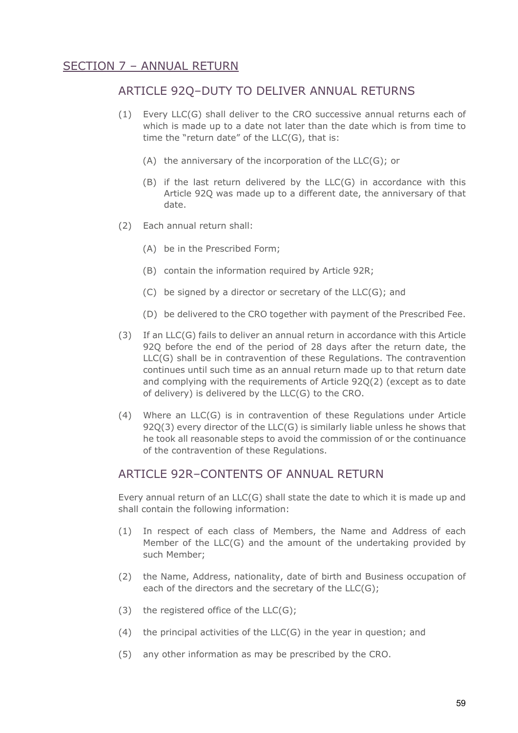# SECTION 7 – ANNUAL RETURN

### ARTICLE 92Q–DUTY TO DELIVER ANNUAL RETURNS

- (1) Every LLC(G) shall deliver to the CRO successive annual returns each of which is made up to a date not later than the date which is from time to time the "return date" of the LLC(G), that is:
	- (A) the anniversary of the incorporation of the LLC(G); or
	- (B) if the last return delivered by the LLC(G) in accordance with this Article 92Q was made up to a different date, the anniversary of that date.
- (2) Each annual return shall:
	- (A) be in the Prescribed Form;
	- (B) contain the information required by Article 92R;
	- (C) be signed by a director or secretary of the LLC(G); and
	- (D) be delivered to the CRO together with payment of the Prescribed Fee.
- (3) If an LLC(G) fails to deliver an annual return in accordance with this Article 92Q before the end of the period of 28 days after the return date, the LLC(G) shall be in contravention of these Regulations. The contravention continues until such time as an annual return made up to that return date and complying with the requirements of Article 92Q(2) (except as to date of delivery) is delivered by the LLC(G) to the CRO.
- (4) Where an LLC(G) is in contravention of these Regulations under Article 92Q(3) every director of the LLC(G) is similarly liable unless he shows that he took all reasonable steps to avoid the commission of or the continuance of the contravention of these Regulations.

## ARTICLE 92R–CONTENTS OF ANNUAL RETURN

Every annual return of an LLC(G) shall state the date to which it is made up and shall contain the following information:

- (1) In respect of each class of Members, the Name and Address of each Member of the LLC(G) and the amount of the undertaking provided by such Member;
- (2) the Name, Address, nationality, date of birth and Business occupation of each of the directors and the secretary of the LLC(G);
- $(3)$  the registered office of the LLC $(G)$ ;
- (4) the principal activities of the  $LLC(G)$  in the year in question; and
- (5) any other information as may be prescribed by the CRO.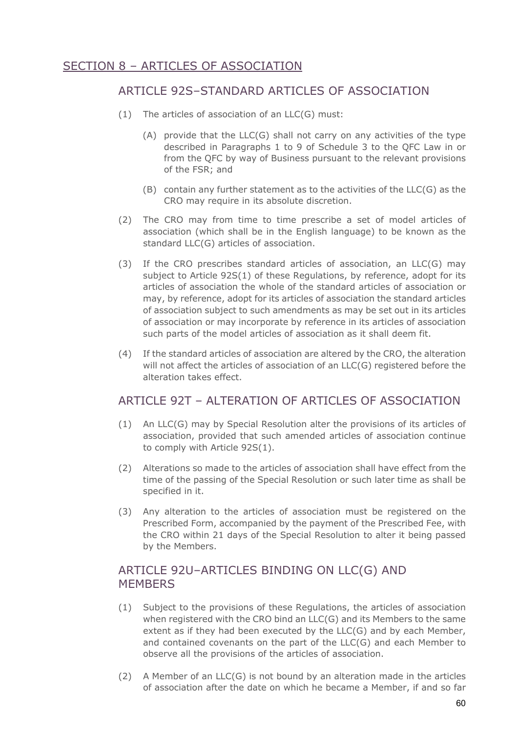# SECTION 8 – ARTICLES OF ASSOCIATION

### ARTICLE 92S–STANDARD ARTICLES OF ASSOCIATION

- (1) The articles of association of an LLC(G) must:
	- (A) provide that the LLC(G) shall not carry on any activities of the type described in Paragraphs 1 to 9 of Schedule 3 to the QFC Law in or from the QFC by way of Business pursuant to the relevant provisions of the FSR; and
	- (B) contain any further statement as to the activities of the LLC(G) as the CRO may require in its absolute discretion.
- (2) The CRO may from time to time prescribe a set of model articles of association (which shall be in the English language) to be known as the standard LLC(G) articles of association.
- (3) If the CRO prescribes standard articles of association, an LLC(G) may subject to Article 92S(1) of these Regulations, by reference, adopt for its articles of association the whole of the standard articles of association or may, by reference, adopt for its articles of association the standard articles of association subject to such amendments as may be set out in its articles of association or may incorporate by reference in its articles of association such parts of the model articles of association as it shall deem fit.
- (4) If the standard articles of association are altered by the CRO, the alteration will not affect the articles of association of an LLC(G) registered before the alteration takes effect.

# ARTICLE 92T – ALTERATION OF ARTICLES OF ASSOCIATION

- (1) An LLC(G) may by Special Resolution alter the provisions of its articles of association, provided that such amended articles of association continue to comply with Article 92S(1).
- (2) Alterations so made to the articles of association shall have effect from the time of the passing of the Special Resolution or such later time as shall be specified in it.
- (3) Any alteration to the articles of association must be registered on the Prescribed Form, accompanied by the payment of the Prescribed Fee, with the CRO within 21 days of the Special Resolution to alter it being passed by the Members.

# ARTICLE 92U–ARTICLES BINDING ON LLC(G) AND **MEMBERS**

- (1) Subject to the provisions of these Regulations, the articles of association when registered with the CRO bind an LLC(G) and its Members to the same extent as if they had been executed by the LLC(G) and by each Member, and contained covenants on the part of the LLC(G) and each Member to observe all the provisions of the articles of association.
- (2) A Member of an LLC(G) is not bound by an alteration made in the articles of association after the date on which he became a Member, if and so far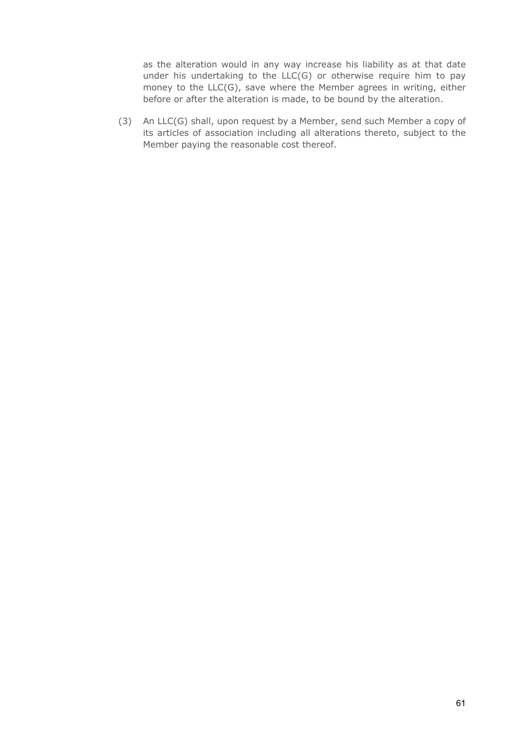as the alteration would in any way increase his liability as at that date under his undertaking to the LLC(G) or otherwise require him to pay money to the LLC(G), save where the Member agrees in writing, either before or after the alteration is made, to be bound by the alteration.

(3) An LLC(G) shall, upon request by a Member, send such Member a copy of its articles of association including all alterations thereto, subject to the Member paying the reasonable cost thereof.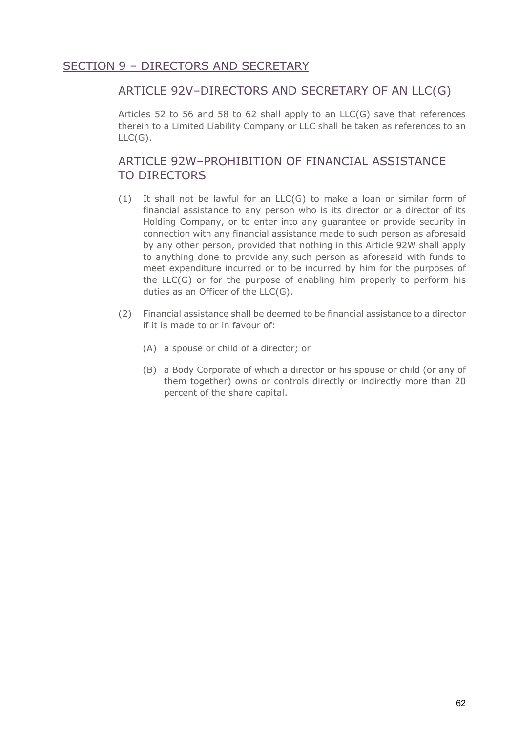# SECTION 9 – DIRECTORS AND SECRETARY

### ARTICLE 92V–DIRECTORS AND SECRETARY OF AN LLC(G)

Articles 52 to 56 and 58 to 62 shall apply to an LLC(G) save that references therein to a Limited Liability Company or LLC shall be taken as references to an  $LLC(G).$ 

# ARTICLE 92W-PROHIBITION OF FINANCIAL ASSISTANCE TO DIRECTORS

- (1) It shall not be lawful for an LLC(G) to make a loan or similar form of financial assistance to any person who is its director or a director of its Holding Company, or to enter into any guarantee or provide security in connection with any financial assistance made to such person as aforesaid by any other person, provided that nothing in this Article 92W shall apply to anything done to provide any such person as aforesaid with funds to meet expenditure incurred or to be incurred by him for the purposes of the LLC(G) or for the purpose of enabling him properly to perform his duties as an Officer of the LLC(G).
- (2) Financial assistance shall be deemed to be financial assistance to a director if it is made to or in favour of:
	- (A) a spouse or child of a director; or
	- (B) a Body Corporate of which a director or his spouse or child (or any of them together) owns or controls directly or indirectly more than 20 percent of the share capital.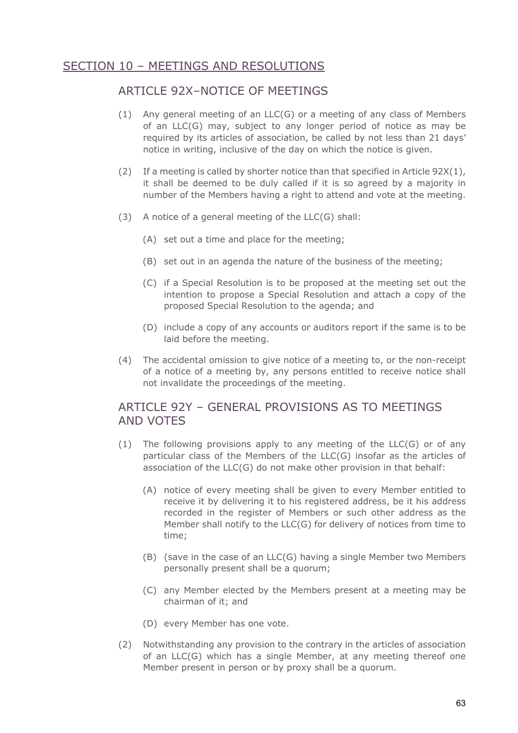# SECTION 10 – MEETINGS AND RESOLUTIONS

### ARTICLE 92X–NOTICE OF MEETINGS

- (1) Any general meeting of an LLC(G) or a meeting of any class of Members of an LLC(G) may, subject to any longer period of notice as may be required by its articles of association, be called by not less than 21 days' notice in writing, inclusive of the day on which the notice is given.
- (2) If a meeting is called by shorter notice than that specified in Article  $92X(1)$ , it shall be deemed to be duly called if it is so agreed by a majority in number of the Members having a right to attend and vote at the meeting.
- (3) A notice of a general meeting of the LLC(G) shall:
	- (A) set out a time and place for the meeting;
	- (B) set out in an agenda the nature of the business of the meeting;
	- (C) if a Special Resolution is to be proposed at the meeting set out the intention to propose a Special Resolution and attach a copy of the proposed Special Resolution to the agenda; and
	- (D) include a copy of any accounts or auditors report if the same is to be laid before the meeting.
- (4) The accidental omission to give notice of a meeting to, or the non-receipt of a notice of a meeting by, any persons entitled to receive notice shall not invalidate the proceedings of the meeting.

### ARTICLE 92Y - GENERAL PROVISIONS AS TO MEETINGS AND VOTES

- (1) The following provisions apply to any meeting of the LLC(G) or of any particular class of the Members of the LLC(G) insofar as the articles of association of the LLC(G) do not make other provision in that behalf:
	- (A) notice of every meeting shall be given to every Member entitled to receive it by delivering it to his registered address, be it his address recorded in the register of Members or such other address as the Member shall notify to the LLC(G) for delivery of notices from time to time;
	- (B) (save in the case of an LLC(G) having a single Member two Members personally present shall be a quorum;
	- (C) any Member elected by the Members present at a meeting may be chairman of it; and
	- (D) every Member has one vote.
- (2) Notwithstanding any provision to the contrary in the articles of association of an LLC(G) which has a single Member, at any meeting thereof one Member present in person or by proxy shall be a quorum.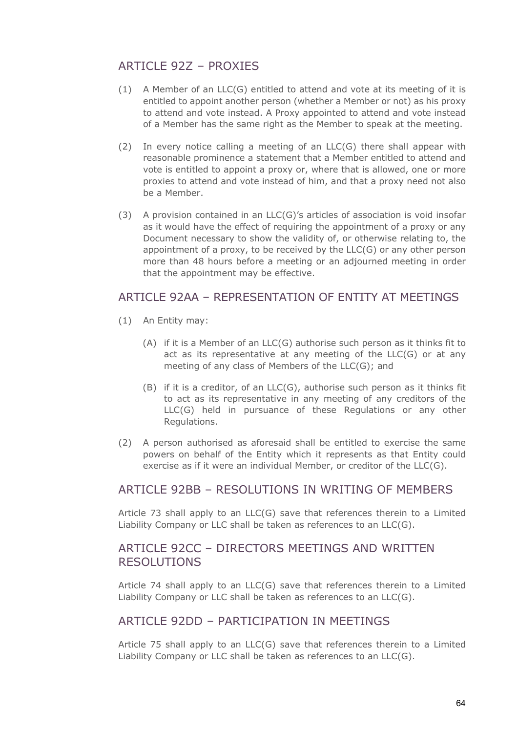# ARTICLE 927 - PROXIES

- (1) A Member of an  $LLC(G)$  entitled to attend and vote at its meeting of it is entitled to appoint another person (whether a Member or not) as his proxy to attend and vote instead. A Proxy appointed to attend and vote instead of a Member has the same right as the Member to speak at the meeting.
- (2) In every notice calling a meeting of an  $LLC(G)$  there shall appear with reasonable prominence a statement that a Member entitled to attend and vote is entitled to appoint a proxy or, where that is allowed, one or more proxies to attend and vote instead of him, and that a proxy need not also be a Member.
- (3) A provision contained in an LLC(G)'s articles of association is void insofar as it would have the effect of requiring the appointment of a proxy or any Document necessary to show the validity of, or otherwise relating to, the appointment of a proxy, to be received by the LLC(G) or any other person more than 48 hours before a meeting or an adjourned meeting in order that the appointment may be effective.

#### ARTICLE 92AA – REPRESENTATION OF ENTITY AT MEETINGS

- (1) An Entity may:
	- (A) if it is a Member of an LLC(G) authorise such person as it thinks fit to act as its representative at any meeting of the LLC(G) or at any meeting of any class of Members of the LLC(G); and
	- (B) if it is a creditor, of an LLC(G), authorise such person as it thinks fit to act as its representative in any meeting of any creditors of the LLC(G) held in pursuance of these Regulations or any other Regulations.
- (2) A person authorised as aforesaid shall be entitled to exercise the same powers on behalf of the Entity which it represents as that Entity could exercise as if it were an individual Member, or creditor of the LLC(G).

#### ARTICLE 92BB – RESOLUTIONS IN WRITING OF MEMBERS

Article 73 shall apply to an LLC(G) save that references therein to a Limited Liability Company or LLC shall be taken as references to an LLC(G).

# ARTICLE 92CC – DIRECTORS MEETINGS AND WRITTEN RESOLUTIONS

Article 74 shall apply to an LLC(G) save that references therein to a Limited Liability Company or LLC shall be taken as references to an LLC(G).

#### ARTICLE 92DD – PARTICIPATION IN MEETINGS

Article 75 shall apply to an LLC(G) save that references therein to a Limited Liability Company or LLC shall be taken as references to an LLC(G).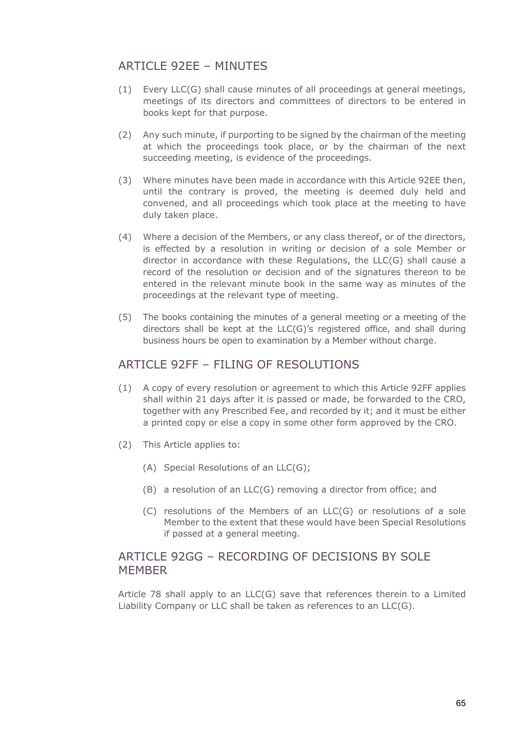# ARTICLE 92FF – MINUTES

- (1) Every LLC(G) shall cause minutes of all proceedings at general meetings, meetings of its directors and committees of directors to be entered in books kept for that purpose.
- (2) Any such minute, if purporting to be signed by the chairman of the meeting at which the proceedings took place, or by the chairman of the next succeeding meeting, is evidence of the proceedings.
- (3) Where minutes have been made in accordance with this Article 92EE then, until the contrary is proved, the meeting is deemed duly held and convened, and all proceedings which took place at the meeting to have duly taken place.
- (4) Where a decision of the Members, or any class thereof, or of the directors, is effected by a resolution in writing or decision of a sole Member or director in accordance with these Regulations, the LLC(G) shall cause a record of the resolution or decision and of the signatures thereon to be entered in the relevant minute book in the same way as minutes of the proceedings at the relevant type of meeting.
- (5) The books containing the minutes of a general meeting or a meeting of the directors shall be kept at the LLC(G)'s registered office, and shall during business hours be open to examination by a Member without charge.

#### ARTICLE 92FF – FILING OF RESOLUTIONS

- (1) A copy of every resolution or agreement to which this Article 92FF applies shall within 21 days after it is passed or made, be forwarded to the CRO, together with any Prescribed Fee, and recorded by it; and it must be either a printed copy or else a copy in some other form approved by the CRO.
- (2) This Article applies to:
	- (A) Special Resolutions of an LLC(G);
	- (B) a resolution of an LLC(G) removing a director from office; and
	- (C) resolutions of the Members of an LLC(G) or resolutions of a sole Member to the extent that these would have been Special Resolutions if passed at a general meeting.

### ARTICLE 92GG – RECORDING OF DECISIONS BY SOLE **MFMBFR**

Article 78 shall apply to an LLC(G) save that references therein to a Limited Liability Company or LLC shall be taken as references to an LLC(G).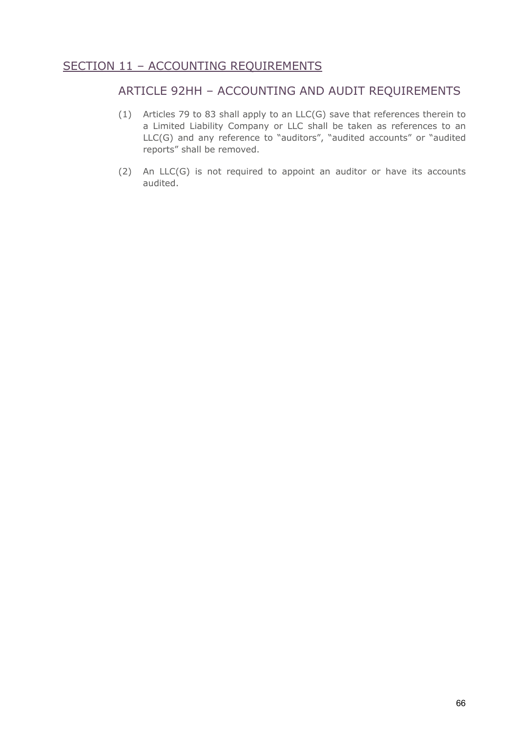# SECTION 11 - ACCOUNTING REQUIREMENTS

### ARTICLE 92HH – ACCOUNTING AND AUDIT REQUIREMENTS

- (1) Articles 79 to 83 shall apply to an LLC(G) save that references therein to a Limited Liability Company or LLC shall be taken as references to an LLC(G) and any reference to "auditors", "audited accounts" or "audited reports" shall be removed.
- (2) An LLC(G) is not required to appoint an auditor or have its accounts audited.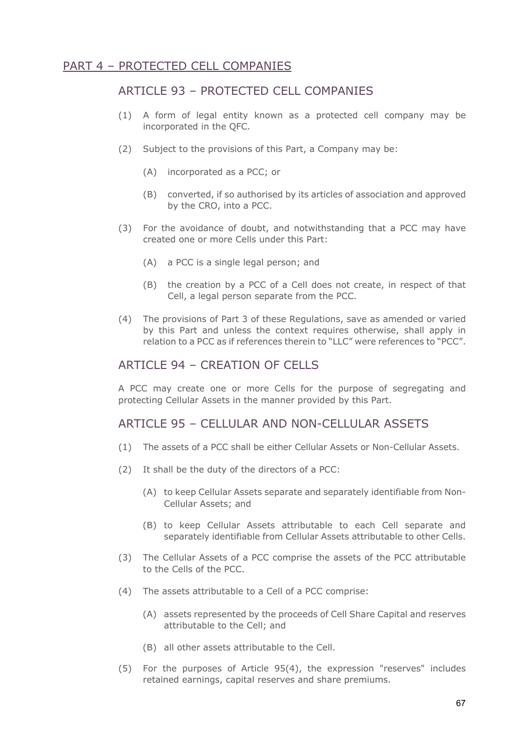# PART 4 – PROTECTED CELL COMPANIES

### ARTICLE 93 – PROTECTED CELL COMPANIES

- (1) A form of legal entity known as a protected cell company may be incorporated in the QFC.
- (2) Subject to the provisions of this Part, a Company may be:
	- (A) incorporated as a PCC; or
	- (B) converted, if so authorised by its articles of association and approved by the CRO, into a PCC.
- (3) For the avoidance of doubt, and notwithstanding that a PCC may have created one or more Cells under this Part:
	- (A) a PCC is a single legal person; and
	- (B) the creation by a PCC of a Cell does not create, in respect of that Cell, a legal person separate from the PCC.
- (4) The provisions of Part 3 of these Regulations, save as amended or varied by this Part and unless the context requires otherwise, shall apply in relation to a PCC as if references therein to "LLC" were references to "PCC".

### ARTICLE 94 – CREATION OF CELLS

A PCC may create one or more Cells for the purpose of segregating and protecting Cellular Assets in the manner provided by this Part.

#### ARTICLE 95 – CELLULAR AND NON-CELLULAR ASSETS

- (1) The assets of a PCC shall be either Cellular Assets or Non-Cellular Assets.
- (2) It shall be the duty of the directors of a PCC:
	- (A) to keep Cellular Assets separate and separately identifiable from Non-Cellular Assets; and
	- (B) to keep Cellular Assets attributable to each Cell separate and separately identifiable from Cellular Assets attributable to other Cells.
- (3) The Cellular Assets of a PCC comprise the assets of the PCC attributable to the Cells of the PCC.
- (4) The assets attributable to a Cell of a PCC comprise:
	- (A) assets represented by the proceeds of Cell Share Capital and reserves attributable to the Cell; and
	- (B) all other assets attributable to the Cell.
- (5) For the purposes of Article 95(4), the expression "reserves" includes retained earnings, capital reserves and share premiums.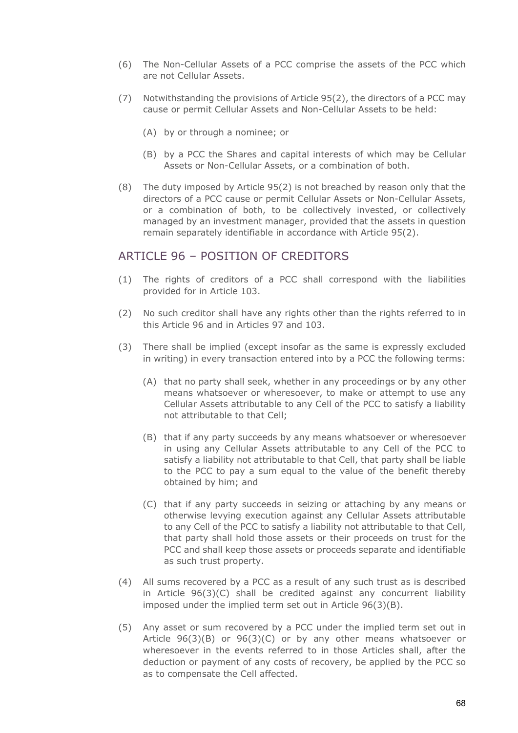- (6) The Non-Cellular Assets of a PCC comprise the assets of the PCC which are not Cellular Assets.
- (7) Notwithstanding the provisions of Article 95(2), the directors of a PCC may cause or permit Cellular Assets and Non-Cellular Assets to be held:
	- (A) by or through a nominee; or
	- (B) by a PCC the Shares and capital interests of which may be Cellular Assets or Non-Cellular Assets, or a combination of both.
- (8) The duty imposed by Article 95(2) is not breached by reason only that the directors of a PCC cause or permit Cellular Assets or Non-Cellular Assets, or a combination of both, to be collectively invested, or collectively managed by an investment manager, provided that the assets in question remain separately identifiable in accordance with Article 95(2).

#### ARTICLE 96 - POSITION OF CREDITORS

- (1) The rights of creditors of a PCC shall correspond with the liabilities provided for in Article 103.
- (2) No such creditor shall have any rights other than the rights referred to in this Article 96 and in Articles 97 and 103.
- (3) There shall be implied (except insofar as the same is expressly excluded in writing) in every transaction entered into by a PCC the following terms:
	- (A) that no party shall seek, whether in any proceedings or by any other means whatsoever or wheresoever, to make or attempt to use any Cellular Assets attributable to any Cell of the PCC to satisfy a liability not attributable to that Cell;
	- (B) that if any party succeeds by any means whatsoever or wheresoever in using any Cellular Assets attributable to any Cell of the PCC to satisfy a liability not attributable to that Cell, that party shall be liable to the PCC to pay a sum equal to the value of the benefit thereby obtained by him; and
	- (C) that if any party succeeds in seizing or attaching by any means or otherwise levying execution against any Cellular Assets attributable to any Cell of the PCC to satisfy a liability not attributable to that Cell, that party shall hold those assets or their proceeds on trust for the PCC and shall keep those assets or proceeds separate and identifiable as such trust property.
- (4) All sums recovered by a PCC as a result of any such trust as is described in Article 96(3)(C) shall be credited against any concurrent liability imposed under the implied term set out in Article 96(3)(B).
- (5) Any asset or sum recovered by a PCC under the implied term set out in Article 96(3)(B) or 96(3)(C) or by any other means whatsoever or wheresoever in the events referred to in those Articles shall, after the deduction or payment of any costs of recovery, be applied by the PCC so as to compensate the Cell affected.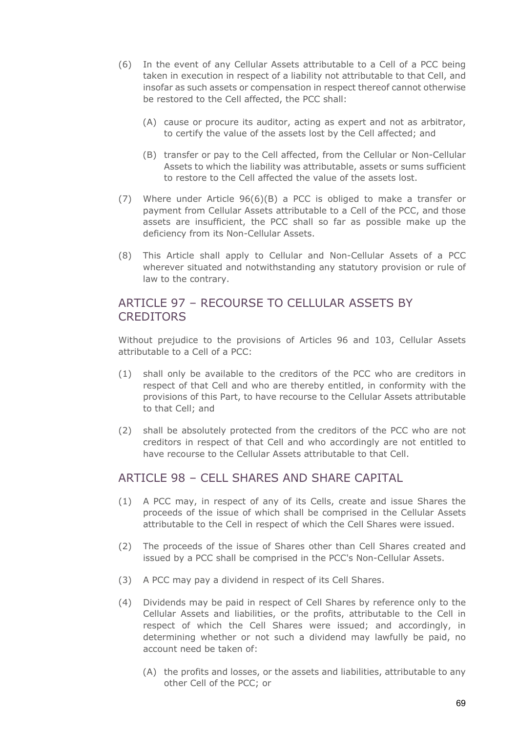- (6) In the event of any Cellular Assets attributable to a Cell of a PCC being taken in execution in respect of a liability not attributable to that Cell, and insofar as such assets or compensation in respect thereof cannot otherwise be restored to the Cell affected, the PCC shall:
	- (A) cause or procure its auditor, acting as expert and not as arbitrator, to certify the value of the assets lost by the Cell affected; and
	- (B) transfer or pay to the Cell affected, from the Cellular or Non-Cellular Assets to which the liability was attributable, assets or sums sufficient to restore to the Cell affected the value of the assets lost.
- (7) Where under Article 96(6)(B) a PCC is obliged to make a transfer or payment from Cellular Assets attributable to a Cell of the PCC, and those assets are insufficient, the PCC shall so far as possible make up the deficiency from its Non-Cellular Assets.
- (8) This Article shall apply to Cellular and Non-Cellular Assets of a PCC wherever situated and notwithstanding any statutory provision or rule of law to the contrary.

## ARTICLE 97 – RECOURSE TO CELLULAR ASSETS BY **CREDITORS**

Without prejudice to the provisions of Articles 96 and 103, Cellular Assets attributable to a Cell of a PCC:

- (1) shall only be available to the creditors of the PCC who are creditors in respect of that Cell and who are thereby entitled, in conformity with the provisions of this Part, to have recourse to the Cellular Assets attributable to that Cell; and
- (2) shall be absolutely protected from the creditors of the PCC who are not creditors in respect of that Cell and who accordingly are not entitled to have recourse to the Cellular Assets attributable to that Cell.

#### ARTICLE 98 – CELL SHARES AND SHARE CAPITAL

- (1) A PCC may, in respect of any of its Cells, create and issue Shares the proceeds of the issue of which shall be comprised in the Cellular Assets attributable to the Cell in respect of which the Cell Shares were issued.
- (2) The proceeds of the issue of Shares other than Cell Shares created and issued by a PCC shall be comprised in the PCC's Non-Cellular Assets.
- (3) A PCC may pay a dividend in respect of its Cell Shares.
- (4) Dividends may be paid in respect of Cell Shares by reference only to the Cellular Assets and liabilities, or the profits, attributable to the Cell in respect of which the Cell Shares were issued; and accordingly, in determining whether or not such a dividend may lawfully be paid, no account need be taken of:
	- (A) the profits and losses, or the assets and liabilities, attributable to any other Cell of the PCC; or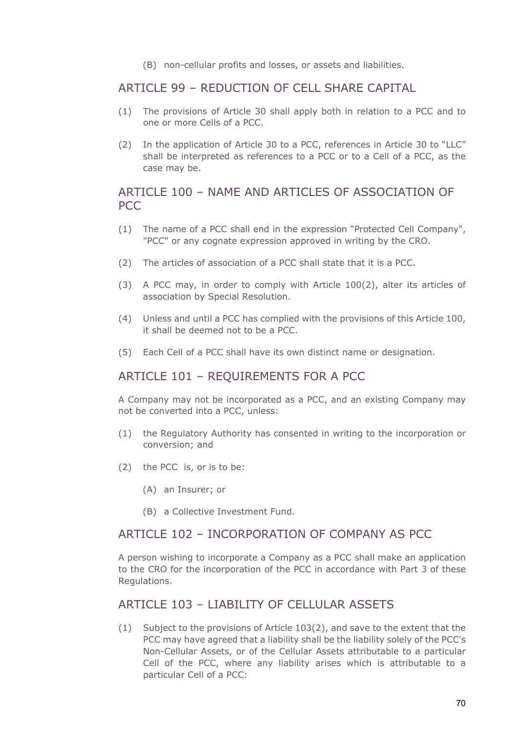(B) non-cellular profits and losses, or assets and liabilities.

### ARTICLE 99 – REDUCTION OF CELL SHARE CAPITAL

- (1) The provisions of Article 30 shall apply both in relation to a PCC and to one or more Cells of a PCC.
- (2) In the application of Article 30 to a PCC, references in Article 30 to "LLC" shall be interpreted as references to a PCC or to a Cell of a PCC, as the case may be.

## ARTICLE 100 – NAME AND ARTICLES OF ASSOCIATION OF PCC

- (1) The name of a PCC shall end in the expression "Protected Cell Company", "PCC" or any cognate expression approved in writing by the CRO.
- (2) The articles of association of a PCC shall state that it is a PCC.
- (3) A PCC may, in order to comply with Article 100(2), alter its articles of association by Special Resolution.
- (4) Unless and until a PCC has complied with the provisions of this Article 100, it shall be deemed not to be a PCC.
- (5) Each Cell of a PCC shall have its own distinct name or designation.

# ARTICLE 101 – REQUIREMENTS FOR A PCC

A Company may not be incorporated as a PCC, and an existing Company may not be converted into a PCC, unless:

- (1) the Regulatory Authority has consented in writing to the incorporation or conversion; and
- (2) the PCC is, or is to be:
	- (A) an Insurer; or
	- (B) a Collective Investment Fund.

## ARTICLE 102 – INCORPORATION OF COMPANY AS PCC

A person wishing to incorporate a Company as a PCC shall make an application to the CRO for the incorporation of the PCC in accordance with Part 3 of these Regulations.

### ARTICLE 103 – LIABILITY OF CELLULAR ASSETS

(1) Subject to the provisions of Article 103(2), and save to the extent that the PCC may have agreed that a liability shall be the liability solely of the PCC's Non-Cellular Assets, or of the Cellular Assets attributable to a particular Cell of the PCC, where any liability arises which is attributable to a particular Cell of a PCC: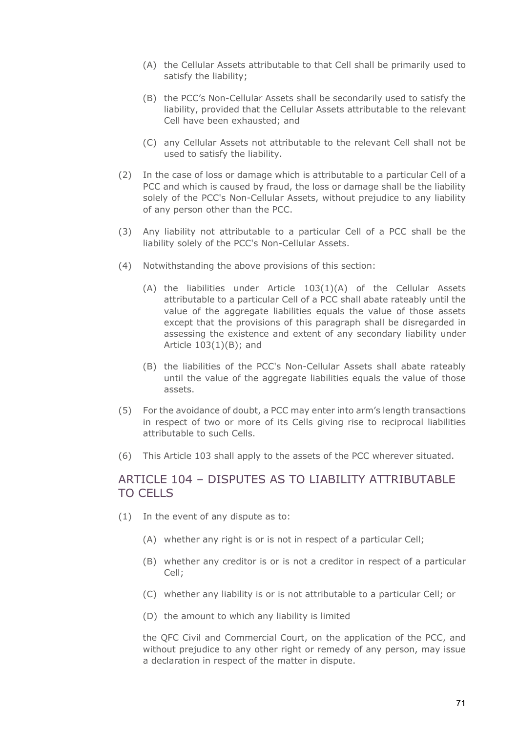- (A) the Cellular Assets attributable to that Cell shall be primarily used to satisfy the liability;
- (B) the PCC's Non-Cellular Assets shall be secondarily used to satisfy the liability, provided that the Cellular Assets attributable to the relevant Cell have been exhausted; and
- (C) any Cellular Assets not attributable to the relevant Cell shall not be used to satisfy the liability.
- (2) In the case of loss or damage which is attributable to a particular Cell of a PCC and which is caused by fraud, the loss or damage shall be the liability solely of the PCC's Non-Cellular Assets, without prejudice to any liability of any person other than the PCC.
- (3) Any liability not attributable to a particular Cell of a PCC shall be the liability solely of the PCC's Non-Cellular Assets.
- (4) Notwithstanding the above provisions of this section:
	- (A) the liabilities under Article 103(1)(A) of the Cellular Assets attributable to a particular Cell of a PCC shall abate rateably until the value of the aggregate liabilities equals the value of those assets except that the provisions of this paragraph shall be disregarded in assessing the existence and extent of any secondary liability under Article 103(1)(B); and
	- (B) the liabilities of the PCC's Non-Cellular Assets shall abate rateably until the value of the aggregate liabilities equals the value of those assets.
- (5) For the avoidance of doubt, a PCC may enter into arm's length transactions in respect of two or more of its Cells giving rise to reciprocal liabilities attributable to such Cells.
- (6) This Article 103 shall apply to the assets of the PCC wherever situated.

#### ARTICLE 104 – DISPUTES AS TO LIABILITY ATTRIBUTABLE TO CELLS

- (1) In the event of any dispute as to:
	- (A) whether any right is or is not in respect of a particular Cell;
	- (B) whether any creditor is or is not a creditor in respect of a particular Cell;
	- (C) whether any liability is or is not attributable to a particular Cell; or
	- (D) the amount to which any liability is limited

the QFC Civil and Commercial Court, on the application of the PCC, and without prejudice to any other right or remedy of any person, may issue a declaration in respect of the matter in dispute.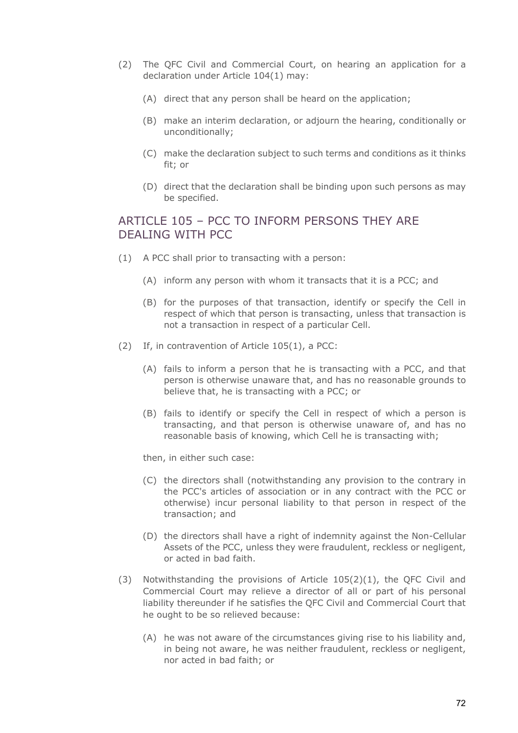- (2) The QFC Civil and Commercial Court, on hearing an application for a declaration under Article 104(1) may:
	- (A) direct that any person shall be heard on the application;
	- (B) make an interim declaration, or adjourn the hearing, conditionally or unconditionally;
	- (C) make the declaration subject to such terms and conditions as it thinks fit; or
	- (D) direct that the declaration shall be binding upon such persons as may be specified.

# ARTICLE 105 – PCC TO INFORM PERSONS THEY ARE DEALING WITH PCC

- (1) A PCC shall prior to transacting with a person:
	- (A) inform any person with whom it transacts that it is a PCC; and
	- (B) for the purposes of that transaction, identify or specify the Cell in respect of which that person is transacting, unless that transaction is not a transaction in respect of a particular Cell.
- (2) If, in contravention of Article 105(1), a PCC:
	- (A) fails to inform a person that he is transacting with a PCC, and that person is otherwise unaware that, and has no reasonable grounds to believe that, he is transacting with a PCC; or
	- (B) fails to identify or specify the Cell in respect of which a person is transacting, and that person is otherwise unaware of, and has no reasonable basis of knowing, which Cell he is transacting with;

then, in either such case:

- (C) the directors shall (notwithstanding any provision to the contrary in the PCC's articles of association or in any contract with the PCC or otherwise) incur personal liability to that person in respect of the transaction; and
- (D) the directors shall have a right of indemnity against the Non-Cellular Assets of the PCC, unless they were fraudulent, reckless or negligent, or acted in bad faith.
- (3) Notwithstanding the provisions of Article 105(2)(1), the QFC Civil and Commercial Court may relieve a director of all or part of his personal liability thereunder if he satisfies the QFC Civil and Commercial Court that he ought to be so relieved because:
	- (A) he was not aware of the circumstances giving rise to his liability and, in being not aware, he was neither fraudulent, reckless or negligent, nor acted in bad faith; or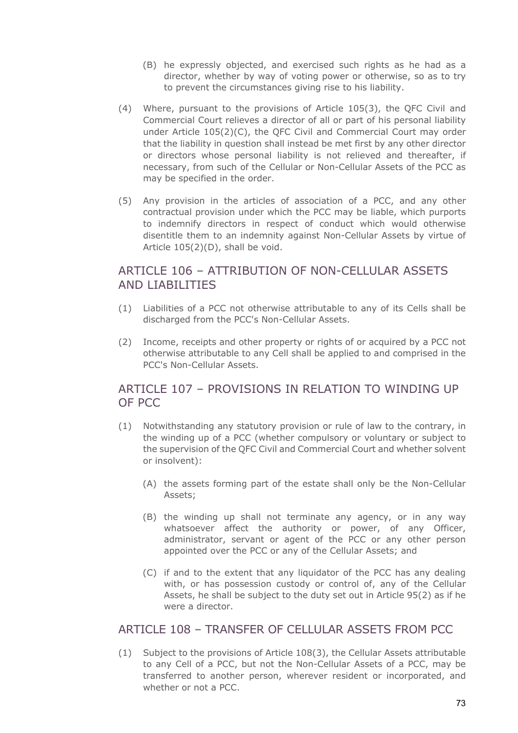- (B) he expressly objected, and exercised such rights as he had as a director, whether by way of voting power or otherwise, so as to try to prevent the circumstances giving rise to his liability.
- (4) Where, pursuant to the provisions of Article 105(3), the QFC Civil and Commercial Court relieves a director of all or part of his personal liability under Article  $105(2)(C)$ , the QFC Civil and Commercial Court may order that the liability in question shall instead be met first by any other director or directors whose personal liability is not relieved and thereafter, if necessary, from such of the Cellular or Non-Cellular Assets of the PCC as may be specified in the order.
- (5) Any provision in the articles of association of a PCC, and any other contractual provision under which the PCC may be liable, which purports to indemnify directors in respect of conduct which would otherwise disentitle them to an indemnity against Non-Cellular Assets by virtue of Article 105(2)(D), shall be void.

### ARTICLE 106 – ATTRIBUTION OF NON-CELLULAR ASSETS AND LIABILITIES

- (1) Liabilities of a PCC not otherwise attributable to any of its Cells shall be discharged from the PCC's Non-Cellular Assets.
- (2) Income, receipts and other property or rights of or acquired by a PCC not otherwise attributable to any Cell shall be applied to and comprised in the PCC's Non-Cellular Assets.

# ARTICLE 107 – PROVISIONS IN RELATION TO WINDING UP OF PCC

- (1) Notwithstanding any statutory provision or rule of law to the contrary, in the winding up of a PCC (whether compulsory or voluntary or subject to the supervision of the QFC Civil and Commercial Court and whether solvent or insolvent):
	- (A) the assets forming part of the estate shall only be the Non-Cellular Assets;
	- (B) the winding up shall not terminate any agency, or in any way whatsoever affect the authority or power, of any Officer, administrator, servant or agent of the PCC or any other person appointed over the PCC or any of the Cellular Assets; and
	- (C) if and to the extent that any liquidator of the PCC has any dealing with, or has possession custody or control of, any of the Cellular Assets, he shall be subject to the duty set out in Article 95(2) as if he were a director.

# ARTICLE 108 – TRANSFER OF CELLULAR ASSETS FROM PCC

(1) Subject to the provisions of Article 108(3), the Cellular Assets attributable to any Cell of a PCC, but not the Non-Cellular Assets of a PCC, may be transferred to another person, wherever resident or incorporated, and whether or not a PCC.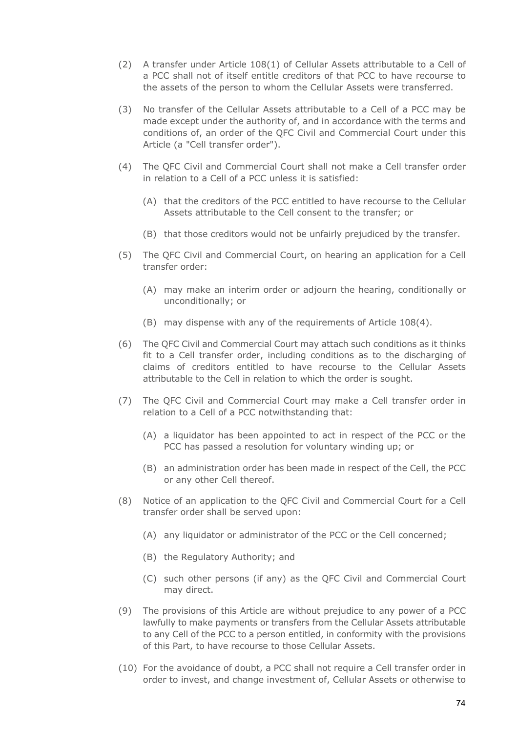- (2) A transfer under Article 108(1) of Cellular Assets attributable to a Cell of a PCC shall not of itself entitle creditors of that PCC to have recourse to the assets of the person to whom the Cellular Assets were transferred.
- (3) No transfer of the Cellular Assets attributable to a Cell of a PCC may be made except under the authority of, and in accordance with the terms and conditions of, an order of the QFC Civil and Commercial Court under this Article (a "Cell transfer order").
- (4) The QFC Civil and Commercial Court shall not make a Cell transfer order in relation to a Cell of a PCC unless it is satisfied:
	- (A) that the creditors of the PCC entitled to have recourse to the Cellular Assets attributable to the Cell consent to the transfer; or
	- (B) that those creditors would not be unfairly prejudiced by the transfer.
- (5) The QFC Civil and Commercial Court, on hearing an application for a Cell transfer order:
	- (A) may make an interim order or adjourn the hearing, conditionally or unconditionally; or
	- (B) may dispense with any of the requirements of Article 108(4).
- (6) The QFC Civil and Commercial Court may attach such conditions as it thinks fit to a Cell transfer order, including conditions as to the discharging of claims of creditors entitled to have recourse to the Cellular Assets attributable to the Cell in relation to which the order is sought.
- (7) The QFC Civil and Commercial Court may make a Cell transfer order in relation to a Cell of a PCC notwithstanding that:
	- (A) a liquidator has been appointed to act in respect of the PCC or the PCC has passed a resolution for voluntary winding up; or
	- (B) an administration order has been made in respect of the Cell, the PCC or any other Cell thereof.
- (8) Notice of an application to the QFC Civil and Commercial Court for a Cell transfer order shall be served upon:
	- (A) any liquidator or administrator of the PCC or the Cell concerned;
	- (B) the Regulatory Authority; and
	- (C) such other persons (if any) as the QFC Civil and Commercial Court may direct.
- (9) The provisions of this Article are without prejudice to any power of a PCC lawfully to make payments or transfers from the Cellular Assets attributable to any Cell of the PCC to a person entitled, in conformity with the provisions of this Part, to have recourse to those Cellular Assets.
- (10) For the avoidance of doubt, a PCC shall not require a Cell transfer order in order to invest, and change investment of, Cellular Assets or otherwise to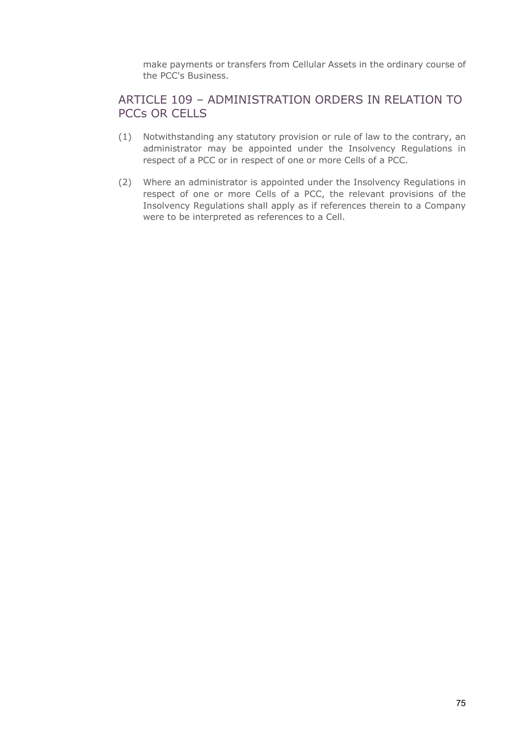make payments or transfers from Cellular Assets in the ordinary course of the PCC's Business.

### ARTICLE 109 – ADMINISTRATION ORDERS IN RELATION TO PCCs OR CELLS

- (1) Notwithstanding any statutory provision or rule of law to the contrary, an administrator may be appointed under the Insolvency Regulations in respect of a PCC or in respect of one or more Cells of a PCC.
- (2) Where an administrator is appointed under the Insolvency Regulations in respect of one or more Cells of a PCC, the relevant provisions of the Insolvency Regulations shall apply as if references therein to a Company were to be interpreted as references to a Cell.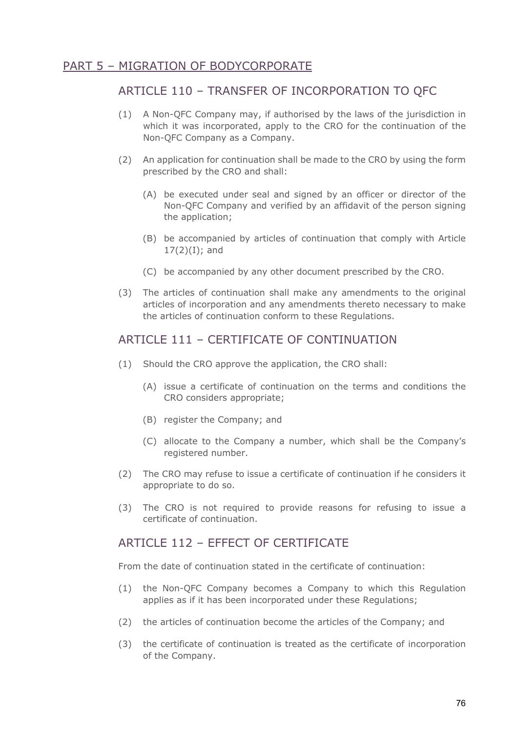### PART 5 – MIGRATION OF BODYCORPORATE

#### ARTICLE 110 – TRANSFER OF INCORPORATION TO QFC

- (1) A Non-QFC Company may, if authorised by the laws of the jurisdiction in which it was incorporated, apply to the CRO for the continuation of the Non-QFC Company as a Company.
- (2) An application for continuation shall be made to the CRO by using the form prescribed by the CRO and shall:
	- (A) be executed under seal and signed by an officer or director of the Non-QFC Company and verified by an affidavit of the person signing the application;
	- (B) be accompanied by articles of continuation that comply with Article  $17(2)(I)$ ; and
	- (C) be accompanied by any other document prescribed by the CRO.
- (3) The articles of continuation shall make any amendments to the original articles of incorporation and any amendments thereto necessary to make the articles of continuation conform to these Regulations.

## ARTICLE 111 – CERTIFICATE OF CONTINUATION

- (1) Should the CRO approve the application, the CRO shall:
	- (A) issue a certificate of continuation on the terms and conditions the CRO considers appropriate;
	- (B) register the Company; and
	- (C) allocate to the Company a number, which shall be the Company's registered number.
- (2) The CRO may refuse to issue a certificate of continuation if he considers it appropriate to do so.
- (3) The CRO is not required to provide reasons for refusing to issue a certificate of continuation.

#### ARTICLE 112 - FEFFCT OF CERTIFICATE

From the date of continuation stated in the certificate of continuation:

- (1) the Non-QFC Company becomes a Company to which this Regulation applies as if it has been incorporated under these Regulations;
- (2) the articles of continuation become the articles of the Company; and
- (3) the certificate of continuation is treated as the certificate of incorporation of the Company.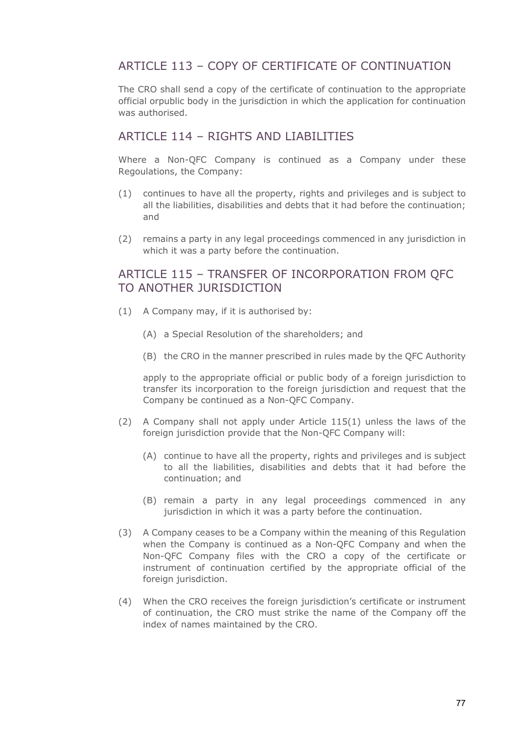# ARTICLE 113 – COPY OF CERTIFICATE OF CONTINUATION

The CRO shall send a copy of the certificate of continuation to the appropriate official orpublic body in the jurisdiction in which the application for continuation was authorised.

#### ARTICLE 114 - RIGHTS AND LIABILITIES

Where a Non-QFC Company is continued as a Company under these Regoulations, the Company:

- (1) continues to have all the property, rights and privileges and is subject to all the liabilities, disabilities and debts that it had before the continuation; and
- (2) remains a party in any legal proceedings commenced in any jurisdiction in which it was a party before the continuation.

#### ARTICLE 115 – TRANSFER OF INCORPORATION FROM QFC TO ANOTHER JURISDICTION

- (1) A Company may, if it is authorised by:
	- (A) a Special Resolution of the shareholders; and
	- (B) the CRO in the manner prescribed in rules made by the QFC Authority

apply to the appropriate official or public body of a foreign jurisdiction to transfer its incorporation to the foreign jurisdiction and request that the Company be continued as a Non-QFC Company.

- (2) A Company shall not apply under Article 115(1) unless the laws of the foreign jurisdiction provide that the Non-QFC Company will:
	- (A) continue to have all the property, rights and privileges and is subject to all the liabilities, disabilities and debts that it had before the continuation; and
	- (B) remain a party in any legal proceedings commenced in any jurisdiction in which it was a party before the continuation.
- (3) A Company ceases to be a Company within the meaning of this Regulation when the Company is continued as a Non-QFC Company and when the Non-QFC Company files with the CRO a copy of the certificate or instrument of continuation certified by the appropriate official of the foreign jurisdiction.
- (4) When the CRO receives the foreign jurisdiction's certificate or instrument of continuation, the CRO must strike the name of the Company off the index of names maintained by the CRO.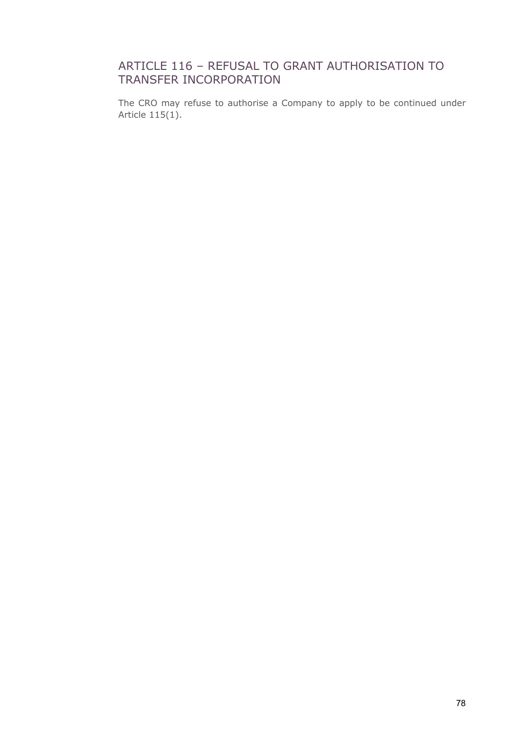# ARTICLE 116 – REFUSAL TO GRANT AUTHORISATION TO TRANSFER INCORPORATION

The CRO may refuse to authorise a Company to apply to be continued under Article 115(1).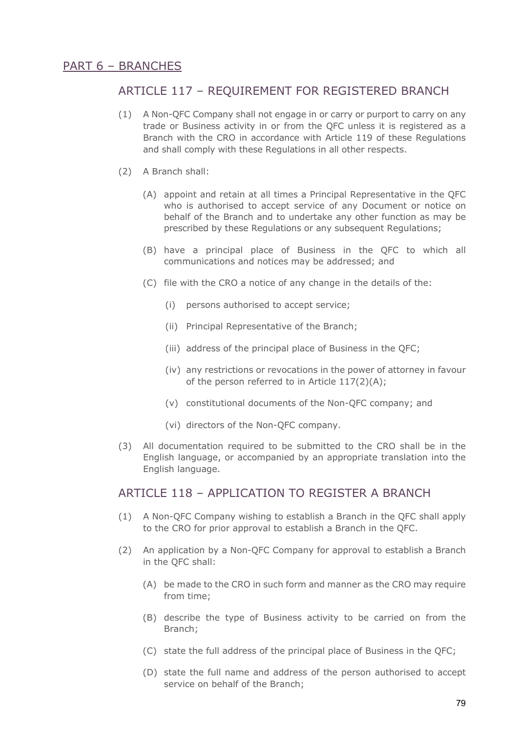# ARTICLE 117 – REQUIREMENT FOR REGISTERED BRANCH

- (1) A Non-QFC Company shall not engage in or carry or purport to carry on any trade or Business activity in or from the QFC unless it is registered as a Branch with the CRO in accordance with Article 119 of these Regulations and shall comply with these Regulations in all other respects.
- (2) A Branch shall:
	- (A) appoint and retain at all times a Principal Representative in the QFC who is authorised to accept service of any Document or notice on behalf of the Branch and to undertake any other function as may be prescribed by these Regulations or any subsequent Regulations;
	- (B) have a principal place of Business in the QFC to which all communications and notices may be addressed; and
	- (C) file with the CRO a notice of any change in the details of the:
		- (i) persons authorised to accept service;
		- (ii) Principal Representative of the Branch;
		- (iii) address of the principal place of Business in the QFC;
		- (iv) any restrictions or revocations in the power of attorney in favour of the person referred to in Article 117(2)(A);
		- (v) constitutional documents of the Non-QFC company; and
		- (vi) directors of the Non-QFC company.
- (3) All documentation required to be submitted to the CRO shall be in the English language, or accompanied by an appropriate translation into the English language.

#### ARTICLE 118 – APPLICATION TO REGISTER A BRANCH

- (1) A Non-QFC Company wishing to establish a Branch in the QFC shall apply to the CRO for prior approval to establish a Branch in the QFC.
- (2) An application by a Non-QFC Company for approval to establish a Branch in the QFC shall:
	- (A) be made to the CRO in such form and manner as the CRO may require from time;
	- (B) describe the type of Business activity to be carried on from the Branch;
	- (C) state the full address of the principal place of Business in the QFC;
	- (D) state the full name and address of the person authorised to accept service on behalf of the Branch;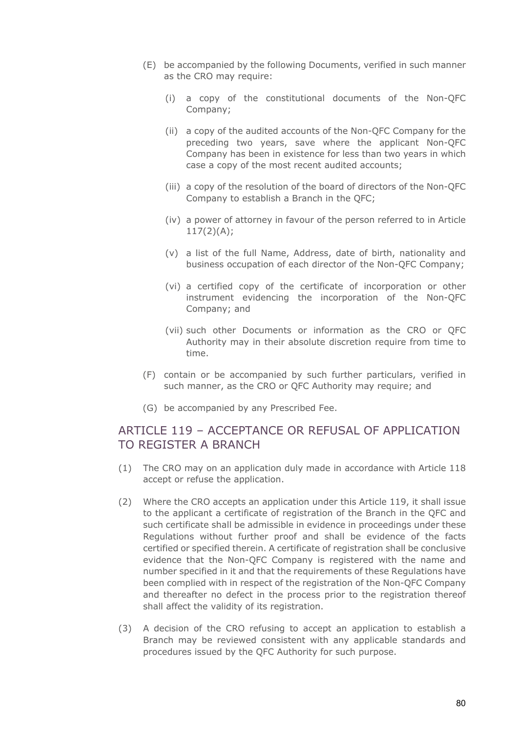- (E) be accompanied by the following Documents, verified in such manner as the CRO may require:
	- (i) a copy of the constitutional documents of the Non-QFC Company;
	- (ii) a copy of the audited accounts of the Non-QFC Company for the preceding two years, save where the applicant Non-QFC Company has been in existence for less than two years in which case a copy of the most recent audited accounts;
	- (iii) a copy of the resolution of the board of directors of the Non-QFC Company to establish a Branch in the QFC;
	- (iv) a power of attorney in favour of the person referred to in Article  $117(2)(A);$
	- (v) a list of the full Name, Address, date of birth, nationality and business occupation of each director of the Non-QFC Company;
	- (vi) a certified copy of the certificate of incorporation or other instrument evidencing the incorporation of the Non-QFC Company; and
	- (vii) such other Documents or information as the CRO or QFC Authority may in their absolute discretion require from time to time.
- (F) contain or be accompanied by such further particulars, verified in such manner, as the CRO or QFC Authority may require; and
- (G) be accompanied by any Prescribed Fee.

#### ARTICLE 119 – ACCEPTANCE OR REFUSAL OF APPLICATION TO REGISTER A BRANCH

- (1) The CRO may on an application duly made in accordance with Article 118 accept or refuse the application.
- (2) Where the CRO accepts an application under this Article 119, it shall issue to the applicant a certificate of registration of the Branch in the QFC and such certificate shall be admissible in evidence in proceedings under these Regulations without further proof and shall be evidence of the facts certified or specified therein. A certificate of registration shall be conclusive evidence that the Non-QFC Company is registered with the name and number specified in it and that the requirements of these Regulations have been complied with in respect of the registration of the Non-QFC Company and thereafter no defect in the process prior to the registration thereof shall affect the validity of its registration.
- (3) A decision of the CRO refusing to accept an application to establish a Branch may be reviewed consistent with any applicable standards and procedures issued by the QFC Authority for such purpose.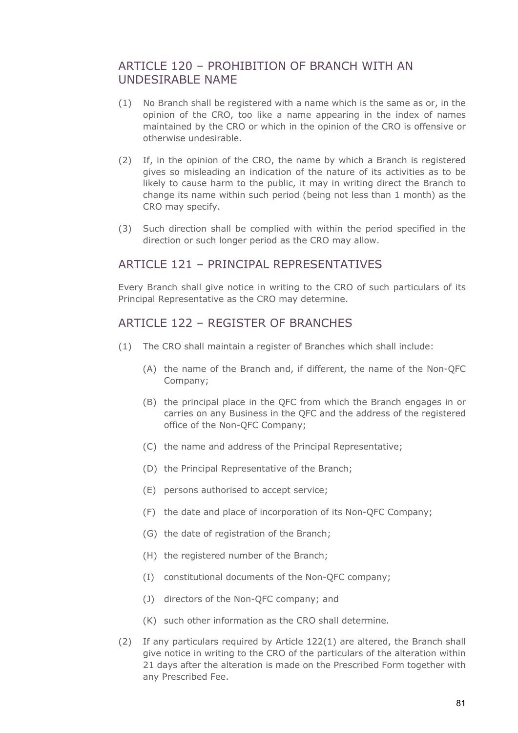### ARTICLE 120 - PROHIBITION OF BRANCH WITH AN UNDESIRABLE NAME

- (1) No Branch shall be registered with a name which is the same as or, in the opinion of the CRO, too like a name appearing in the index of names maintained by the CRO or which in the opinion of the CRO is offensive or otherwise undesirable.
- (2) If, in the opinion of the CRO, the name by which a Branch is registered gives so misleading an indication of the nature of its activities as to be likely to cause harm to the public, it may in writing direct the Branch to change its name within such period (being not less than 1 month) as the CRO may specify.
- (3) Such direction shall be complied with within the period specified in the direction or such longer period as the CRO may allow.

#### ARTICLE 121 - PRINCIPAL REPRESENTATIVES

Every Branch shall give notice in writing to the CRO of such particulars of its Principal Representative as the CRO may determine.

#### ARTICLE 122 - REGISTER OF BRANCHES

- (1) The CRO shall maintain a register of Branches which shall include:
	- (A) the name of the Branch and, if different, the name of the Non-QFC Company;
	- (B) the principal place in the QFC from which the Branch engages in or carries on any Business in the QFC and the address of the registered office of the Non-QFC Company;
	- (C) the name and address of the Principal Representative;
	- (D) the Principal Representative of the Branch;
	- (E) persons authorised to accept service;
	- (F) the date and place of incorporation of its Non-QFC Company;
	- (G) the date of registration of the Branch;
	- (H) the registered number of the Branch;
	- (I) constitutional documents of the Non-QFC company;
	- (J) directors of the Non-QFC company; and
	- (K) such other information as the CRO shall determine.
- (2) If any particulars required by Article 122(1) are altered, the Branch shall give notice in writing to the CRO of the particulars of the alteration within 21 days after the alteration is made on the Prescribed Form together with any Prescribed Fee.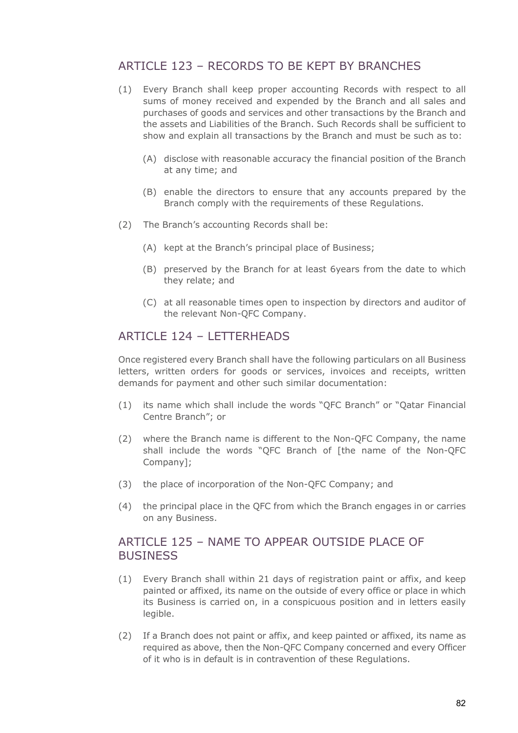# ARTICLE 123 – RECORDS TO BE KEPT BY BRANCHES

- (1) Every Branch shall keep proper accounting Records with respect to all sums of money received and expended by the Branch and all sales and purchases of goods and services and other transactions by the Branch and the assets and Liabilities of the Branch. Such Records shall be sufficient to show and explain all transactions by the Branch and must be such as to:
	- (A) disclose with reasonable accuracy the financial position of the Branch at any time; and
	- (B) enable the directors to ensure that any accounts prepared by the Branch comply with the requirements of these Regulations.
- (2) The Branch's accounting Records shall be:
	- (A) kept at the Branch's principal place of Business;
	- (B) preserved by the Branch for at least 6years from the date to which they relate; and
	- (C) at all reasonable times open to inspection by directors and auditor of the relevant Non-QFC Company.

#### ARTICLE 124 - LETTERHEADS

Once registered every Branch shall have the following particulars on all Business letters, written orders for goods or services, invoices and receipts, written demands for payment and other such similar documentation:

- (1) its name which shall include the words "QFC Branch" or "Qatar Financial Centre Branch"; or
- (2) where the Branch name is different to the Non-QFC Company, the name shall include the words "QFC Branch of [the name of the Non-QFC Company];
- (3) the place of incorporation of the Non-QFC Company; and
- (4) the principal place in the QFC from which the Branch engages in or carries on any Business.

### ARTICLE 125 – NAME TO APPEAR OUTSIDE PLACE OF **BUSINESS**

- (1) Every Branch shall within 21 days of registration paint or affix, and keep painted or affixed, its name on the outside of every office or place in which its Business is carried on, in a conspicuous position and in letters easily legible.
- (2) If a Branch does not paint or affix, and keep painted or affixed, its name as required as above, then the Non-QFC Company concerned and every Officer of it who is in default is in contravention of these Regulations.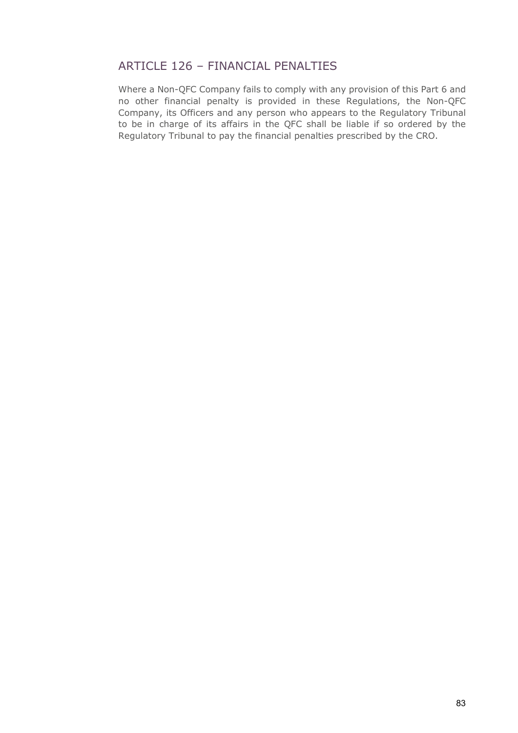# ARTICLE 126 – FINANCIAL PENALTIES

Where a Non-QFC Company fails to comply with any provision of this Part 6 and no other financial penalty is provided in these Regulations, the Non-QFC Company, its Officers and any person who appears to the Regulatory Tribunal to be in charge of its affairs in the QFC shall be liable if so ordered by the Regulatory Tribunal to pay the financial penalties prescribed by the CRO.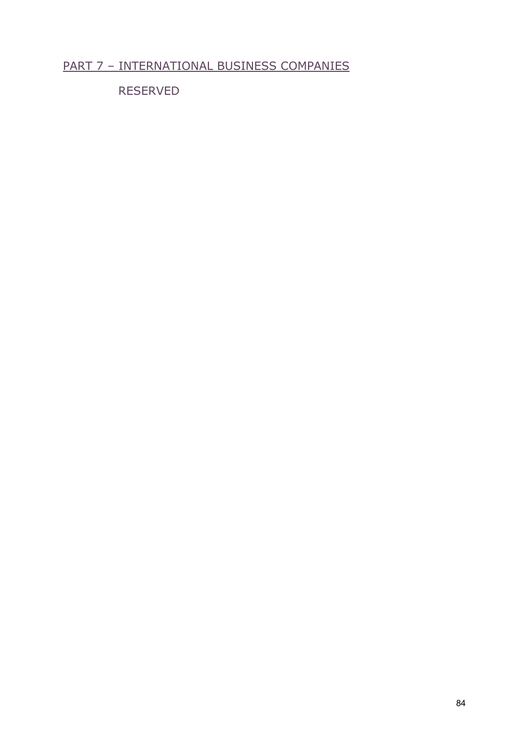# PART 7 – INTERNATIONAL BUSINESS COMPANIES

RESERVED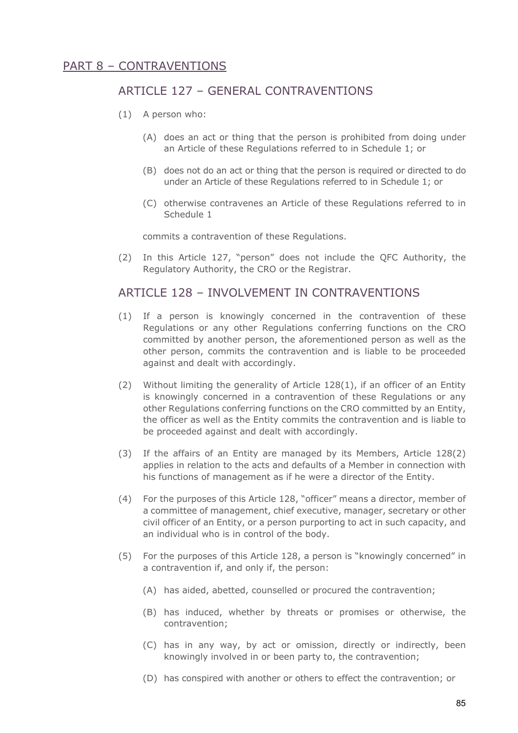# ARTICLE 127 – GENERAL CONTRAVENTIONS

- (1) A person who:
	- (A) does an act or thing that the person is prohibited from doing under an Article of these Regulations referred to in Schedule 1; or
	- (B) does not do an act or thing that the person is required or directed to do under an Article of these Regulations referred to in Schedule 1; or
	- (C) otherwise contravenes an Article of these Regulations referred to in Schedule 1

commits a contravention of these Regulations.

(2) In this Article 127, "person" does not include the QFC Authority, the Regulatory Authority, the CRO or the Registrar.

#### ARTICLE 128 - INVOLVEMENT IN CONTRAVENTIONS

- (1) If a person is knowingly concerned in the contravention of these Regulations or any other Regulations conferring functions on the CRO committed by another person, the aforementioned person as well as the other person, commits the contravention and is liable to be proceeded against and dealt with accordingly.
- (2) Without limiting the generality of Article 128(1), if an officer of an Entity is knowingly concerned in a contravention of these Regulations or any other Regulations conferring functions on the CRO committed by an Entity, the officer as well as the Entity commits the contravention and is liable to be proceeded against and dealt with accordingly.
- (3) If the affairs of an Entity are managed by its Members, Article 128(2) applies in relation to the acts and defaults of a Member in connection with his functions of management as if he were a director of the Entity.
- (4) For the purposes of this Article 128, "officer" means a director, member of a committee of management, chief executive, manager, secretary or other civil officer of an Entity, or a person purporting to act in such capacity, and an individual who is in control of the body.
- (5) For the purposes of this Article 128, a person is "knowingly concerned" in a contravention if, and only if, the person:
	- (A) has aided, abetted, counselled or procured the contravention;
	- (B) has induced, whether by threats or promises or otherwise, the contravention;
	- (C) has in any way, by act or omission, directly or indirectly, been knowingly involved in or been party to, the contravention;
	- (D) has conspired with another or others to effect the contravention; or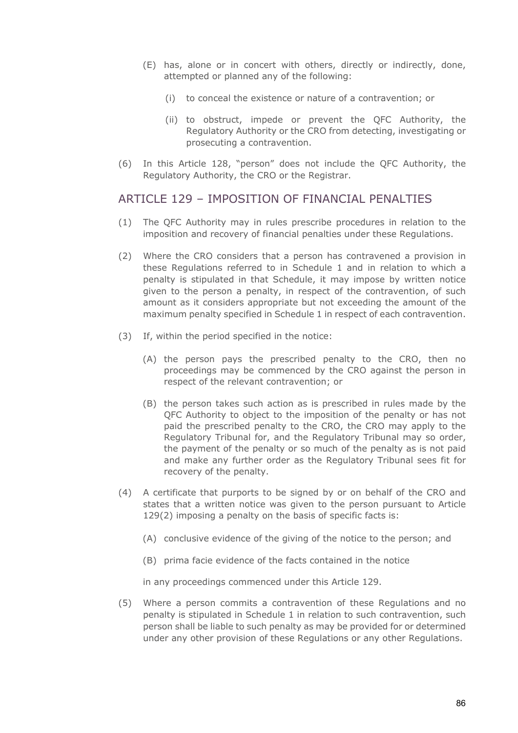- (E) has, alone or in concert with others, directly or indirectly, done, attempted or planned any of the following:
	- (i) to conceal the existence or nature of a contravention; or
	- (ii) to obstruct, impede or prevent the QFC Authority, the Regulatory Authority or the CRO from detecting, investigating or prosecuting a contravention.
- (6) In this Article 128, "person" does not include the QFC Authority, the Regulatory Authority, the CRO or the Registrar.

#### ARTICLE 129 – IMPOSITION OF FINANCIAL PENALTIES

- (1) The QFC Authority may in rules prescribe procedures in relation to the imposition and recovery of financial penalties under these Regulations.
- (2) Where the CRO considers that a person has contravened a provision in these Regulations referred to in Schedule 1 and in relation to which a penalty is stipulated in that Schedule, it may impose by written notice given to the person a penalty, in respect of the contravention, of such amount as it considers appropriate but not exceeding the amount of the maximum penalty specified in Schedule 1 in respect of each contravention.
- (3) If, within the period specified in the notice:
	- (A) the person pays the prescribed penalty to the CRO, then no proceedings may be commenced by the CRO against the person in respect of the relevant contravention; or
	- (B) the person takes such action as is prescribed in rules made by the QFC Authority to object to the imposition of the penalty or has not paid the prescribed penalty to the CRO, the CRO may apply to the Regulatory Tribunal for, and the Regulatory Tribunal may so order, the payment of the penalty or so much of the penalty as is not paid and make any further order as the Regulatory Tribunal sees fit for recovery of the penalty.
- (4) A certificate that purports to be signed by or on behalf of the CRO and states that a written notice was given to the person pursuant to Article 129(2) imposing a penalty on the basis of specific facts is:
	- (A) conclusive evidence of the giving of the notice to the person; and
	- (B) prima facie evidence of the facts contained in the notice

in any proceedings commenced under this Article 129.

(5) Where a person commits a contravention of these Regulations and no penalty is stipulated in Schedule 1 in relation to such contravention, such person shall be liable to such penalty as may be provided for or determined under any other provision of these Regulations or any other Regulations.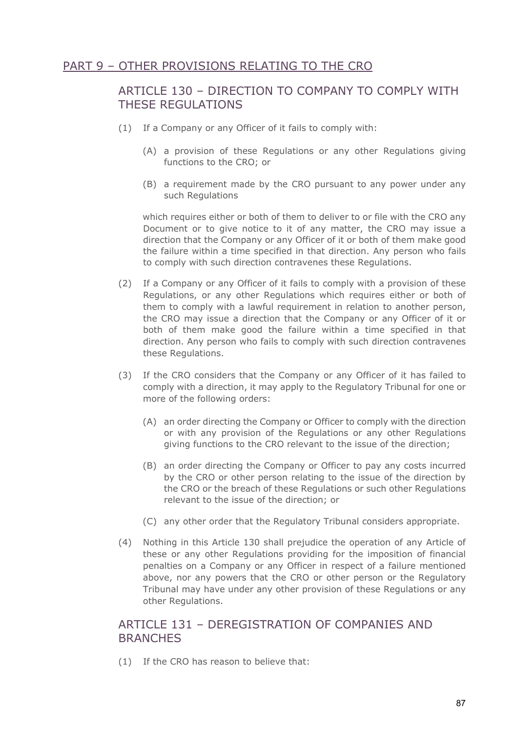### PART 9 – OTHER PROVISIONS RELATING TO THE CRO

### ARTICLE 130 – DIRECTION TO COMPANY TO COMPLY WITH THESE REGULATIONS

- (1) If a Company or any Officer of it fails to comply with:
	- (A) a provision of these Regulations or any other Regulations giving functions to the CRO; or
	- (B) a requirement made by the CRO pursuant to any power under any such Regulations

which requires either or both of them to deliver to or file with the CRO any Document or to give notice to it of any matter, the CRO may issue a direction that the Company or any Officer of it or both of them make good the failure within a time specified in that direction. Any person who fails to comply with such direction contravenes these Regulations.

- (2) If a Company or any Officer of it fails to comply with a provision of these Regulations, or any other Regulations which requires either or both of them to comply with a lawful requirement in relation to another person, the CRO may issue a direction that the Company or any Officer of it or both of them make good the failure within a time specified in that direction. Any person who fails to comply with such direction contravenes these Regulations.
- (3) If the CRO considers that the Company or any Officer of it has failed to comply with a direction, it may apply to the Regulatory Tribunal for one or more of the following orders:
	- (A) an order directing the Company or Officer to comply with the direction or with any provision of the Regulations or any other Regulations giving functions to the CRO relevant to the issue of the direction;
	- (B) an order directing the Company or Officer to pay any costs incurred by the CRO or other person relating to the issue of the direction by the CRO or the breach of these Regulations or such other Regulations relevant to the issue of the direction; or
	- (C) any other order that the Regulatory Tribunal considers appropriate.
- (4) Nothing in this Article 130 shall prejudice the operation of any Article of these or any other Regulations providing for the imposition of financial penalties on a Company or any Officer in respect of a failure mentioned above, nor any powers that the CRO or other person or the Regulatory Tribunal may have under any other provision of these Regulations or any other Regulations.

#### ARTICLE 131 – DEREGISTRATION OF COMPANIES AND **BRANCHES**

(1) If the CRO has reason to believe that: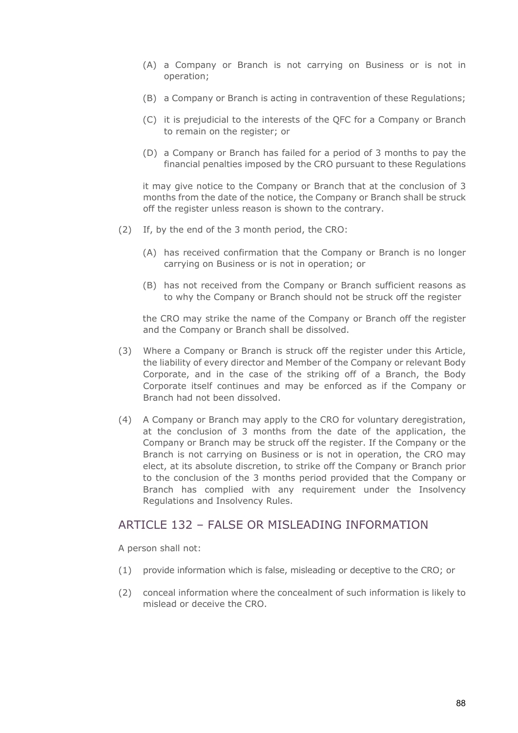- (A) a Company or Branch is not carrying on Business or is not in operation;
- (B) a Company or Branch is acting in contravention of these Regulations;
- (C) it is prejudicial to the interests of the QFC for a Company or Branch to remain on the register; or
- (D) a Company or Branch has failed for a period of 3 months to pay the financial penalties imposed by the CRO pursuant to these Regulations

it may give notice to the Company or Branch that at the conclusion of 3 months from the date of the notice, the Company or Branch shall be struck off the register unless reason is shown to the contrary.

- (2) If, by the end of the 3 month period, the CRO:
	- (A) has received confirmation that the Company or Branch is no longer carrying on Business or is not in operation; or
	- (B) has not received from the Company or Branch sufficient reasons as to why the Company or Branch should not be struck off the register

the CRO may strike the name of the Company or Branch off the register and the Company or Branch shall be dissolved.

- (3) Where a Company or Branch is struck off the register under this Article, the liability of every director and Member of the Company or relevant Body Corporate, and in the case of the striking off of a Branch, the Body Corporate itself continues and may be enforced as if the Company or Branch had not been dissolved.
- (4) A Company or Branch may apply to the CRO for voluntary deregistration, at the conclusion of 3 months from the date of the application, the Company or Branch may be struck off the register. If the Company or the Branch is not carrying on Business or is not in operation, the CRO may elect, at its absolute discretion, to strike off the Company or Branch prior to the conclusion of the 3 months period provided that the Company or Branch has complied with any requirement under the Insolvency Regulations and Insolvency Rules.

#### ARTICLE 132 – FALSE OR MISLEADING INFORMATION

A person shall not:

- (1) provide information which is false, misleading or deceptive to the CRO; or
- (2) conceal information where the concealment of such information is likely to mislead or deceive the CRO.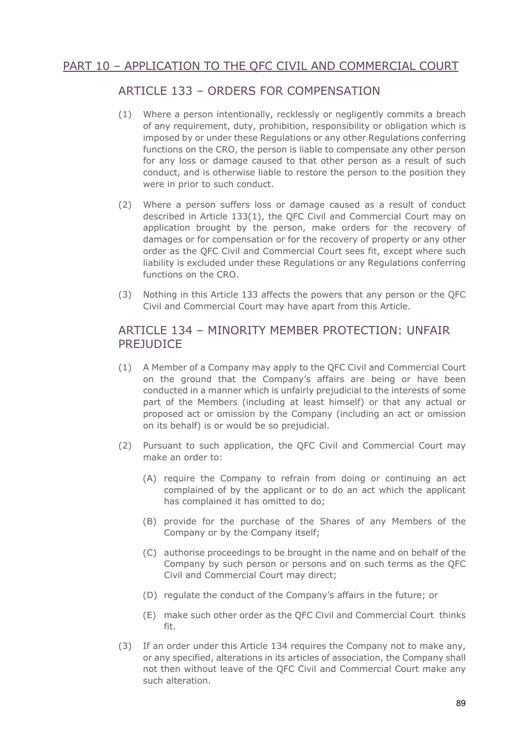# PART 10 – APPLICATION TO THE QFC CIVIL AND COMMERCIAL COURT

# ARTICLE 133 – ORDERS FOR COMPENSATION

- (1) Where a person intentionally, recklessly or negligently commits a breach of any requirement, duty, prohibition, responsibility or obligation which is imposed by or under these Regulations or any other Regulations conferring functions on the CRO, the person is liable to compensate any other person for any loss or damage caused to that other person as a result of such conduct, and is otherwise liable to restore the person to the position they were in prior to such conduct.
- (2) Where a person suffers loss or damage caused as a result of conduct described in Article 133(1), the QFC Civil and Commercial Court may on application brought by the person, make orders for the recovery of damages or for compensation or for the recovery of property or any other order as the QFC Civil and Commercial Court sees fit, except where such liability is excluded under these Regulations or any Regulations conferring functions on the CRO.
- (3) Nothing in this Article 133 affects the powers that any person or the QFC Civil and Commercial Court may have apart from this Article.

#### ARTICLE 134 – MINORITY MEMBER PROTECTION: UNFAIR **PREJUDICE**

- (1) A Member of a Company may apply to the QFC Civil and Commercial Court on the ground that the Company's affairs are being or have been conducted in a manner which is unfairly prejudicial to the interests of some part of the Members (including at least himself) or that any actual or proposed act or omission by the Company (including an act or omission on its behalf) is or would be so prejudicial.
- (2) Pursuant to such application, the QFC Civil and Commercial Court may make an order to:
	- (A) require the Company to refrain from doing or continuing an act complained of by the applicant or to do an act which the applicant has complained it has omitted to do;
	- (B) provide for the purchase of the Shares of any Members of the Company or by the Company itself;
	- (C) authorise proceedings to be brought in the name and on behalf of the Company by such person or persons and on such terms as the QFC Civil and Commercial Court may direct;
	- (D) regulate the conduct of the Company's affairs in the future; or
	- (E) make such other order as the QFC Civil and Commercial Court thinks fit.
- (3) If an order under this Article 134 requires the Company not to make any, or any specified, alterations in its articles of association, the Company shall not then without leave of the QFC Civil and Commercial Court make any such alteration.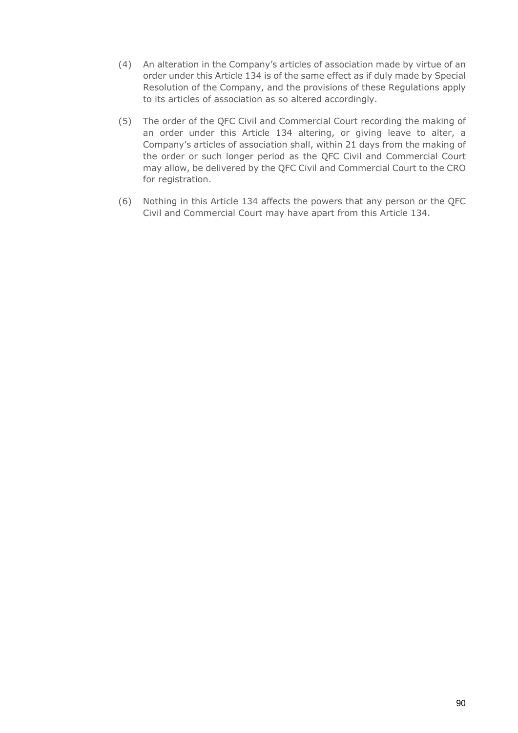- (4) An alteration in the Company's articles of association made by virtue of an order under this Article 134 is of the same effect as if duly made by Special Resolution of the Company, and the provisions of these Regulations apply to its articles of association as so altered accordingly.
- (5) The order of the QFC Civil and Commercial Court recording the making of an order under this Article 134 altering, or giving leave to alter, a Company's articles of association shall, within 21 days from the making of the order or such longer period as the QFC Civil and Commercial Court may allow, be delivered by the QFC Civil and Commercial Court to the CRO for registration.
- (6) Nothing in this Article 134 affects the powers that any person or the QFC Civil and Commercial Court may have apart from this Article 134.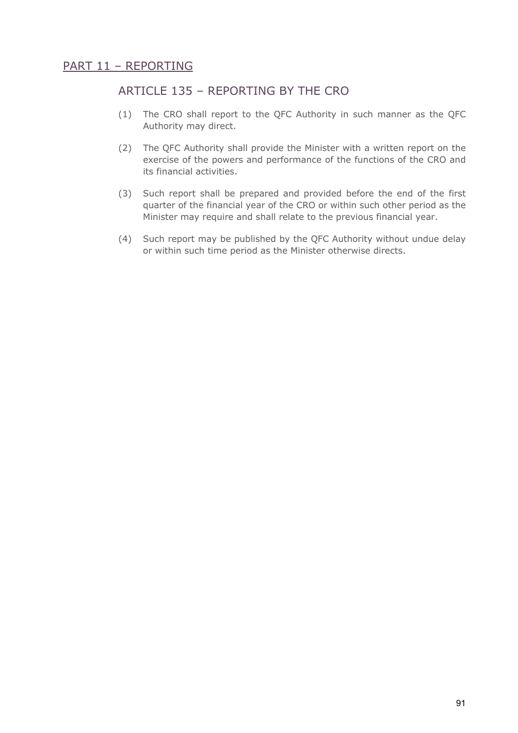# ARTICLE 135 – REPORTING BY THE CRO

- (1) The CRO shall report to the QFC Authority in such manner as the QFC Authority may direct.
- (2) The QFC Authority shall provide the Minister with a written report on the exercise of the powers and performance of the functions of the CRO and its financial activities.
- (3) Such report shall be prepared and provided before the end of the first quarter of the financial year of the CRO or within such other period as the Minister may require and shall relate to the previous financial year.
- (4) Such report may be published by the QFC Authority without undue delay or within such time period as the Minister otherwise directs.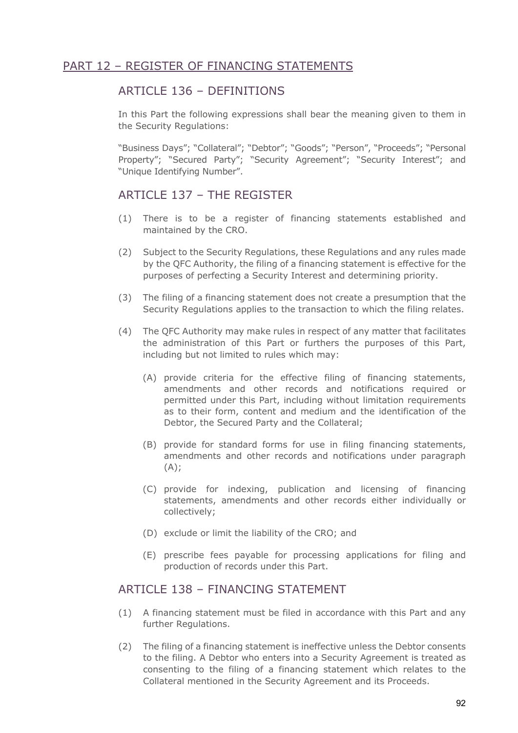### ARTICLE 136 – DEFINITIONS

In this Part the following expressions shall bear the meaning given to them in the Security Regulations:

"Business Days"; "Collateral"; "Debtor"; "Goods"; "Person", "Proceeds"; "Personal Property"; "Secured Party"; "Security Agreement"; "Security Interest"; and "Unique Identifying Number".

# ARTICLE 137 – THE REGISTER

- (1) There is to be a register of financing statements established and maintained by the CRO.
- (2) Subject to the Security Regulations, these Regulations and any rules made by the QFC Authority, the filing of a financing statement is effective for the purposes of perfecting a Security Interest and determining priority.
- (3) The filing of a financing statement does not create a presumption that the Security Regulations applies to the transaction to which the filing relates.
- (4) The QFC Authority may make rules in respect of any matter that facilitates the administration of this Part or furthers the purposes of this Part, including but not limited to rules which may:
	- (A) provide criteria for the effective filing of financing statements, amendments and other records and notifications required or permitted under this Part, including without limitation requirements as to their form, content and medium and the identification of the Debtor, the Secured Party and the Collateral;
	- (B) provide for standard forms for use in filing financing statements, amendments and other records and notifications under paragraph  $(A)$ ;
	- (C) provide for indexing, publication and licensing of financing statements, amendments and other records either individually or collectively;
	- (D) exclude or limit the liability of the CRO; and
	- (E) prescribe fees payable for processing applications for filing and production of records under this Part.

# ARTICLE 138 – FINANCING STATEMENT

- (1) A financing statement must be filed in accordance with this Part and any further Regulations.
- (2) The filing of a financing statement is ineffective unless the Debtor consents to the filing. A Debtor who enters into a Security Agreement is treated as consenting to the filing of a financing statement which relates to the Collateral mentioned in the Security Agreement and its Proceeds.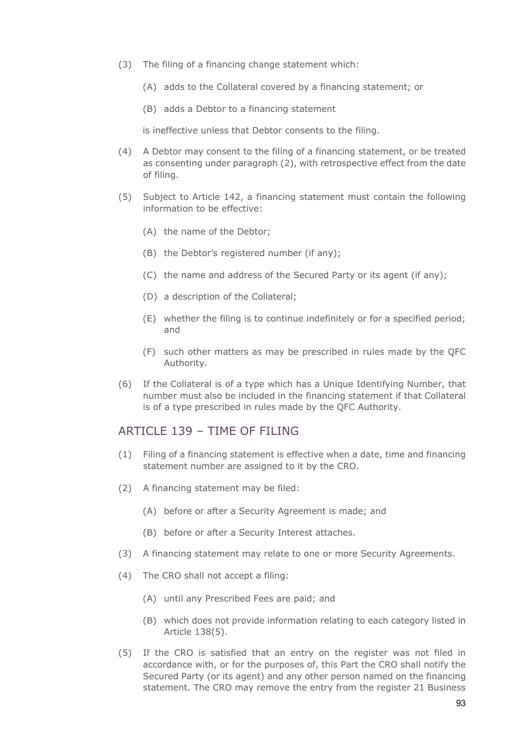- (3) The filing of a financing change statement which:
	- (A) adds to the Collateral covered by a financing statement; or
	- (B) adds a Debtor to a financing statement

is ineffective unless that Debtor consents to the filing.

- (4) A Debtor may consent to the filing of a financing statement, or be treated as consenting under paragraph (2), with retrospective effect from the date of filing.
- (5) Subject to Article 142, a financing statement must contain the following information to be effective:
	- (A) the name of the Debtor;
	- (B) the Debtor's registered number (if any);
	- (C) the name and address of the Secured Party or its agent (if any);
	- (D) a description of the Collateral;
	- (E) whether the filing is to continue indefinitely or for a specified period; and
	- (F) such other matters as may be prescribed in rules made by the QFC Authority.
- (6) If the Collateral is of a type which has a Unique Identifying Number, that number must also be included in the financing statement if that Collateral is of a type prescribed in rules made by the QFC Authority.

#### ARTICLE 139 – TIME OF FILING

- (1) Filing of a financing statement is effective when a date, time and financing statement number are assigned to it by the CRO.
- (2) A financing statement may be filed:
	- (A) before or after a Security Agreement is made; and
	- (B) before or after a Security Interest attaches.
- (3) A financing statement may relate to one or more Security Agreements.
- (4) The CRO shall not accept a filing:
	- (A) until any Prescribed Fees are paid; and
	- (B) which does not provide information relating to each category listed in Article 138(5).
- (5) If the CRO is satisfied that an entry on the register was not filed in accordance with, or for the purposes of, this Part the CRO shall notify the Secured Party (or its agent) and any other person named on the financing statement. The CRO may remove the entry from the register 21 Business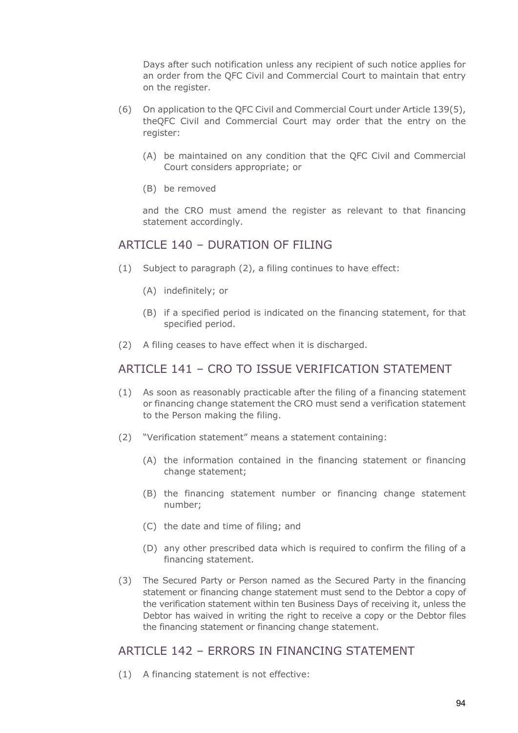Days after such notification unless any recipient of such notice applies for an order from the QFC Civil and Commercial Court to maintain that entry on the register.

- (6) On application to the QFC Civil and Commercial Court under Article 139(5), theQFC Civil and Commercial Court may order that the entry on the register:
	- (A) be maintained on any condition that the QFC Civil and Commercial Court considers appropriate; or
	- (B) be removed

and the CRO must amend the register as relevant to that financing statement accordingly.

#### ARTICLE 140 - DURATION OF FILING

- (1) Subject to paragraph (2), a filing continues to have effect:
	- (A) indefinitely; or
	- (B) if a specified period is indicated on the financing statement, for that specified period.
- (2) A filing ceases to have effect when it is discharged.

# ARTICLE 141 – CRO TO ISSUE VERIFICATION STATEMENT

- (1) As soon as reasonably practicable after the filing of a financing statement or financing change statement the CRO must send a verification statement to the Person making the filing.
- (2) "Verification statement" means a statement containing:
	- (A) the information contained in the financing statement or financing change statement;
	- (B) the financing statement number or financing change statement number;
	- (C) the date and time of filing; and
	- (D) any other prescribed data which is required to confirm the filing of a financing statement.
- (3) The Secured Party or Person named as the Secured Party in the financing statement or financing change statement must send to the Debtor a copy of the verification statement within ten Business Days of receiving it, unless the Debtor has waived in writing the right to receive a copy or the Debtor files the financing statement or financing change statement.

#### ARTICLE 142 – ERRORS IN FINANCING STATEMENT

(1) A financing statement is not effective: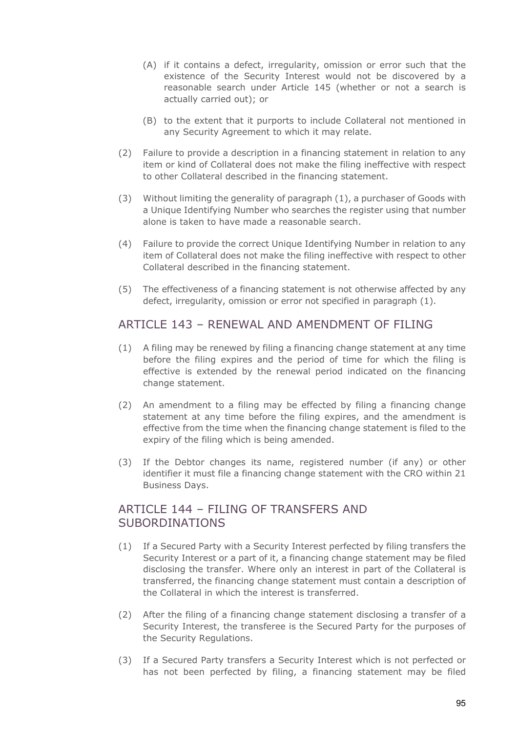- (A) if it contains a defect, irregularity, omission or error such that the existence of the Security Interest would not be discovered by a reasonable search under Article 145 (whether or not a search is actually carried out); or
- (B) to the extent that it purports to include Collateral not mentioned in any Security Agreement to which it may relate.
- (2) Failure to provide a description in a financing statement in relation to any item or kind of Collateral does not make the filing ineffective with respect to other Collateral described in the financing statement.
- (3) Without limiting the generality of paragraph (1), a purchaser of Goods with a Unique Identifying Number who searches the register using that number alone is taken to have made a reasonable search.
- (4) Failure to provide the correct Unique Identifying Number in relation to any item of Collateral does not make the filing ineffective with respect to other Collateral described in the financing statement.
- (5) The effectiveness of a financing statement is not otherwise affected by any defect, irregularity, omission or error not specified in paragraph (1).

#### ARTICLE 143 – RENEWAL AND AMENDMENT OF FILING

- (1) A filing may be renewed by filing a financing change statement at any time before the filing expires and the period of time for which the filing is effective is extended by the renewal period indicated on the financing change statement.
- (2) An amendment to a filing may be effected by filing a financing change statement at any time before the filing expires, and the amendment is effective from the time when the financing change statement is filed to the expiry of the filing which is being amended.
- (3) If the Debtor changes its name, registered number (if any) or other identifier it must file a financing change statement with the CRO within 21 Business Days.

#### ARTICLE 144 – FILING OF TRANSFERS AND SUBORDINATIONS

- (1) If a Secured Party with a Security Interest perfected by filing transfers the Security Interest or a part of it, a financing change statement may be filed disclosing the transfer. Where only an interest in part of the Collateral is transferred, the financing change statement must contain a description of the Collateral in which the interest is transferred.
- (2) After the filing of a financing change statement disclosing a transfer of a Security Interest, the transferee is the Secured Party for the purposes of the Security Regulations.
- (3) If a Secured Party transfers a Security Interest which is not perfected or has not been perfected by filing, a financing statement may be filed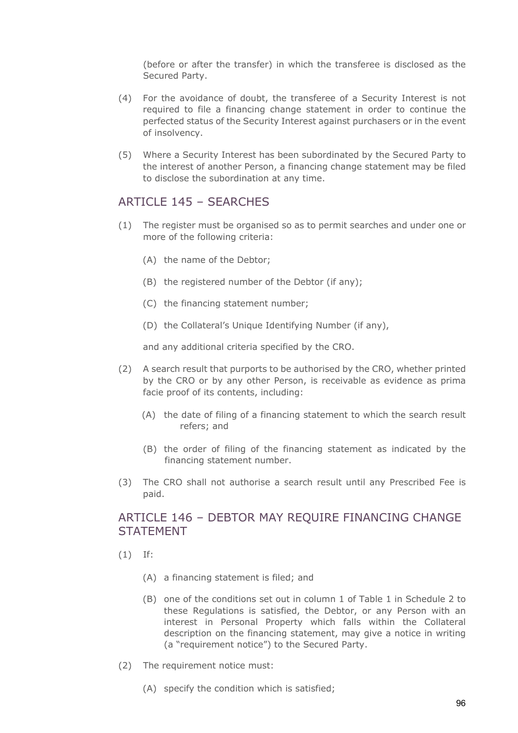(before or after the transfer) in which the transferee is disclosed as the Secured Party.

- (4) For the avoidance of doubt, the transferee of a Security Interest is not required to file a financing change statement in order to continue the perfected status of the Security Interest against purchasers or in the event of insolvency.
- (5) Where a Security Interest has been subordinated by the Secured Party to the interest of another Person, a financing change statement may be filed to disclose the subordination at any time.

#### ARTICLE 145 - SEARCHES

- (1) The register must be organised so as to permit searches and under one or more of the following criteria:
	- (A) the name of the Debtor;
	- (B) the registered number of the Debtor (if any);
	- (C) the financing statement number;
	- (D) the Collateral's Unique Identifying Number (if any),

and any additional criteria specified by the CRO.

- (2) A search result that purports to be authorised by the CRO, whether printed by the CRO or by any other Person, is receivable as evidence as prima facie proof of its contents, including:
	- (A) the date of filing of a financing statement to which the search result refers; and
	- (B) the order of filing of the financing statement as indicated by the financing statement number.
- (3) The CRO shall not authorise a search result until any Prescribed Fee is paid.

#### ARTICLE 146 – DEBTOR MAY REQUIRE FINANCING CHANGE **STATFMENT**

- (1) If:
	- (A) a financing statement is filed; and
	- (B) one of the conditions set out in column 1 of Table 1 in Schedule 2 to these Regulations is satisfied, the Debtor, or any Person with an interest in Personal Property which falls within the Collateral description on the financing statement, may give a notice in writing (a "requirement notice") to the Secured Party.
- (2) The requirement notice must:
	- (A) specify the condition which is satisfied;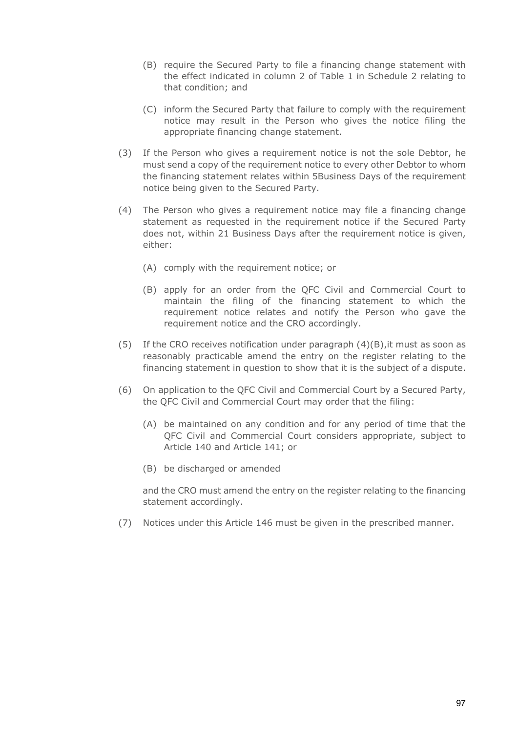- (B) require the Secured Party to file a financing change statement with the effect indicated in column 2 of Table 1 in Schedule 2 relating to that condition; and
- (C) inform the Secured Party that failure to comply with the requirement notice may result in the Person who gives the notice filing the appropriate financing change statement.
- (3) If the Person who gives a requirement notice is not the sole Debtor, he must send a copy of the requirement notice to every other Debtor to whom the financing statement relates within 5Business Days of the requirement notice being given to the Secured Party.
- (4) The Person who gives a requirement notice may file a financing change statement as requested in the requirement notice if the Secured Party does not, within 21 Business Days after the requirement notice is given, either:
	- (A) comply with the requirement notice; or
	- (B) apply for an order from the QFC Civil and Commercial Court to maintain the filing of the financing statement to which the requirement notice relates and notify the Person who gave the requirement notice and the CRO accordingly.
- (5) If the CRO receives notification under paragraph  $(4)(B)$ , it must as soon as reasonably practicable amend the entry on the register relating to the financing statement in question to show that it is the subject of a dispute.
- (6) On application to the QFC Civil and Commercial Court by a Secured Party, the QFC Civil and Commercial Court may order that the filing:
	- (A) be maintained on any condition and for any period of time that the QFC Civil and Commercial Court considers appropriate, subject to Article 140 and Article 141; or
	- (B) be discharged or amended

and the CRO must amend the entry on the register relating to the financing statement accordingly.

(7) Notices under this Article 146 must be given in the prescribed manner.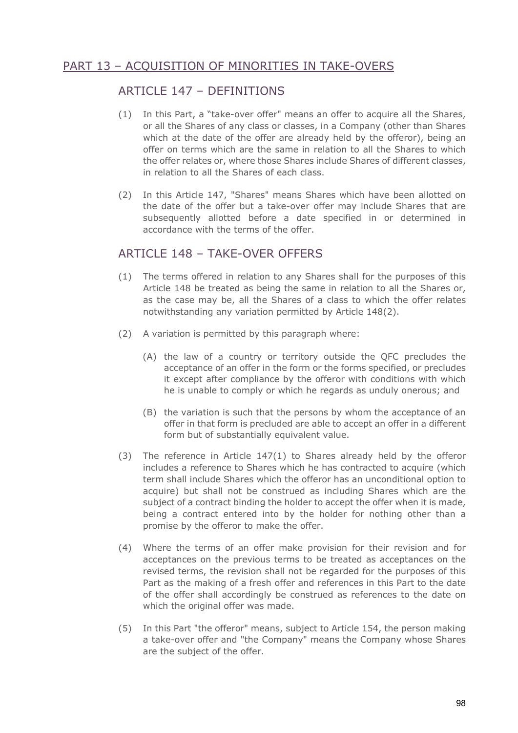# PART 13 – ACQUISITION OF MINORITIES IN TAKE-OVERS

### ARTICLE 147 – DEFINITIONS

- (1) In this Part, a "take-over offer" means an offer to acquire all the Shares, or all the Shares of any class or classes, in a Company (other than Shares which at the date of the offer are already held by the offeror), being an offer on terms which are the same in relation to all the Shares to which the offer relates or, where those Shares include Shares of different classes, in relation to all the Shares of each class.
- (2) In this Article 147, "Shares" means Shares which have been allotted on the date of the offer but a take-over offer may include Shares that are subsequently allotted before a date specified in or determined in accordance with the terms of the offer.

#### ARTICLE 148 - TAKE-OVER OFFERS

- (1) The terms offered in relation to any Shares shall for the purposes of this Article 148 be treated as being the same in relation to all the Shares or, as the case may be, all the Shares of a class to which the offer relates notwithstanding any variation permitted by Article 148(2).
- (2) A variation is permitted by this paragraph where:
	- (A) the law of a country or territory outside the QFC precludes the acceptance of an offer in the form or the forms specified, or precludes it except after compliance by the offeror with conditions with which he is unable to comply or which he regards as unduly onerous; and
	- (B) the variation is such that the persons by whom the acceptance of an offer in that form is precluded are able to accept an offer in a different form but of substantially equivalent value.
- (3) The reference in Article 147(1) to Shares already held by the offeror includes a reference to Shares which he has contracted to acquire (which term shall include Shares which the offeror has an unconditional option to acquire) but shall not be construed as including Shares which are the subject of a contract binding the holder to accept the offer when it is made, being a contract entered into by the holder for nothing other than a promise by the offeror to make the offer.
- (4) Where the terms of an offer make provision for their revision and for acceptances on the previous terms to be treated as acceptances on the revised terms, the revision shall not be regarded for the purposes of this Part as the making of a fresh offer and references in this Part to the date of the offer shall accordingly be construed as references to the date on which the original offer was made.
- (5) In this Part "the offeror" means, subject to Article 154, the person making a take-over offer and "the Company" means the Company whose Shares are the subject of the offer.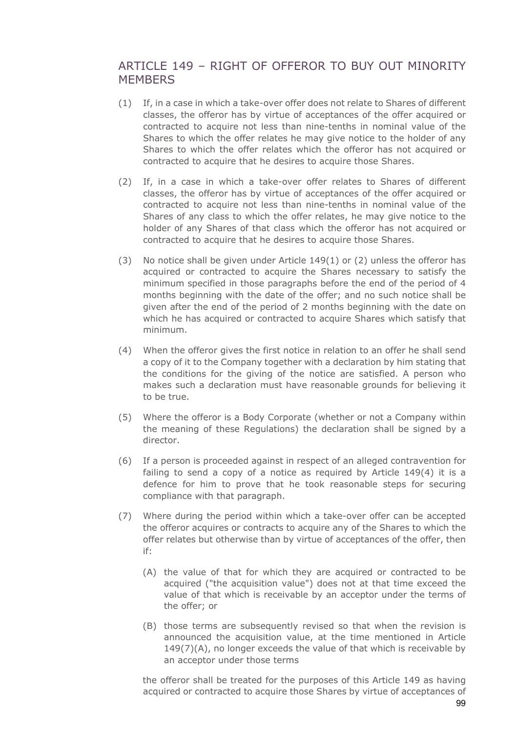### ARTICLE 149 – RIGHT OF OFFEROR TO BUY OUT MINORITY **MEMBERS**

- (1) If, in a case in which a take-over offer does not relate to Shares of different classes, the offeror has by virtue of acceptances of the offer acquired or contracted to acquire not less than nine-tenths in nominal value of the Shares to which the offer relates he may give notice to the holder of any Shares to which the offer relates which the offeror has not acquired or contracted to acquire that he desires to acquire those Shares.
- (2) If, in a case in which a take-over offer relates to Shares of different classes, the offeror has by virtue of acceptances of the offer acquired or contracted to acquire not less than nine-tenths in nominal value of the Shares of any class to which the offer relates, he may give notice to the holder of any Shares of that class which the offeror has not acquired or contracted to acquire that he desires to acquire those Shares.
- (3) No notice shall be given under Article 149(1) or (2) unless the offeror has acquired or contracted to acquire the Shares necessary to satisfy the minimum specified in those paragraphs before the end of the period of 4 months beginning with the date of the offer; and no such notice shall be given after the end of the period of 2 months beginning with the date on which he has acquired or contracted to acquire Shares which satisfy that minimum.
- (4) When the offeror gives the first notice in relation to an offer he shall send a copy of it to the Company together with a declaration by him stating that the conditions for the giving of the notice are satisfied. A person who makes such a declaration must have reasonable grounds for believing it to be true.
- (5) Where the offeror is a Body Corporate (whether or not a Company within the meaning of these Regulations) the declaration shall be signed by a director.
- (6) If a person is proceeded against in respect of an alleged contravention for failing to send a copy of a notice as required by Article 149(4) it is a defence for him to prove that he took reasonable steps for securing compliance with that paragraph.
- (7) Where during the period within which a take-over offer can be accepted the offeror acquires or contracts to acquire any of the Shares to which the offer relates but otherwise than by virtue of acceptances of the offer, then if:
	- (A) the value of that for which they are acquired or contracted to be acquired ("the acquisition value") does not at that time exceed the value of that which is receivable by an acceptor under the terms of the offer; or
	- (B) those terms are subsequently revised so that when the revision is announced the acquisition value, at the time mentioned in Article 149(7)(A), no longer exceeds the value of that which is receivable by an acceptor under those terms

the offeror shall be treated for the purposes of this Article 149 as having acquired or contracted to acquire those Shares by virtue of acceptances of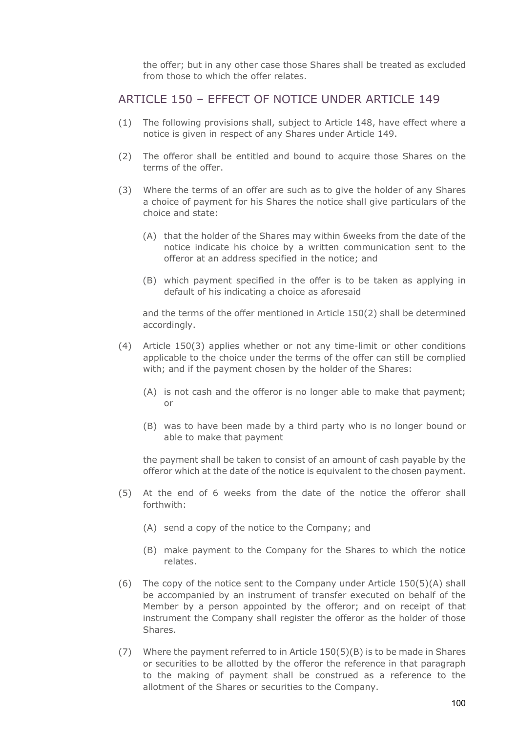the offer; but in any other case those Shares shall be treated as excluded from those to which the offer relates.

#### ARTICLE 150 – EFFECT OF NOTICE UNDER ARTICLE 149

- (1) The following provisions shall, subject to Article 148, have effect where a notice is given in respect of any Shares under Article 149.
- (2) The offeror shall be entitled and bound to acquire those Shares on the terms of the offer.
- (3) Where the terms of an offer are such as to give the holder of any Shares a choice of payment for his Shares the notice shall give particulars of the choice and state:
	- (A) that the holder of the Shares may within 6weeks from the date of the notice indicate his choice by a written communication sent to the offeror at an address specified in the notice; and
	- (B) which payment specified in the offer is to be taken as applying in default of his indicating a choice as aforesaid

and the terms of the offer mentioned in Article 150(2) shall be determined accordingly.

- (4) Article 150(3) applies whether or not any time-limit or other conditions applicable to the choice under the terms of the offer can still be complied with; and if the payment chosen by the holder of the Shares:
	- (A) is not cash and the offeror is no longer able to make that payment; or
	- (B) was to have been made by a third party who is no longer bound or able to make that payment

the payment shall be taken to consist of an amount of cash payable by the offeror which at the date of the notice is equivalent to the chosen payment.

- (5) At the end of 6 weeks from the date of the notice the offeror shall forthwith:
	- (A) send a copy of the notice to the Company; and
	- (B) make payment to the Company for the Shares to which the notice relates.
- (6) The copy of the notice sent to the Company under Article  $150(5)(A)$  shall be accompanied by an instrument of transfer executed on behalf of the Member by a person appointed by the offeror; and on receipt of that instrument the Company shall register the offeror as the holder of those Shares.
- (7) Where the payment referred to in Article 150(5)(B) is to be made in Shares or securities to be allotted by the offeror the reference in that paragraph to the making of payment shall be construed as a reference to the allotment of the Shares or securities to the Company.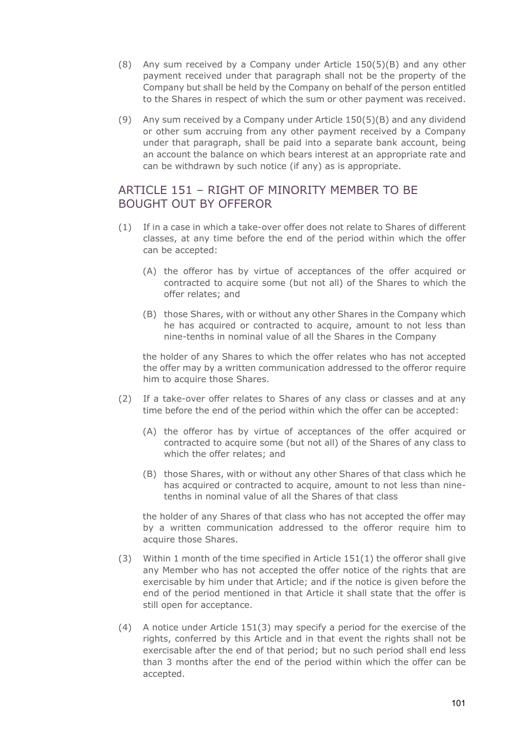- (8) Any sum received by a Company under Article 150(5)(B) and any other payment received under that paragraph shall not be the property of the Company but shall be held by the Company on behalf of the person entitled to the Shares in respect of which the sum or other payment was received.
- (9) Any sum received by a Company under Article 150(5)(B) and any dividend or other sum accruing from any other payment received by a Company under that paragraph, shall be paid into a separate bank account, being an account the balance on which bears interest at an appropriate rate and can be withdrawn by such notice (if any) as is appropriate.

### ARTICLE 151 – RIGHT OF MINORITY MEMBER TO BE BOUGHT OUT BY OFFEROR

- (1) If in a case in which a take-over offer does not relate to Shares of different classes, at any time before the end of the period within which the offer can be accepted:
	- (A) the offeror has by virtue of acceptances of the offer acquired or contracted to acquire some (but not all) of the Shares to which the offer relates; and
	- (B) those Shares, with or without any other Shares in the Company which he has acquired or contracted to acquire, amount to not less than nine-tenths in nominal value of all the Shares in the Company

the holder of any Shares to which the offer relates who has not accepted the offer may by a written communication addressed to the offeror require him to acquire those Shares.

- (2) If a take-over offer relates to Shares of any class or classes and at any time before the end of the period within which the offer can be accepted:
	- (A) the offeror has by virtue of acceptances of the offer acquired or contracted to acquire some (but not all) of the Shares of any class to which the offer relates; and
	- (B) those Shares, with or without any other Shares of that class which he has acquired or contracted to acquire, amount to not less than ninetenths in nominal value of all the Shares of that class

the holder of any Shares of that class who has not accepted the offer may by a written communication addressed to the offeror require him to acquire those Shares.

- (3) Within 1 month of the time specified in Article  $151(1)$  the offeror shall give any Member who has not accepted the offer notice of the rights that are exercisable by him under that Article; and if the notice is given before the end of the period mentioned in that Article it shall state that the offer is still open for acceptance.
- (4) A notice under Article 151(3) may specify a period for the exercise of the rights, conferred by this Article and in that event the rights shall not be exercisable after the end of that period; but no such period shall end less than 3 months after the end of the period within which the offer can be accepted.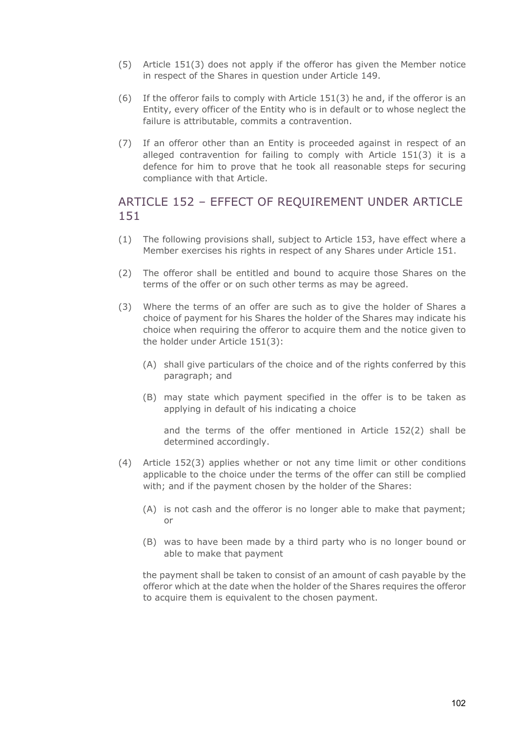- (5) Article 151(3) does not apply if the offeror has given the Member notice in respect of the Shares in question under Article 149.
- (6) If the offeror fails to comply with Article 151(3) he and, if the offeror is an Entity, every officer of the Entity who is in default or to whose neglect the failure is attributable, commits a contravention.
- (7) If an offeror other than an Entity is proceeded against in respect of an alleged contravention for failing to comply with Article 151(3) it is a defence for him to prove that he took all reasonable steps for securing compliance with that Article.

# ARTICLE 152 – EFFECT OF REQUIREMENT UNDER ARTICLE 151

- (1) The following provisions shall, subject to Article 153, have effect where a Member exercises his rights in respect of any Shares under Article 151.
- (2) The offeror shall be entitled and bound to acquire those Shares on the terms of the offer or on such other terms as may be agreed.
- (3) Where the terms of an offer are such as to give the holder of Shares a choice of payment for his Shares the holder of the Shares may indicate his choice when requiring the offeror to acquire them and the notice given to the holder under Article 151(3):
	- (A) shall give particulars of the choice and of the rights conferred by this paragraph; and
	- (B) may state which payment specified in the offer is to be taken as applying in default of his indicating a choice

and the terms of the offer mentioned in Article 152(2) shall be determined accordingly.

- (4) Article 152(3) applies whether or not any time limit or other conditions applicable to the choice under the terms of the offer can still be complied with; and if the payment chosen by the holder of the Shares:
	- (A) is not cash and the offeror is no longer able to make that payment; or
	- (B) was to have been made by a third party who is no longer bound or able to make that payment

the payment shall be taken to consist of an amount of cash payable by the offeror which at the date when the holder of the Shares requires the offeror to acquire them is equivalent to the chosen payment.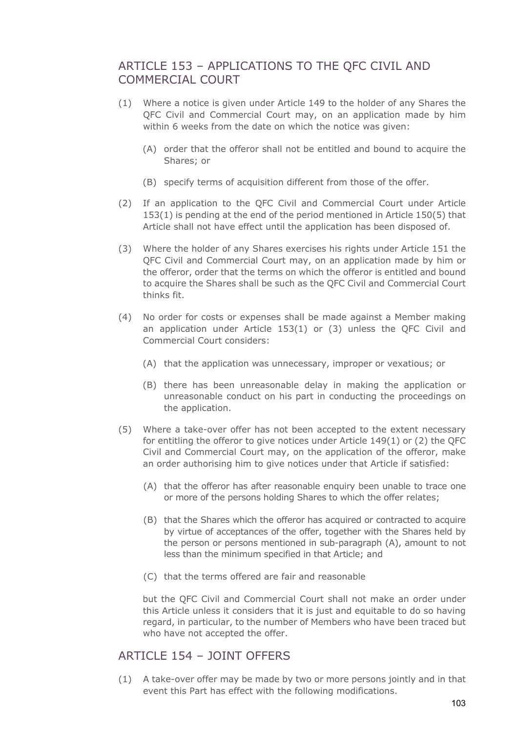# ARTICLE 153 – APPLICATIONS TO THE QFC CIVIL AND COMMERCIAL COURT

- (1) Where a notice is given under Article 149 to the holder of any Shares the QFC Civil and Commercial Court may, on an application made by him within 6 weeks from the date on which the notice was given:
	- (A) order that the offeror shall not be entitled and bound to acquire the Shares; or
	- (B) specify terms of acquisition different from those of the offer.
- (2) If an application to the QFC Civil and Commercial Court under Article 153(1) is pending at the end of the period mentioned in Article 150(5) that Article shall not have effect until the application has been disposed of.
- (3) Where the holder of any Shares exercises his rights under Article 151 the QFC Civil and Commercial Court may, on an application made by him or the offeror, order that the terms on which the offeror is entitled and bound to acquire the Shares shall be such as the QFC Civil and Commercial Court thinks fit.
- (4) No order for costs or expenses shall be made against a Member making an application under Article 153(1) or (3) unless the QFC Civil and Commercial Court considers:
	- (A) that the application was unnecessary, improper or vexatious; or
	- (B) there has been unreasonable delay in making the application or unreasonable conduct on his part in conducting the proceedings on the application.
- (5) Where a take-over offer has not been accepted to the extent necessary for entitling the offeror to give notices under Article 149(1) or (2) the QFC Civil and Commercial Court may, on the application of the offeror, make an order authorising him to give notices under that Article if satisfied:
	- (A) that the offeror has after reasonable enquiry been unable to trace one or more of the persons holding Shares to which the offer relates;
	- (B) that the Shares which the offeror has acquired or contracted to acquire by virtue of acceptances of the offer, together with the Shares held by the person or persons mentioned in sub-paragraph (A), amount to not less than the minimum specified in that Article; and
	- (C) that the terms offered are fair and reasonable

but the QFC Civil and Commercial Court shall not make an order under this Article unless it considers that it is just and equitable to do so having regard, in particular, to the number of Members who have been traced but who have not accepted the offer.

#### ARTICLE 154 – JOINT OFFERS

(1) A take-over offer may be made by two or more persons jointly and in that event this Part has effect with the following modifications.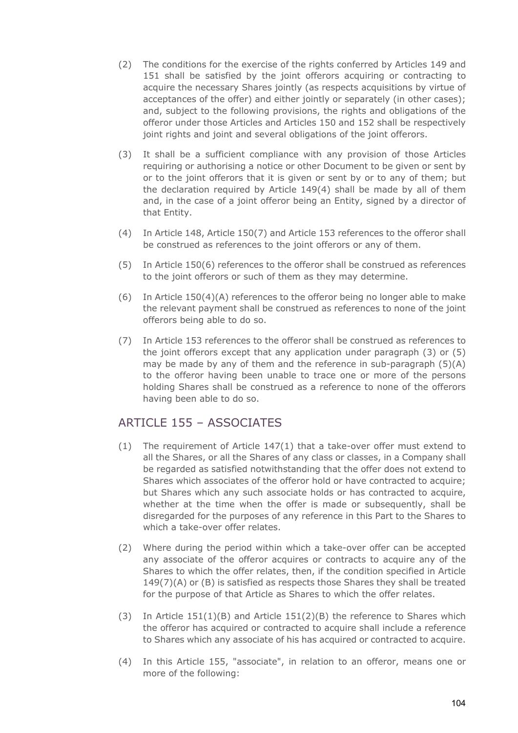- (2) The conditions for the exercise of the rights conferred by Articles 149 and 151 shall be satisfied by the joint offerors acquiring or contracting to acquire the necessary Shares jointly (as respects acquisitions by virtue of acceptances of the offer) and either jointly or separately (in other cases); and, subject to the following provisions, the rights and obligations of the offeror under those Articles and Articles 150 and 152 shall be respectively joint rights and joint and several obligations of the joint offerors.
- (3) It shall be a sufficient compliance with any provision of those Articles requiring or authorising a notice or other Document to be given or sent by or to the joint offerors that it is given or sent by or to any of them; but the declaration required by Article 149(4) shall be made by all of them and, in the case of a joint offeror being an Entity, signed by a director of that Entity.
- (4) In Article 148, Article 150(7) and Article 153 references to the offeror shall be construed as references to the joint offerors or any of them.
- (5) In Article 150(6) references to the offeror shall be construed as references to the joint offerors or such of them as they may determine.
- (6) In Article  $150(4)(A)$  references to the offeror being no longer able to make the relevant payment shall be construed as references to none of the joint offerors being able to do so.
- (7) In Article 153 references to the offeror shall be construed as references to the joint offerors except that any application under paragraph (3) or (5) may be made by any of them and the reference in sub-paragraph  $(5)(A)$ to the offeror having been unable to trace one or more of the persons holding Shares shall be construed as a reference to none of the offerors having been able to do so.

# ARTICLE 155 – ASSOCIATES

- (1) The requirement of Article 147(1) that a take-over offer must extend to all the Shares, or all the Shares of any class or classes, in a Company shall be regarded as satisfied notwithstanding that the offer does not extend to Shares which associates of the offeror hold or have contracted to acquire; but Shares which any such associate holds or has contracted to acquire, whether at the time when the offer is made or subsequently, shall be disregarded for the purposes of any reference in this Part to the Shares to which a take-over offer relates.
- (2) Where during the period within which a take-over offer can be accepted any associate of the offeror acquires or contracts to acquire any of the Shares to which the offer relates, then, if the condition specified in Article 149(7)(A) or (B) is satisfied as respects those Shares they shall be treated for the purpose of that Article as Shares to which the offer relates.
- (3) In Article 151(1)(B) and Article 151(2)(B) the reference to Shares which the offeror has acquired or contracted to acquire shall include a reference to Shares which any associate of his has acquired or contracted to acquire.
- (4) In this Article 155, "associate", in relation to an offeror, means one or more of the following: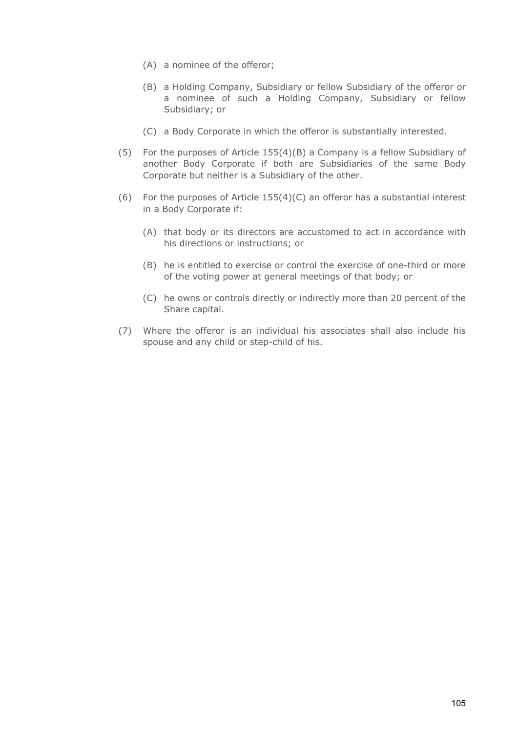- (A) a nominee of the offeror;
- (B) a Holding Company, Subsidiary or fellow Subsidiary of the offeror or a nominee of such a Holding Company, Subsidiary or fellow Subsidiary; or
- (C) a Body Corporate in which the offeror is substantially interested.
- (5) For the purposes of Article 155(4)(B) a Company is a fellow Subsidiary of another Body Corporate if both are Subsidiaries of the same Body Corporate but neither is a Subsidiary of the other.
- (6) For the purposes of Article 155(4)(C) an offeror has a substantial interest in a Body Corporate if:
	- (A) that body or its directors are accustomed to act in accordance with his directions or instructions; or
	- (B) he is entitled to exercise or control the exercise of one-third or more of the voting power at general meetings of that body; or
	- (C) he owns or controls directly or indirectly more than 20 percent of the Share capital.
- (7) Where the offeror is an individual his associates shall also include his spouse and any child or step-child of his.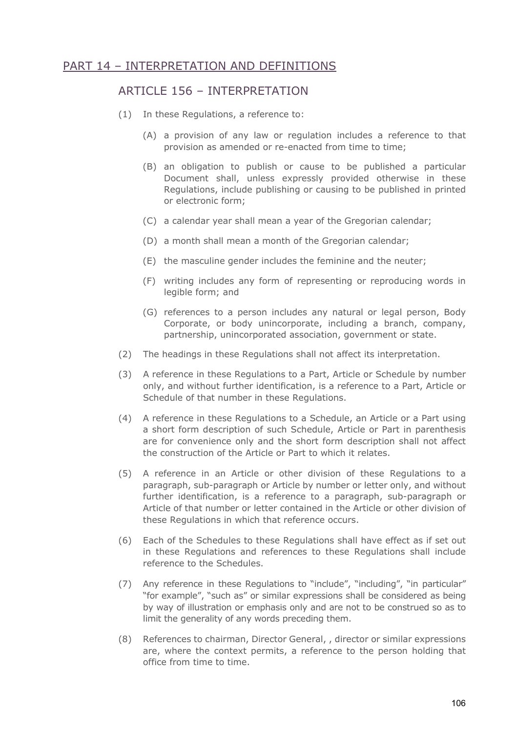### PART 14 – INTERPRETATION AND DEFINITIONS

#### ARTICLE 156 – INTERPRETATION

- (1) In these Regulations, a reference to:
	- (A) a provision of any law or regulation includes a reference to that provision as amended or re-enacted from time to time;
	- (B) an obligation to publish or cause to be published a particular Document shall, unless expressly provided otherwise in these Regulations, include publishing or causing to be published in printed or electronic form;
	- (C) a calendar year shall mean a year of the Gregorian calendar;
	- (D) a month shall mean a month of the Gregorian calendar;
	- (E) the masculine gender includes the feminine and the neuter;
	- (F) writing includes any form of representing or reproducing words in legible form; and
	- (G) references to a person includes any natural or legal person, Body Corporate, or body unincorporate, including a branch, company, partnership, unincorporated association, government or state.
- (2) The headings in these Regulations shall not affect its interpretation.
- (3) A reference in these Regulations to a Part, Article or Schedule by number only, and without further identification, is a reference to a Part, Article or Schedule of that number in these Regulations.
- (4) A reference in these Regulations to a Schedule, an Article or a Part using a short form description of such Schedule, Article or Part in parenthesis are for convenience only and the short form description shall not affect the construction of the Article or Part to which it relates.
- (5) A reference in an Article or other division of these Regulations to a paragraph, sub-paragraph or Article by number or letter only, and without further identification, is a reference to a paragraph, sub-paragraph or Article of that number or letter contained in the Article or other division of these Regulations in which that reference occurs.
- (6) Each of the Schedules to these Regulations shall have effect as if set out in these Regulations and references to these Regulations shall include reference to the Schedules.
- (7) Any reference in these Regulations to "include", "including", "in particular" "for example", "such as" or similar expressions shall be considered as being by way of illustration or emphasis only and are not to be construed so as to limit the generality of any words preceding them.
- (8) References to chairman, Director General, , director or similar expressions are, where the context permits, a reference to the person holding that office from time to time.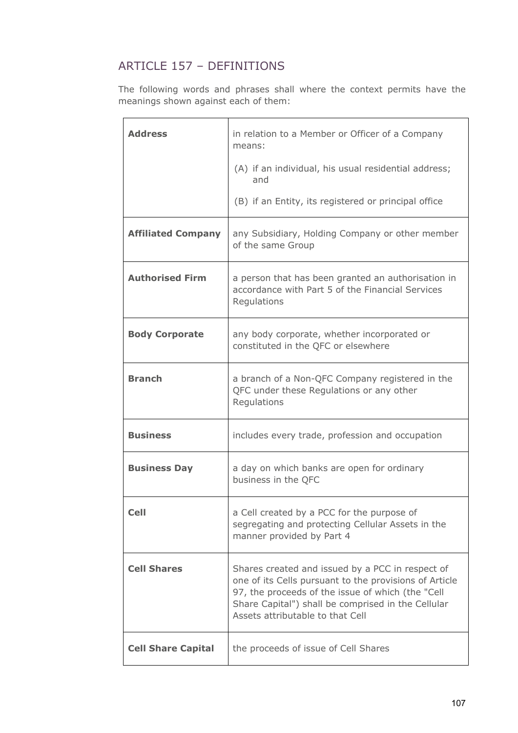# ARTICLE 157 – DEFINITIONS

The following words and phrases shall where the context permits have the meanings shown against each of them:

| <b>Address</b>            | in relation to a Member or Officer of a Company<br>means:                                                                                                                                                                                                 |
|---------------------------|-----------------------------------------------------------------------------------------------------------------------------------------------------------------------------------------------------------------------------------------------------------|
|                           | (A) if an individual, his usual residential address;<br>and                                                                                                                                                                                               |
|                           | (B) if an Entity, its registered or principal office                                                                                                                                                                                                      |
| <b>Affiliated Company</b> | any Subsidiary, Holding Company or other member<br>of the same Group                                                                                                                                                                                      |
| <b>Authorised Firm</b>    | a person that has been granted an authorisation in<br>accordance with Part 5 of the Financial Services<br>Regulations                                                                                                                                     |
| <b>Body Corporate</b>     | any body corporate, whether incorporated or<br>constituted in the QFC or elsewhere                                                                                                                                                                        |
| <b>Branch</b>             | a branch of a Non-QFC Company registered in the<br>QFC under these Regulations or any other<br>Regulations                                                                                                                                                |
| <b>Business</b>           | includes every trade, profession and occupation                                                                                                                                                                                                           |
| <b>Business Day</b>       | a day on which banks are open for ordinary<br>business in the QFC                                                                                                                                                                                         |
| <b>Cell</b>               | a Cell created by a PCC for the purpose of<br>segregating and protecting Cellular Assets in the<br>manner provided by Part 4                                                                                                                              |
| <b>Cell Shares</b>        | Shares created and issued by a PCC in respect of<br>one of its Cells pursuant to the provisions of Article<br>97, the proceeds of the issue of which (the "Cell<br>Share Capital") shall be comprised in the Cellular<br>Assets attributable to that Cell |
| <b>Cell Share Capital</b> | the proceeds of issue of Cell Shares                                                                                                                                                                                                                      |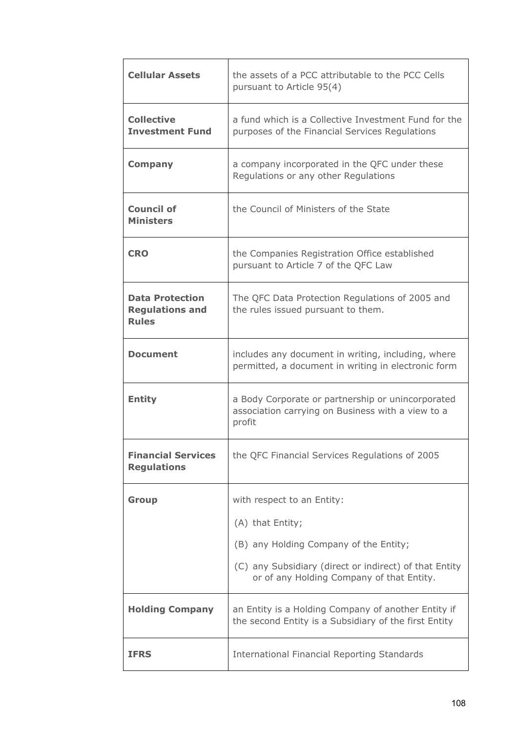| <b>Cellular Assets</b>                                           | the assets of a PCC attributable to the PCC Cells<br>pursuant to Article 95(4)                                   |
|------------------------------------------------------------------|------------------------------------------------------------------------------------------------------------------|
| <b>Collective</b><br><b>Investment Fund</b>                      | a fund which is a Collective Investment Fund for the<br>purposes of the Financial Services Regulations           |
| <b>Company</b>                                                   | a company incorporated in the QFC under these<br>Regulations or any other Regulations                            |
| <b>Council of</b><br><b>Ministers</b>                            | the Council of Ministers of the State                                                                            |
| <b>CRO</b>                                                       | the Companies Registration Office established<br>pursuant to Article 7 of the QFC Law                            |
| <b>Data Protection</b><br><b>Regulations and</b><br><b>Rules</b> | The QFC Data Protection Regulations of 2005 and<br>the rules issued pursuant to them.                            |
| <b>Document</b>                                                  | includes any document in writing, including, where<br>permitted, a document in writing in electronic form        |
| <b>Entity</b>                                                    | a Body Corporate or partnership or unincorporated<br>association carrying on Business with a view to a<br>profit |
| <b>Financial Services</b><br><b>Regulations</b>                  | the QFC Financial Services Regulations of 2005                                                                   |
| <b>Group</b>                                                     | with respect to an Entity:                                                                                       |
|                                                                  | (A) that Entity;                                                                                                 |
|                                                                  | (B) any Holding Company of the Entity;                                                                           |
|                                                                  | (C) any Subsidiary (direct or indirect) of that Entity<br>or of any Holding Company of that Entity.              |
| <b>Holding Company</b>                                           | an Entity is a Holding Company of another Entity if<br>the second Entity is a Subsidiary of the first Entity     |
| <b>IFRS</b>                                                      | <b>International Financial Reporting Standards</b>                                                               |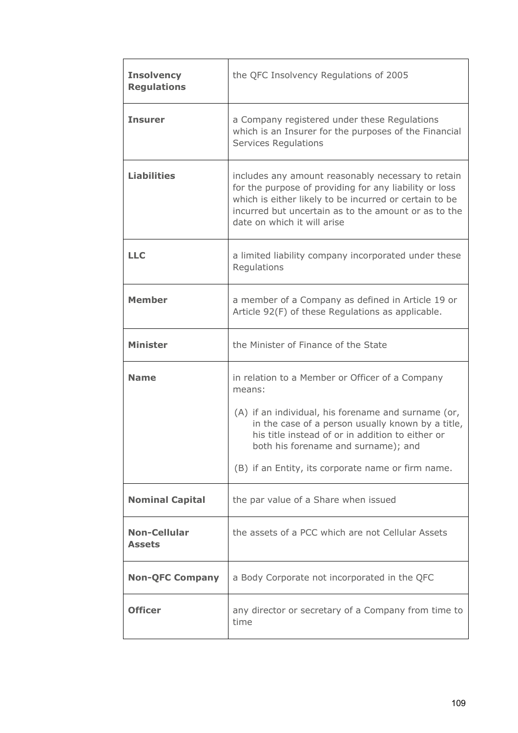| <b>Insolvency</b><br><b>Regulations</b> | the QFC Insolvency Regulations of 2005                                                                                                                                                                                                                                                                                 |  |
|-----------------------------------------|------------------------------------------------------------------------------------------------------------------------------------------------------------------------------------------------------------------------------------------------------------------------------------------------------------------------|--|
| <b>Insurer</b>                          | a Company registered under these Regulations<br>which is an Insurer for the purposes of the Financial<br><b>Services Regulations</b>                                                                                                                                                                                   |  |
| <b>Liabilities</b>                      | includes any amount reasonably necessary to retain<br>for the purpose of providing for any liability or loss<br>which is either likely to be incurred or certain to be<br>incurred but uncertain as to the amount or as to the<br>date on which it will arise                                                          |  |
| <b>LLC</b>                              | a limited liability company incorporated under these<br>Regulations                                                                                                                                                                                                                                                    |  |
| <b>Member</b>                           | a member of a Company as defined in Article 19 or<br>Article 92(F) of these Regulations as applicable.                                                                                                                                                                                                                 |  |
| <b>Minister</b>                         | the Minister of Finance of the State                                                                                                                                                                                                                                                                                   |  |
| <b>Name</b>                             | in relation to a Member or Officer of a Company<br>means:<br>(A) if an individual, his forename and surname (or,<br>in the case of a person usually known by a title,<br>his title instead of or in addition to either or<br>both his forename and surname); and<br>(B) if an Entity, its corporate name or firm name. |  |
| <b>Nominal Capital</b>                  | the par value of a Share when issued                                                                                                                                                                                                                                                                                   |  |
| <b>Non-Cellular</b><br><b>Assets</b>    | the assets of a PCC which are not Cellular Assets                                                                                                                                                                                                                                                                      |  |
| <b>Non-QFC Company</b>                  | a Body Corporate not incorporated in the QFC                                                                                                                                                                                                                                                                           |  |
| <b>Officer</b>                          | any director or secretary of a Company from time to<br>time                                                                                                                                                                                                                                                            |  |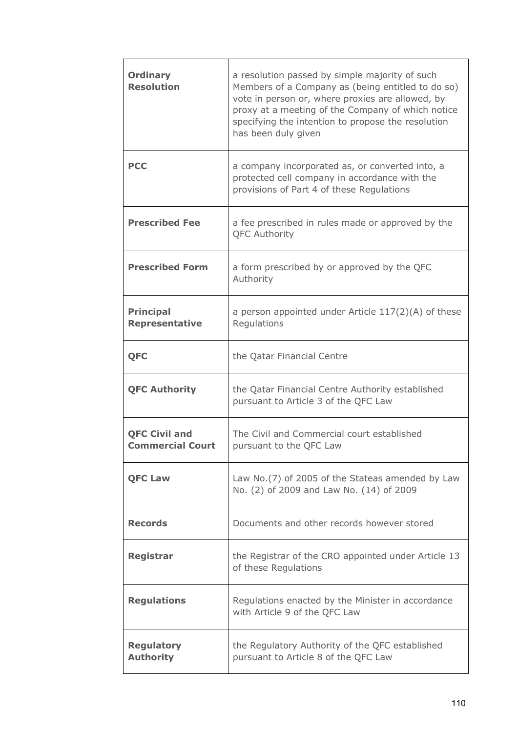| <b>Ordinary</b><br><b>Resolution</b>            | a resolution passed by simple majority of such<br>Members of a Company as (being entitled to do so)<br>vote in person or, where proxies are allowed, by<br>proxy at a meeting of the Company of which notice<br>specifying the intention to propose the resolution<br>has been duly given |  |
|-------------------------------------------------|-------------------------------------------------------------------------------------------------------------------------------------------------------------------------------------------------------------------------------------------------------------------------------------------|--|
| <b>PCC</b>                                      | a company incorporated as, or converted into, a<br>protected cell company in accordance with the<br>provisions of Part 4 of these Regulations                                                                                                                                             |  |
| <b>Prescribed Fee</b>                           | a fee prescribed in rules made or approved by the<br><b>QFC Authority</b>                                                                                                                                                                                                                 |  |
| <b>Prescribed Form</b>                          | a form prescribed by or approved by the QFC<br>Authority                                                                                                                                                                                                                                  |  |
| <b>Principal</b><br><b>Representative</b>       | a person appointed under Article $117(2)(A)$ of these<br>Regulations                                                                                                                                                                                                                      |  |
| <b>QFC</b>                                      | the Qatar Financial Centre                                                                                                                                                                                                                                                                |  |
| <b>QFC Authority</b>                            | the Qatar Financial Centre Authority established<br>pursuant to Article 3 of the QFC Law                                                                                                                                                                                                  |  |
| <b>QFC Civil and</b><br><b>Commercial Court</b> | The Civil and Commercial court established<br>pursuant to the QFC Law                                                                                                                                                                                                                     |  |
| <b>QFC Law</b>                                  | Law No. (7) of 2005 of the Stateas amended by Law<br>No. (2) of 2009 and Law No. (14) of 2009                                                                                                                                                                                             |  |
| <b>Records</b>                                  | Documents and other records however stored                                                                                                                                                                                                                                                |  |
| <b>Registrar</b>                                | the Registrar of the CRO appointed under Article 13<br>of these Regulations                                                                                                                                                                                                               |  |
| <b>Regulations</b>                              | Regulations enacted by the Minister in accordance<br>with Article 9 of the QFC Law                                                                                                                                                                                                        |  |
| <b>Regulatory</b><br><b>Authority</b>           | the Regulatory Authority of the QFC established<br>pursuant to Article 8 of the QFC Law                                                                                                                                                                                                   |  |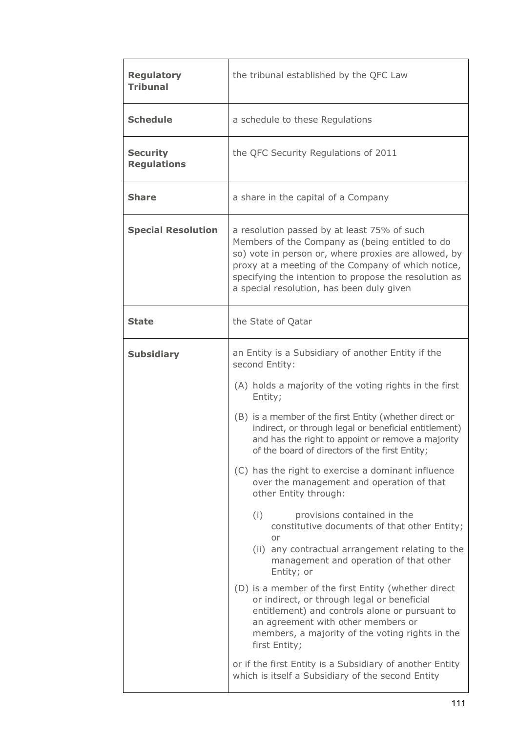| <b>Regulatory</b><br><b>Tribunal</b>  | the tribunal established by the QFC Law                                                                                                                                                                                                                                                                                                                                                                                                                                                                                                                                                                                                                                                                                                                                                                                                                                                                                                                                                                                                                                                    |  |  |
|---------------------------------------|--------------------------------------------------------------------------------------------------------------------------------------------------------------------------------------------------------------------------------------------------------------------------------------------------------------------------------------------------------------------------------------------------------------------------------------------------------------------------------------------------------------------------------------------------------------------------------------------------------------------------------------------------------------------------------------------------------------------------------------------------------------------------------------------------------------------------------------------------------------------------------------------------------------------------------------------------------------------------------------------------------------------------------------------------------------------------------------------|--|--|
| <b>Schedule</b>                       | a schedule to these Regulations                                                                                                                                                                                                                                                                                                                                                                                                                                                                                                                                                                                                                                                                                                                                                                                                                                                                                                                                                                                                                                                            |  |  |
| <b>Security</b><br><b>Regulations</b> | the QFC Security Regulations of 2011                                                                                                                                                                                                                                                                                                                                                                                                                                                                                                                                                                                                                                                                                                                                                                                                                                                                                                                                                                                                                                                       |  |  |
| <b>Share</b>                          | a share in the capital of a Company                                                                                                                                                                                                                                                                                                                                                                                                                                                                                                                                                                                                                                                                                                                                                                                                                                                                                                                                                                                                                                                        |  |  |
| <b>Special Resolution</b>             | a resolution passed by at least 75% of such<br>Members of the Company as (being entitled to do<br>so) vote in person or, where proxies are allowed, by<br>proxy at a meeting of the Company of which notice,<br>specifying the intention to propose the resolution as<br>a special resolution, has been duly given                                                                                                                                                                                                                                                                                                                                                                                                                                                                                                                                                                                                                                                                                                                                                                         |  |  |
| <b>State</b>                          | the State of Qatar                                                                                                                                                                                                                                                                                                                                                                                                                                                                                                                                                                                                                                                                                                                                                                                                                                                                                                                                                                                                                                                                         |  |  |
| <b>Subsidiary</b>                     | an Entity is a Subsidiary of another Entity if the<br>second Entity:<br>(A) holds a majority of the voting rights in the first<br>Entity;<br>(B) is a member of the first Entity (whether direct or<br>indirect, or through legal or beneficial entitlement)<br>and has the right to appoint or remove a majority<br>of the board of directors of the first Entity;<br>(C) has the right to exercise a dominant influence<br>over the management and operation of that<br>other Entity through:<br>(i)<br>provisions contained in the<br>constitutive documents of that other Entity;<br>or<br>(ii) any contractual arrangement relating to the<br>management and operation of that other<br>Entity; or<br>(D) is a member of the first Entity (whether direct<br>or indirect, or through legal or beneficial<br>entitlement) and controls alone or pursuant to<br>an agreement with other members or<br>members, a majority of the voting rights in the<br>first Entity;<br>or if the first Entity is a Subsidiary of another Entity<br>which is itself a Subsidiary of the second Entity |  |  |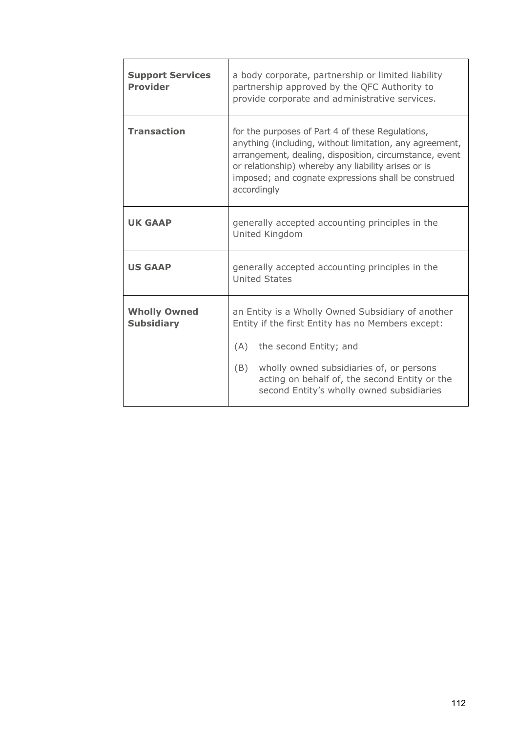| <b>Support Services</b><br><b>Provider</b> | a body corporate, partnership or limited liability<br>partnership approved by the QFC Authority to<br>provide corporate and administrative services.                                                                                                                                               |  |  |
|--------------------------------------------|----------------------------------------------------------------------------------------------------------------------------------------------------------------------------------------------------------------------------------------------------------------------------------------------------|--|--|
| <b>Transaction</b>                         | for the purposes of Part 4 of these Regulations,<br>anything (including, without limitation, any agreement,<br>arrangement, dealing, disposition, circumstance, event<br>or relationship) whereby any liability arises or is<br>imposed; and cognate expressions shall be construed<br>accordingly |  |  |
| <b>UK GAAP</b>                             | generally accepted accounting principles in the<br>United Kingdom                                                                                                                                                                                                                                  |  |  |
| <b>US GAAP</b>                             | generally accepted accounting principles in the<br><b>United States</b>                                                                                                                                                                                                                            |  |  |
| <b>Wholly Owned</b><br><b>Subsidiary</b>   | an Entity is a Wholly Owned Subsidiary of another<br>Entity if the first Entity has no Members except:<br>(A)<br>the second Entity; and<br>(B)<br>wholly owned subsidiaries of, or persons<br>acting on behalf of, the second Entity or the<br>second Entity's wholly owned subsidiaries           |  |  |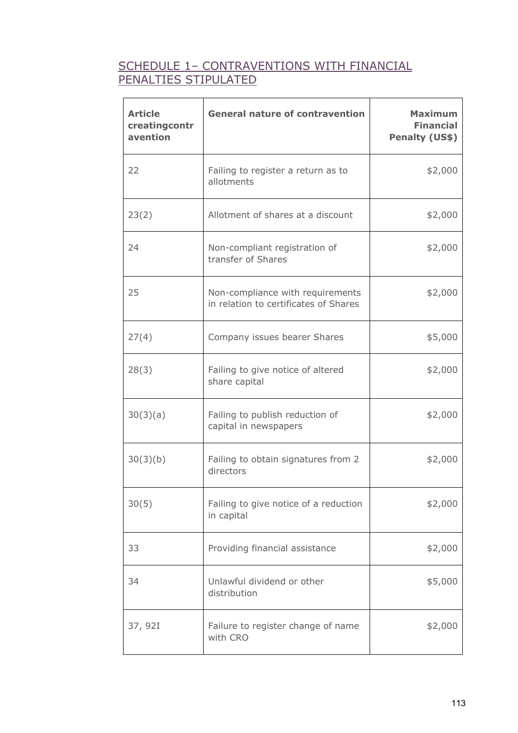# SCHEDULE 1– CONTRAVENTIONS WITH FINANCIAL PENALTIES STIPULATED

| <b>Article</b><br>creatingcontr<br>avention | <b>General nature of contravention</b>                                    | <b>Maximum</b><br><b>Financial</b><br>Penalty (US\$) |
|---------------------------------------------|---------------------------------------------------------------------------|------------------------------------------------------|
| 22                                          | Failing to register a return as to<br>allotments                          | \$2,000                                              |
| 23(2)                                       | Allotment of shares at a discount                                         | \$2,000                                              |
| 24                                          | Non-compliant registration of<br>transfer of Shares                       | \$2,000                                              |
| 25                                          | Non-compliance with requirements<br>in relation to certificates of Shares | \$2,000                                              |
| 27(4)                                       | Company issues bearer Shares                                              | \$5,000                                              |
| 28(3)                                       | Failing to give notice of altered<br>share capital                        | \$2,000                                              |
| 30(3)(a)                                    | Failing to publish reduction of<br>capital in newspapers                  | \$2,000                                              |
| 30(3)(b)                                    | Failing to obtain signatures from 2<br>directors                          | \$2,000                                              |
| 30(5)                                       | Failing to give notice of a reduction<br>in capital                       | \$2,000                                              |
| 33                                          | Providing financial assistance                                            | \$2,000                                              |
| 34                                          | Unlawful dividend or other<br>distribution                                | \$5,000                                              |
| 37, 92I                                     | Failure to register change of name<br>with CRO                            | \$2,000                                              |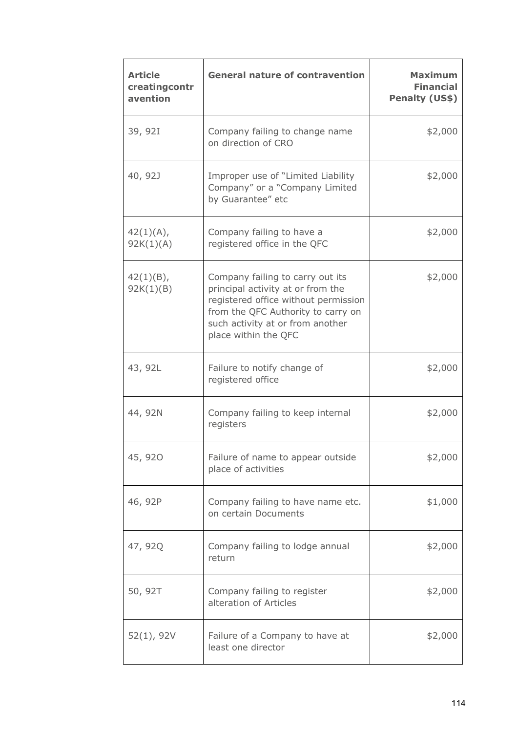| <b>Article</b><br>creatingcontr<br>avention | <b>General nature of contravention</b>                                                                                                                                                                          | <b>Maximum</b><br><b>Financial</b><br>Penalty (US\$) |
|---------------------------------------------|-----------------------------------------------------------------------------------------------------------------------------------------------------------------------------------------------------------------|------------------------------------------------------|
| 39, 92I                                     | Company failing to change name<br>on direction of CRO                                                                                                                                                           | \$2,000                                              |
| 40, 92J                                     | Improper use of "Limited Liability<br>Company" or a "Company Limited<br>by Guarantee" etc                                                                                                                       | \$2,000                                              |
| 42(1)(A),<br>92K(1)(A)                      | Company failing to have a<br>registered office in the QFC                                                                                                                                                       | \$2,000                                              |
| $42(1)(B)$ ,<br>92K(1)(B)                   | Company failing to carry out its<br>principal activity at or from the<br>registered office without permission<br>from the QFC Authority to carry on<br>such activity at or from another<br>place within the QFC | \$2,000                                              |
| 43, 92L                                     | Failure to notify change of<br>registered office                                                                                                                                                                | \$2,000                                              |
| 44, 92N                                     | Company failing to keep internal<br>registers                                                                                                                                                                   | \$2,000                                              |
| 45, 920                                     | Failure of name to appear outside<br>place of activities                                                                                                                                                        | \$2,000                                              |
| 46, 92P                                     | Company failing to have name etc.<br>on certain Documents                                                                                                                                                       | \$1,000                                              |
| 47, 92Q                                     | Company failing to lodge annual<br>return                                                                                                                                                                       | \$2,000                                              |
| 50, 92T                                     | Company failing to register<br>alteration of Articles                                                                                                                                                           | \$2,000                                              |
| 52(1), 92V                                  | Failure of a Company to have at<br>least one director                                                                                                                                                           | \$2,000                                              |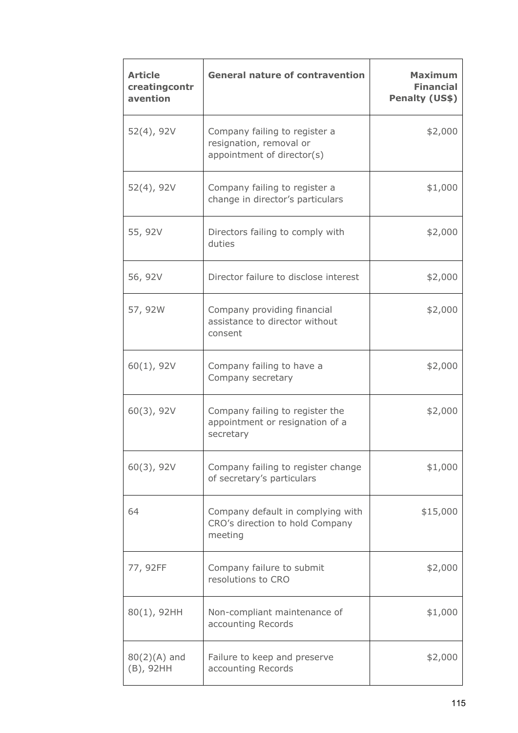| <b>Article</b><br>creatingcontr<br>avention | <b>General nature of contravention</b>                                                 | <b>Maximum</b><br><b>Financial</b><br>Penalty (US\$) |
|---------------------------------------------|----------------------------------------------------------------------------------------|------------------------------------------------------|
| $52(4)$ , 92V                               | Company failing to register a<br>resignation, removal or<br>appointment of director(s) | \$2,000                                              |
| $52(4)$ , 92V                               | Company failing to register a<br>change in director's particulars                      | \$1,000                                              |
| 55, 92V                                     | Directors failing to comply with<br>duties                                             | \$2,000                                              |
| 56, 92V                                     | Director failure to disclose interest                                                  | \$2,000                                              |
| 57, 92W                                     | Company providing financial<br>assistance to director without<br>consent               | \$2,000                                              |
| 60(1), 92V                                  | Company failing to have a<br>Company secretary                                         | \$2,000                                              |
| $60(3)$ , 92V                               | Company failing to register the<br>appointment or resignation of a<br>secretary        | \$2,000                                              |
| $60(3)$ , 92V                               | Company failing to register change<br>of secretary's particulars                       | \$1,000                                              |
| 64                                          | Company default in complying with<br>CRO's direction to hold Company<br>meeting        | \$15,000                                             |
| 77, 92FF                                    | Company failure to submit<br>resolutions to CRO                                        | \$2,000                                              |
| $80(1)$ , 92HH                              | Non-compliant maintenance of<br>accounting Records                                     | \$1,000                                              |
| $80(2)(A)$ and<br>(B), 92HH                 | Failure to keep and preserve<br>accounting Records                                     | \$2,000                                              |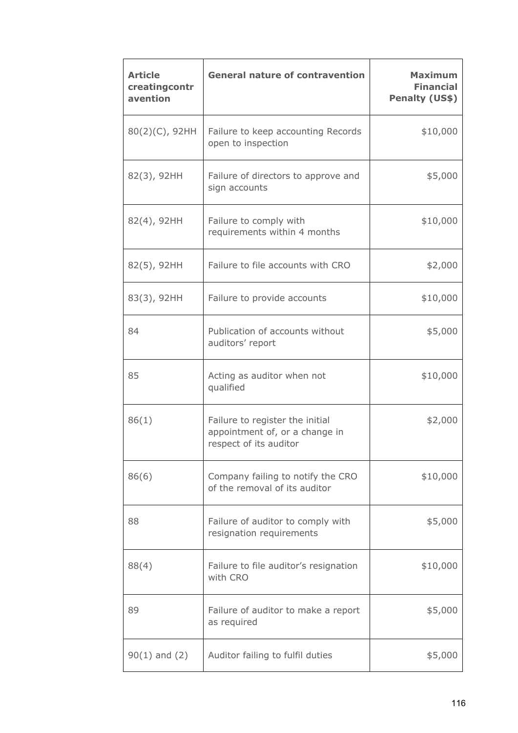| <b>Article</b><br>creatingcontr<br>avention | <b>General nature of contravention</b>                                                      | <b>Maximum</b><br><b>Financial</b><br>Penalty (US\$) |
|---------------------------------------------|---------------------------------------------------------------------------------------------|------------------------------------------------------|
| 80(2)(C), 92HH                              | Failure to keep accounting Records<br>open to inspection                                    | \$10,000                                             |
| 82(3), 92HH                                 | Failure of directors to approve and<br>sign accounts                                        | \$5,000                                              |
| 82(4), 92HH                                 | Failure to comply with<br>requirements within 4 months                                      | \$10,000                                             |
| 82(5), 92HH                                 | Failure to file accounts with CRO                                                           | \$2,000                                              |
| 83(3), 92HH                                 | Failure to provide accounts                                                                 | \$10,000                                             |
| 84                                          | Publication of accounts without<br>auditors' report                                         | \$5,000                                              |
| 85                                          | Acting as auditor when not<br>qualified                                                     | \$10,000                                             |
| 86(1)                                       | Failure to register the initial<br>appointment of, or a change in<br>respect of its auditor | \$2,000                                              |
| 86(6)                                       | Company failing to notify the CRO<br>of the removal of its auditor                          | \$10,000                                             |
| 88                                          | Failure of auditor to comply with<br>resignation requirements                               | \$5,000                                              |
| 88(4)                                       | Failure to file auditor's resignation<br>with CRO                                           | \$10,000                                             |
| 89                                          | Failure of auditor to make a report<br>as required                                          | \$5,000                                              |
| $90(1)$ and $(2)$                           | Auditor failing to fulfil duties                                                            | \$5,000                                              |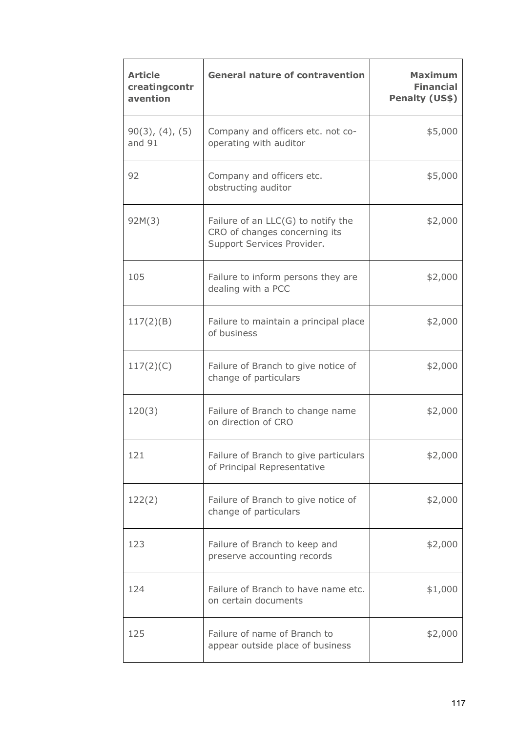| <b>Article</b><br>creatingcontr<br>avention | <b>General nature of contravention</b>                                                              | <b>Maximum</b><br><b>Financial</b><br>Penalty (US\$) |
|---------------------------------------------|-----------------------------------------------------------------------------------------------------|------------------------------------------------------|
| $90(3)$ , $(4)$ , $(5)$<br>and 91           | Company and officers etc. not co-<br>operating with auditor                                         | \$5,000                                              |
| 92                                          | Company and officers etc.<br>obstructing auditor                                                    | \$5,000                                              |
| 92M(3)                                      | Failure of an $LLC(G)$ to notify the<br>CRO of changes concerning its<br>Support Services Provider. | \$2,000                                              |
| 105                                         | Failure to inform persons they are<br>dealing with a PCC                                            | \$2,000                                              |
| 117(2)(B)                                   | Failure to maintain a principal place<br>of business                                                | \$2,000                                              |
| 117(2)(C)                                   | Failure of Branch to give notice of<br>change of particulars                                        | \$2,000                                              |
| 120(3)                                      | Failure of Branch to change name<br>on direction of CRO                                             | \$2,000                                              |
| 121                                         | Failure of Branch to give particulars<br>of Principal Representative                                | \$2,000                                              |
| 122(2)                                      | Failure of Branch to give notice of<br>change of particulars                                        | \$2,000                                              |
| 123                                         | Failure of Branch to keep and<br>preserve accounting records                                        | \$2,000                                              |
| 124                                         | Failure of Branch to have name etc.<br>on certain documents                                         | \$1,000                                              |
| 125                                         | Failure of name of Branch to<br>appear outside place of business                                    | \$2,000                                              |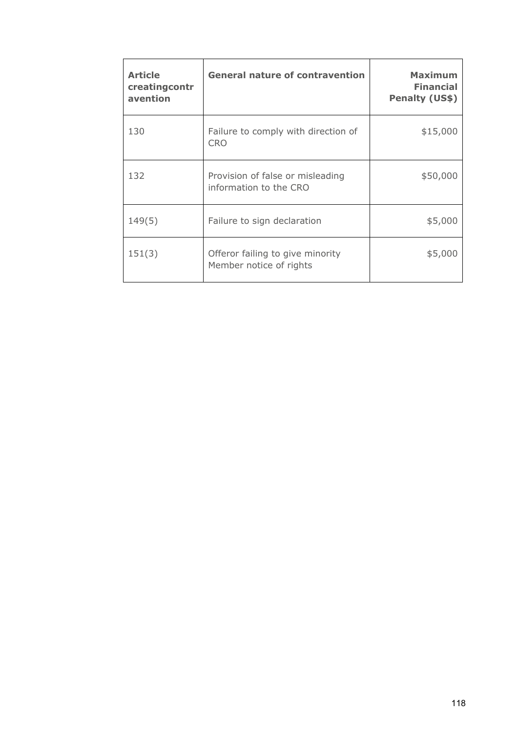| <b>Article</b><br>creatingcontr<br>avention | <b>General nature of contravention</b>                      | <b>Maximum</b><br><b>Financial</b><br>Penalty (US\$) |
|---------------------------------------------|-------------------------------------------------------------|------------------------------------------------------|
| 130                                         | Failure to comply with direction of<br><b>CRO</b>           | \$15,000                                             |
| 132                                         | Provision of false or misleading<br>information to the CRO  | \$50,000                                             |
| 149(5)                                      | Failure to sign declaration                                 | \$5,000                                              |
| 151(3)                                      | Offeror failing to give minority<br>Member notice of rights | \$5,000                                              |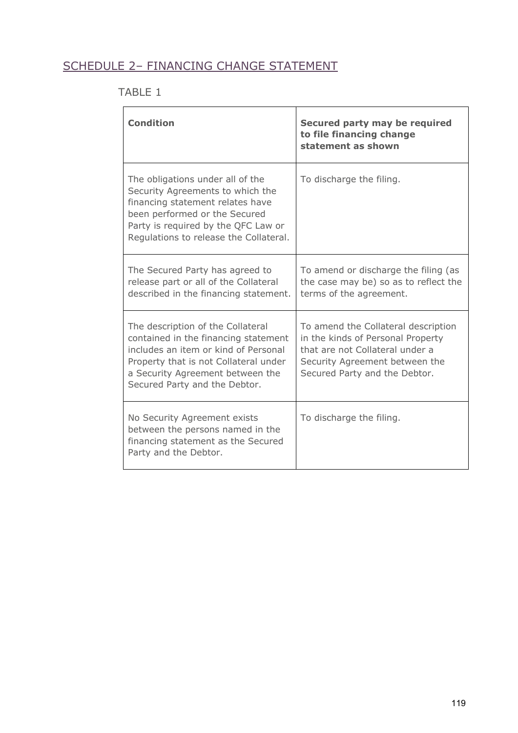# SCHEDULE 2– FINANCING CHANGE STATEMENT

# TABLE 1

| <b>Condition</b>                                                                                                                                                                                                                | Secured party may be required<br>to file financing change<br>statement as shown                                                                                                |
|---------------------------------------------------------------------------------------------------------------------------------------------------------------------------------------------------------------------------------|--------------------------------------------------------------------------------------------------------------------------------------------------------------------------------|
| The obligations under all of the<br>Security Agreements to which the<br>financing statement relates have<br>been performed or the Secured<br>Party is required by the QFC Law or<br>Regulations to release the Collateral.      | To discharge the filing.                                                                                                                                                       |
| The Secured Party has agreed to<br>release part or all of the Collateral<br>described in the financing statement.                                                                                                               | To amend or discharge the filing (as<br>the case may be) so as to reflect the<br>terms of the agreement.                                                                       |
| The description of the Collateral<br>contained in the financing statement<br>includes an item or kind of Personal<br>Property that is not Collateral under<br>a Security Agreement between the<br>Secured Party and the Debtor. | To amend the Collateral description<br>in the kinds of Personal Property<br>that are not Collateral under a<br>Security Agreement between the<br>Secured Party and the Debtor. |
| No Security Agreement exists<br>between the persons named in the<br>financing statement as the Secured<br>Party and the Debtor.                                                                                                 | To discharge the filing.                                                                                                                                                       |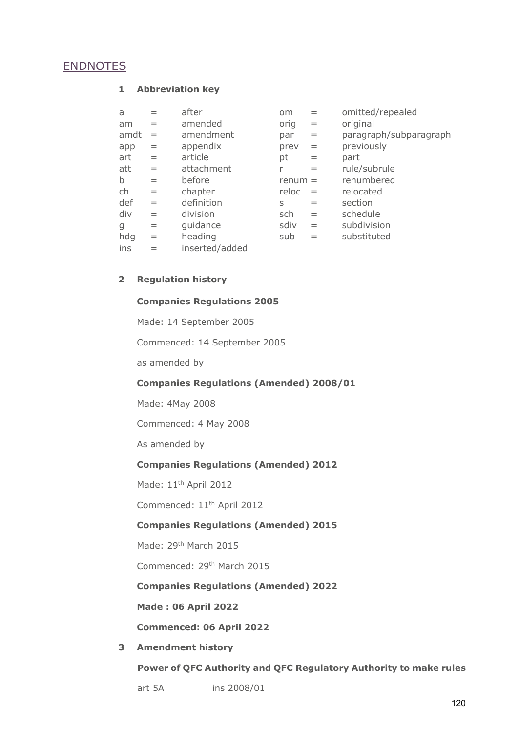# **ENDNOTES**

#### **1 Abbreviation key**

| a           | $=$ | after          | <b>om</b> | $=$ | omitted/repealed       |
|-------------|-----|----------------|-----------|-----|------------------------|
| am          | $=$ | amended        | orig      | $=$ | original               |
| amdt        | $=$ | amendment      | par       | $=$ | paragraph/subparagraph |
| app         | $=$ | appendix       | prev      | $=$ | previously             |
| art         | $=$ | article        | pt        | $=$ | part                   |
| att         | $=$ | attachment     | r         | $=$ | rule/subrule           |
| $\mathsf b$ | $=$ | before         | $remum =$ |     | renumbered             |
| ch          | $=$ | chapter        | reloc     | $=$ | relocated              |
| def         | $=$ | definition     | S         | $=$ | section                |
| div         | $=$ | division       | sch       | $=$ | schedule               |
| g           | $=$ | guidance       | sdiv      | $=$ | subdivision            |
| hdg         | $=$ | heading        | sub       | $=$ | substituted            |
| ins         | $=$ | inserted/added |           |     |                        |

## **2 Regulation history**

## **Companies Regulations 2005**

Made: 14 September 2005

Commenced: 14 September 2005

as amended by

## **Companies Regulations (Amended) 2008/01**

Made: 4May 2008

Commenced: 4 May 2008

As amended by

## **Companies Regulations (Amended) 2012**

Made: 11<sup>th</sup> April 2012

Commenced: 11th April 2012

## **Companies Regulations (Amended) 2015**

Made: 29<sup>th</sup> March 2015

Commenced: 29th March 2015

**Companies Regulations (Amended) 2022**

**Made : 06 April 2022**

**Commenced: 06 April 2022**

## **3 Amendment history**

**Power of QFC Authority and QFC Regulatory Authority to make rules**

art 5A ins 2008/01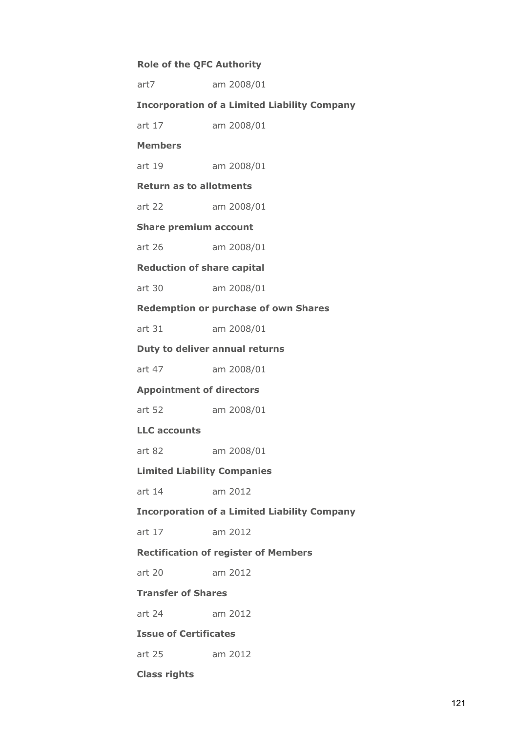# **Role of the QFC Authority**

| art7                               | am 2008/01                                          |
|------------------------------------|-----------------------------------------------------|
|                                    | <b>Incorporation of a Limited Liability Company</b> |
| art 17                             | am 2008/01                                          |
| <b>Members</b>                     |                                                     |
| art 19                             | am 2008/01                                          |
| <b>Return as to allotments</b>     |                                                     |
| art 22                             | am 2008/01                                          |
| <b>Share premium account</b>       |                                                     |
| art $26$                           | am 2008/01                                          |
| <b>Reduction of share capital</b>  |                                                     |
| art 30                             | am 2008/01                                          |
|                                    | <b>Redemption or purchase of own Shares</b>         |
| art 31                             | am 2008/01                                          |
|                                    | Duty to deliver annual returns                      |
| art 47                             | am 2008/01                                          |
| <b>Appointment of directors</b>    |                                                     |
| art 52                             | am 2008/01                                          |
| <b>LLC</b> accounts                |                                                     |
| art 82                             | am 2008/01                                          |
| <b>Limited Liability Companies</b> |                                                     |
| art 14                             | am 2012                                             |
|                                    | <b>Incorporation of a Limited Liability Company</b> |
| art 17                             | am 2012                                             |
|                                    | <b>Rectification of register of Members</b>         |
| art 20                             | am 2012                                             |
| <b>Transfer of Shares</b>          |                                                     |
| art 24                             | am 2012                                             |
| <b>Issue of Certificates</b>       |                                                     |
| art 25                             |                                                     |
|                                    | am 2012                                             |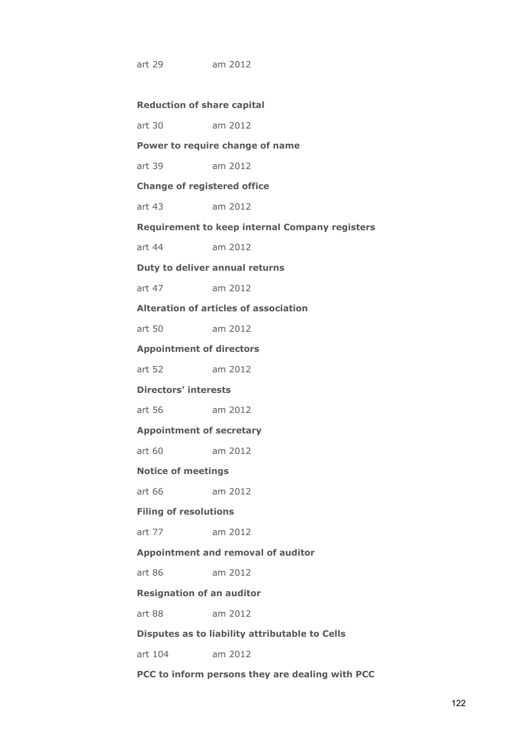art 29 am 2012

| <b>Reduction of share capital</b> |  |  |
|-----------------------------------|--|--|
|-----------------------------------|--|--|

| art 30 | am 2012 |  |
|--------|---------|--|
|--------|---------|--|

## **Power to require change of name**

art 39 am 2012

**Change of registered office**

art 43 am 2012

**Requirement to keep internal Company registers**

art 44 am 2012

## **Duty to deliver annual returns**

art 47 am 2012

**Alteration of articles of association**

art 50 am 2012

**Appointment of directors**

art 52 am 2012

## **Directors' interests**

art 56 am 2012

**Appointment of secretary**

art 60 am 2012

## **Notice of meetings**

art 66 am 2012

## **Filing of resolutions**

art 77 am 2012

## **Appointment and removal of auditor**

art 86 am 2012

#### **Resignation of an auditor**

art 88 am 2012

## **Disputes as to liability attributable to Cells**

art 104 am 2012

#### **PCC to inform persons they are dealing with PCC**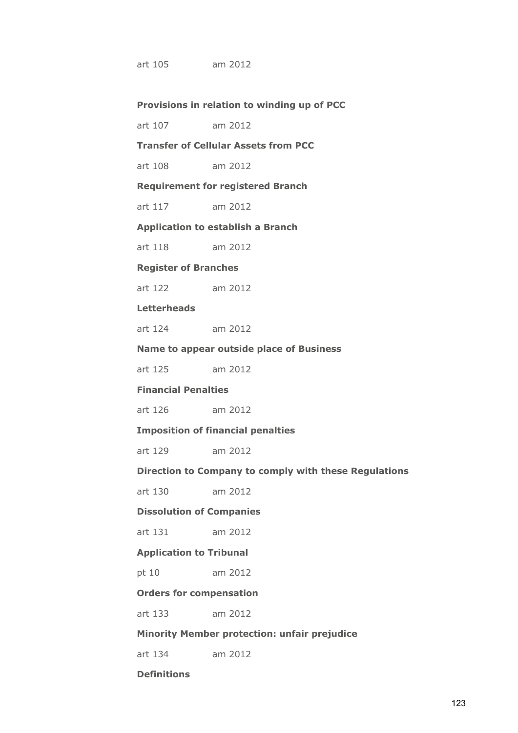art 105 am 2012

#### **Provisions in relation to winding up of PCC**

art 107 am 2012

# **Transfer of Cellular Assets from PCC**

art 108 am 2012

**Requirement for registered Branch**

art 117 am 2012

**Application to establish a Branch**

art 118 am 2012

#### **Register of Branches**

art 122 am 2012

#### **Letterheads**

art 124 am 2012

#### **Name to appear outside place of Business**

art 125 am 2012

## **Financial Penalties**

art 126 am 2012

#### **Imposition of financial penalties**

art 129 am 2012

## **Direction to Company to comply with these Regulations**

art 130 am 2012

## **Dissolution of Companies**

art 131 am 2012

## **Application to Tribunal**

pt 10 am 2012

#### **Orders for compensation**

art 133 am 2012

## **Minority Member protection: unfair prejudice**

art 134 am 2012

#### **Definitions**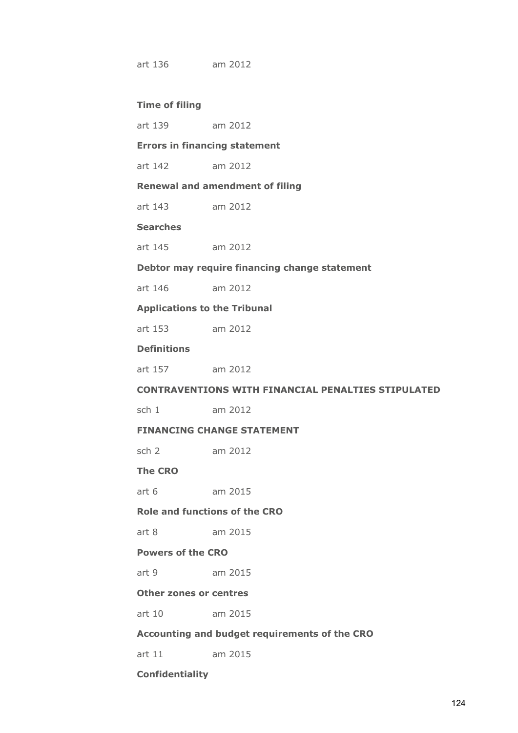art 136 am 2012

#### **Time of filing**

#### **Errors in financing statement**

art 142 am 2012

## **Renewal and amendment of filing**

art 143 am 2012

## **Searches**

#### **Debtor may require financing change statement**

art 146 am 2012

#### **Applications to the Tribunal**

| art 153 | am 2012 |
|---------|---------|
|---------|---------|

## **Definitions**

#### **CONTRAVENTIONS WITH FINANCIAL PENALTIES STIPULATED**

sch 1 am 2012

## **FINANCING CHANGE STATEMENT**

sch 2 am 2012

## **The CRO**

art 6 am 2015

## **Role and functions of the CRO**

art 8 am 2015

## **Powers of the CRO**

art 9 am 2015

#### **Other zones or centres**

art 10 am 2015

## **Accounting and budget requirements of the CRO**

art 11 am 2015

#### **Confidentiality**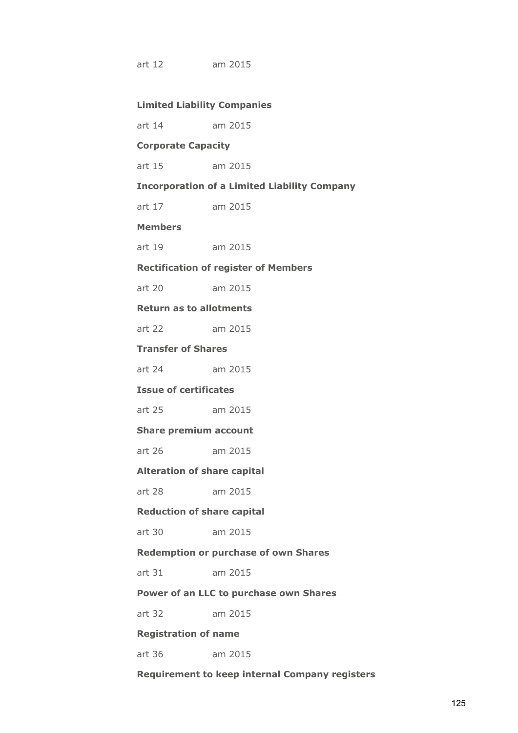art 12 am 2015

## **Limited Liability Companies**

art 14 am 2015

## **Corporate Capacity**

art 15 am 2015

#### **Incorporation of a Limited Liability Company**

art 17 am 2015

#### **Members**

art 19 am 2015

#### **Rectification of register of Members**

art 20 am 2015

**Return as to allotments**

art 22 am 2015

## **Transfer of Shares**

art 24 am 2015

## **Issue of certificates**

art 25 am 2015

**Share premium account**

art 26 am 2015

## **Alteration of share capital**

art 28 am 2015

## **Reduction of share capital**

art 30 am 2015

#### **Redemption or purchase of own Shares**

art 31 am 2015

#### **Power of an LLC to purchase own Shares**

art 32 am 2015

## **Registration of name**

art 36 am 2015

#### **Requirement to keep internal Company registers**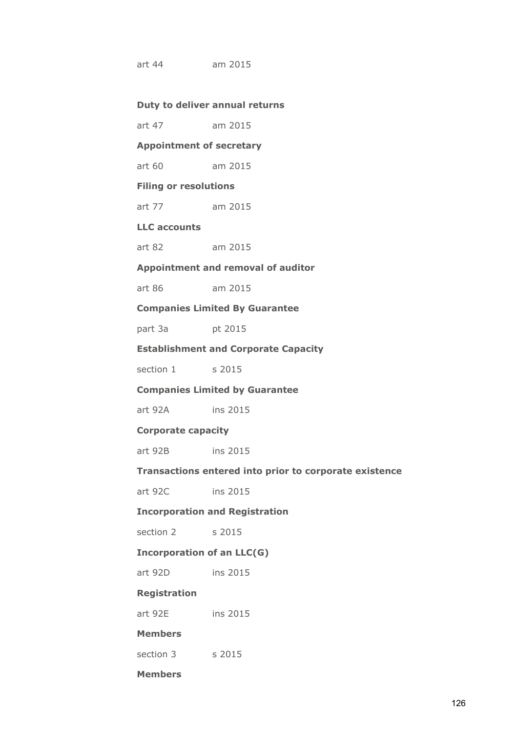art 44 am 2015

#### **Duty to deliver annual returns**

art 47 am 2015

## **Appointment of secretary**

art 60 am 2015

## **Filing or resolutions**

art 77 am 2015

## **LLC accounts**

art 82 am 2015

## **Appointment and removal of auditor**

art 86 am 2015

#### **Companies Limited By Guarantee**

part 3a pt 2015

## **Establishment and Corporate Capacity**

section 1 s 2015

## **Companies Limited by Guarantee**

art 92A ins 2015

#### **Corporate capacity**

art 92B ins 2015

## **Transactions entered into prior to corporate existence**

art 92C ins 2015

## **Incorporation and Registration**

section 2 s 2015

#### **Incorporation of an LLC(G)**

art 92D ins 2015

#### **Registration**

art 92E ins 2015

## **Members**

section 3 s 2015

## **Members**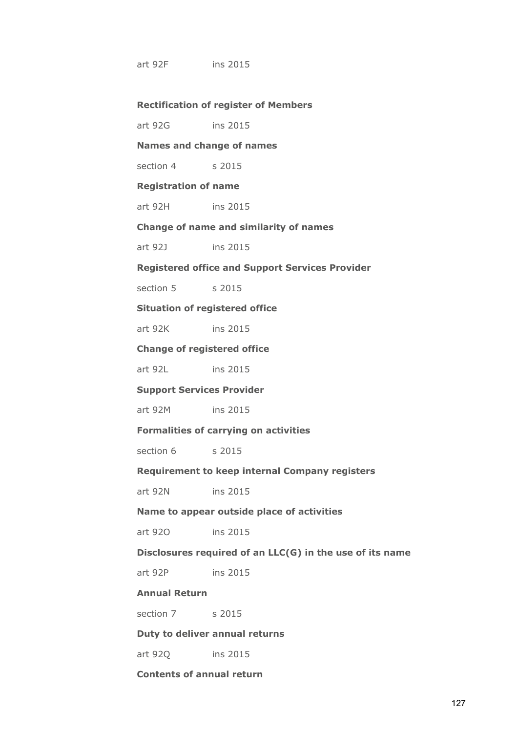art 92F ins 2015

#### **Rectification of register of Members**

art 92G ins 2015 **Names and change of names** section 4 s 2015 **Registration of name** art 92H ins 2015 **Change of name and similarity of names** art 92J ins 2015 **Registered office and Support Services Provider** section 5 s 2015 **Situation of registered office** art 92K ins 2015 **Change of registered office** art 92L ins 2015 **Support Services Provider** art 92M ins 2015 **Formalities of carrying on activities** section 6 s 2015 **Requirement to keep internal Company registers** art 92N ins 2015 **Name to appear outside place of activities** art 92O ins 2015 **Disclosures required of an LLC(G) in the use of its name** art 92P ins 2015 **Annual Return** section 7 s 2015 **Duty to deliver annual returns**

art 92Q ins 2015

**Contents of annual return**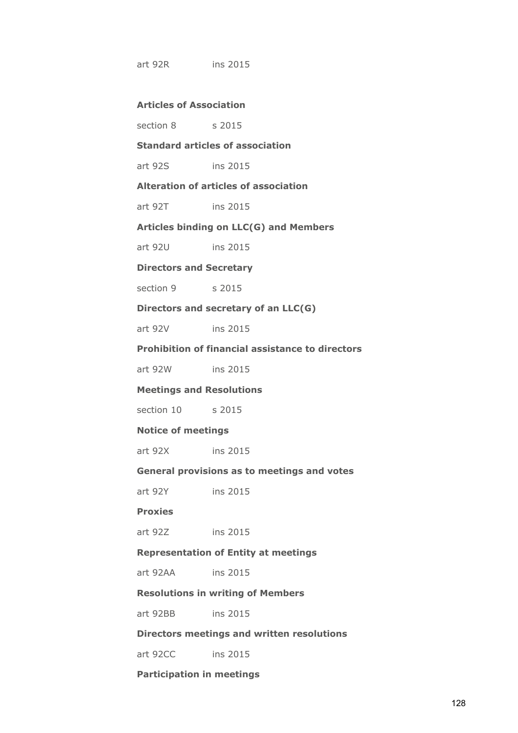art 92R ins 2015

## **Articles of Association**

section 8 s 2015

## **Standard articles of association**

art 92S ins 2015

#### **Alteration of articles of association**

art 92T ins 2015

#### **Articles binding on LLC(G) and Members**

art 92U ins 2015

## **Directors and Secretary**

section 9 s 2015

#### **Directors and secretary of an LLC(G)**

art 92V ins 2015

## **Prohibition of financial assistance to directors**

art 92W ins 2015

#### **Meetings and Resolutions**

section 10 s 2015

#### **Notice of meetings**

art 92X ins 2015

#### **General provisions as to meetings and votes**

art 92Y ins 2015

## **Proxies**

art 92Z ins 2015

## **Representation of Entity at meetings**

art 92AA ins 2015

#### **Resolutions in writing of Members**

art 92BB ins 2015

## **Directors meetings and written resolutions**

art 92CC ins 2015

#### **Participation in meetings**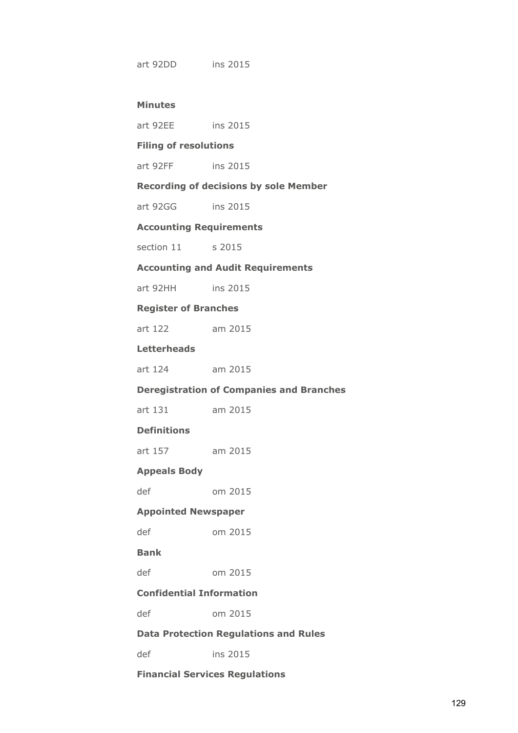art 92DD ins 2015

## **Minutes**

| art 92EE |  | ins 2015 |
|----------|--|----------|
|----------|--|----------|

## **Filing of resolutions**

art 92FF ins 2015

## **Recording of decisions by sole Member**

art 92GG ins 2015

# **Accounting Requirements**

section 11 s 2015

## **Accounting and Audit Requirements**

art 92HH ins 2015

#### **Register of Branches**

art 122 am 2015

## **Letterheads**

| art 124 | am 2015 |
|---------|---------|
|---------|---------|

## **Deregistration of Companies and Branches**

| art 131 |  | am 2015 |
|---------|--|---------|
|---------|--|---------|

## **Definitions**

art 157 am 2015

## **Appeals Body**

def om 2015

## **Appointed Newspaper**

def om 2015

## **Bank**

def om 2015

## **Confidential Information**

def om 2015

## **Data Protection Regulations and Rules**

def ins 2015

## **Financial Services Regulations**